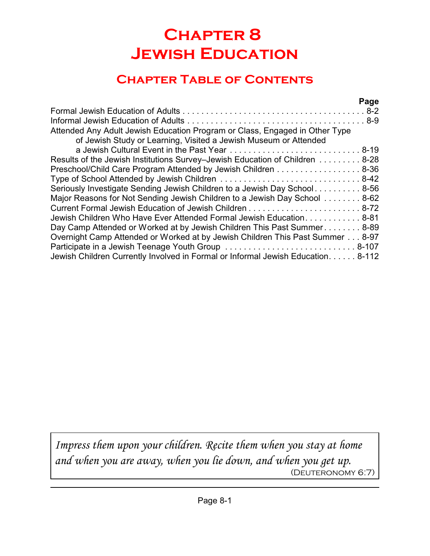# **Chapter 8 Jewish Education**

## **Chapter Table of Contents**

|                                                                                                                                                 | Page |
|-------------------------------------------------------------------------------------------------------------------------------------------------|------|
|                                                                                                                                                 |      |
|                                                                                                                                                 |      |
| Attended Any Adult Jewish Education Program or Class, Engaged in Other Type<br>of Jewish Study or Learning, Visited a Jewish Museum or Attended |      |
| a Jewish Cultural Event in the Past Year  8-19                                                                                                  |      |
| Results of the Jewish Institutions Survey-Jewish Education of Children 8-28                                                                     |      |
| Preschool/Child Care Program Attended by Jewish Children 8-36                                                                                   |      |
|                                                                                                                                                 |      |
| Seriously Investigate Sending Jewish Children to a Jewish Day School 8-56                                                                       |      |
| Major Reasons for Not Sending Jewish Children to a Jewish Day School 8-62                                                                       |      |
|                                                                                                                                                 |      |
| Jewish Children Who Have Ever Attended Formal Jewish Education 8-81                                                                             |      |
| Day Camp Attended or Worked at by Jewish Children This Past Summer 8-89                                                                         |      |
| Overnight Camp Attended or Worked at by Jewish Children This Past Summer 8-97                                                                   |      |
|                                                                                                                                                 |      |
| Jewish Children Currently Involved in Formal or Informal Jewish Education. 8-112                                                                |      |

*Impress them upon your children. Recite them when you stay at home and when you are away, when you lie down, and when you get up.* (Deuteronomy 6:7)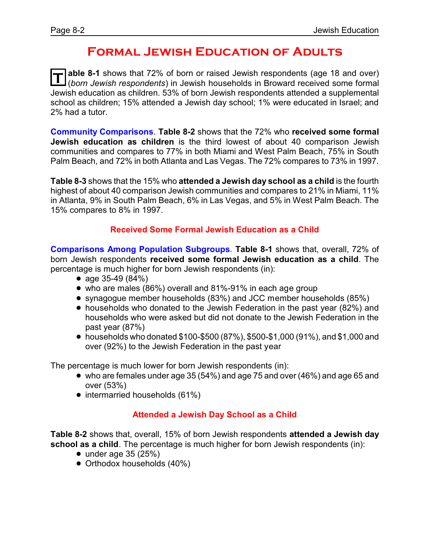### **Formal Jewish Education of Adults**

T able 8-1 shows that 72% of born or raised Jewish respondents (age 18 and over)<br>I *(born Jewish respondents)* in Jewish households in Broward received some formal **able 8-1** shows that 72% of born or raised Jewish respondents (age 18 and over) Jewish education as children. 53% of born Jewish respondents attended a supplemental school as children; 15% attended a Jewish day school; 1% were educated in Israel; and 2% had a tutor.

**Community Comparisons**. **Table 8-2** shows that the 72% who **received some formal Jewish education as children** is the third lowest of about 40 comparison Jewish communities and compares to 77% in both Miami and West Palm Beach, 75% in South Palm Beach, and 72% in both Atlanta and Las Vegas. The 72% compares to 73% in 1997.

**Table 8-3** shows that the 15% who **attended a Jewish day school as a child** is the fourth highest of about 40 comparison Jewish communities and compares to 21% in Miami, 11% in Atlanta, 9% in South Palm Beach, 6% in Las Vegas, and 5% in West Palm Beach. The 15% compares to 8% in 1997.

#### **Received Some Formal Jewish Education as a Child**

**Comparisons Among Population Subgroups**. **Table 8-1** shows that, overall, 72% of born Jewish respondents **received some formal Jewish education as a child**. The percentage is much higher for born Jewish respondents (in):

- age  $35-49$  (84%)
- who are males (86%) overall and 81%-91% in each age group
- ! synagogue member households (83%) and JCC member households (85%)
- ! households who donated to the Jewish Federation in the past year (82%) and households who were asked but did not donate to the Jewish Federation in the past year (87%)
- ! households who donated \$100-\$500 (87%), \$500-\$1,000 (91%), and \$1,000 and over (92%) to the Jewish Federation in the past year

The percentage is much lower for born Jewish respondents (in):

- who are females under age 35 (54%) and age 75 and over (46%) and age 65 and over (53%)
- intermarried households (61%)

#### **Attended a Jewish Day School as a Child**

**Table 8-2** shows that, overall, 15% of born Jewish respondents **attended a Jewish day school as a child**. The percentage is much higher for born Jewish respondents (in):

- $\bullet$  under age 35 (25%)
- Orthodox households (40%)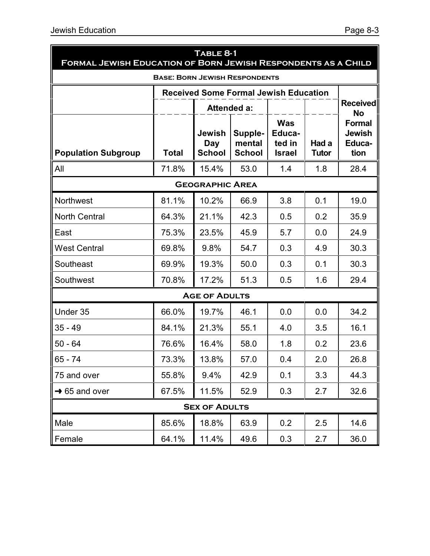| TABLE 8-1<br><b>FORMAL JEWISH EDUCATION OF BORN JEWISH RESPONDENTS AS A CHILD</b> |              |                                       |                                              |                                                 |                       |                                                  |  |  |
|-----------------------------------------------------------------------------------|--------------|---------------------------------------|----------------------------------------------|-------------------------------------------------|-----------------------|--------------------------------------------------|--|--|
| <b>BASE: BORN JEWISH RESPONDENTS</b>                                              |              |                                       |                                              |                                                 |                       |                                                  |  |  |
|                                                                                   |              |                                       | <b>Received Some Formal Jewish Education</b> |                                                 |                       |                                                  |  |  |
|                                                                                   |              | <b>Attended a:</b>                    |                                              |                                                 |                       | <b>Received</b><br>No                            |  |  |
| <b>Population Subgroup</b>                                                        | <b>Total</b> | Jewish<br><b>Day</b><br><b>School</b> | Supple-<br>mental<br><b>School</b>           | <b>Was</b><br>Educa-<br>ted in<br><b>Israel</b> | Had a<br><b>Tutor</b> | <b>Formal</b><br><b>Jewish</b><br>Educa-<br>tion |  |  |
| All                                                                               | 71.8%        | 15.4%                                 | 53.0                                         | 1.4                                             | 1.8                   | 28.4                                             |  |  |
|                                                                                   |              | <b>GEOGRAPHIC AREA</b>                |                                              |                                                 |                       |                                                  |  |  |
| Northwest                                                                         | 81.1%        | 10.2%                                 | 66.9                                         | 3.8                                             | 0.1                   | 19.0                                             |  |  |
| <b>North Central</b>                                                              | 64.3%        | 21.1%                                 | 42.3                                         | 0.5                                             | 0.2                   | 35.9                                             |  |  |
| East                                                                              | 75.3%        | 23.5%                                 | 45.9                                         | 5.7                                             | 0.0                   | 24.9                                             |  |  |
| <b>West Central</b>                                                               | 69.8%        | 9.8%                                  | 54.7                                         | 0.3                                             | 4.9                   | 30.3                                             |  |  |
| Southeast                                                                         | 69.9%        | 19.3%                                 | 50.0                                         | 0.3                                             | 0.1                   | 30.3                                             |  |  |
| Southwest                                                                         | 70.8%        | 17.2%                                 | 51.3                                         | 0.5                                             | 1.6                   | 29.4                                             |  |  |
|                                                                                   |              | <b>AGE OF ADULTS</b>                  |                                              |                                                 |                       |                                                  |  |  |
| Under 35                                                                          | 66.0%        | 19.7%                                 | 46.1                                         | 0.0                                             | 0.0                   | 34.2                                             |  |  |
| $35 - 49$                                                                         | 84.1%        | 21.3%                                 | 55.1                                         | 4.0                                             | 3.5                   | 16.1                                             |  |  |
| $50 - 64$                                                                         | 76.6%        | 16.4%                                 | 58.0                                         | 1.8                                             | 0.2                   | 23.6                                             |  |  |
| $65 - 74$                                                                         | 73.3%        | 13.8%                                 | 57.0                                         | 0.4                                             | 2.0                   | 26.8                                             |  |  |
| 75 and over                                                                       | 55.8%        | 9.4%                                  | 42.9                                         | 0.1                                             | 3.3                   | 44.3                                             |  |  |
| $\rightarrow$ 65 and over                                                         | 67.5%        | 11.5%                                 | 52.9                                         | 0.3                                             | 2.7                   | 32.6                                             |  |  |
|                                                                                   |              | <b>SEX OF ADULTS</b>                  |                                              |                                                 |                       |                                                  |  |  |
| Male                                                                              | 85.6%        | 18.8%                                 | 63.9                                         | 0.2                                             | 2.5                   | 14.6                                             |  |  |
| Female                                                                            | 64.1%        | 11.4%                                 | 49.6                                         | 0.3                                             | 2.7                   | 36.0                                             |  |  |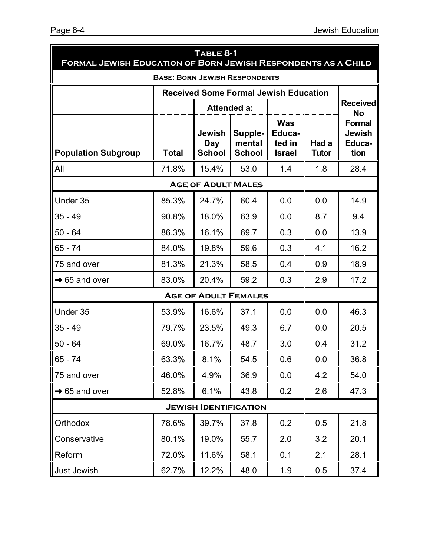| TABLE 8-1<br><b>FORMAL JEWISH EDUCATION OF BORN JEWISH RESPONDENTS AS A CHILD</b> |       |                                |                                              |                                                 |                       |                                                  |  |  |
|-----------------------------------------------------------------------------------|-------|--------------------------------|----------------------------------------------|-------------------------------------------------|-----------------------|--------------------------------------------------|--|--|
| <b>BASE: BORN JEWISH RESPONDENTS</b>                                              |       |                                |                                              |                                                 |                       |                                                  |  |  |
|                                                                                   |       |                                | <b>Received Some Formal Jewish Education</b> |                                                 |                       |                                                  |  |  |
|                                                                                   |       |                                | <b>Attended a:</b>                           |                                                 |                       | <b>Received</b><br><b>No</b>                     |  |  |
| <b>Population Subgroup</b>                                                        | Total | Jewish<br>Day<br><b>School</b> | Supple-<br>mental<br><b>School</b>           | <b>Was</b><br>Educa-<br>ted in<br><b>Israel</b> | Had a<br><b>Tutor</b> | <b>Formal</b><br><b>Jewish</b><br>Educa-<br>tion |  |  |
| All                                                                               | 71.8% | 15.4%                          | 53.0                                         | 1.4                                             | 1.8                   | 28.4                                             |  |  |
|                                                                                   |       | <b>AGE OF ADULT MALES</b>      |                                              |                                                 |                       |                                                  |  |  |
| Under 35                                                                          | 85.3% | 24.7%                          | 60.4                                         | 0.0                                             | 0.0                   | 14.9                                             |  |  |
| $35 - 49$                                                                         | 90.8% | 18.0%                          | 63.9                                         | 0.0                                             | 8.7                   | 9.4                                              |  |  |
| $50 - 64$                                                                         | 86.3% | 16.1%                          | 69.7                                         | 0.3                                             | 0.0                   | 13.9                                             |  |  |
| 65 - 74                                                                           | 84.0% | 19.8%                          | 59.6                                         | 0.3                                             | 4.1                   | 16.2                                             |  |  |
| 75 and over                                                                       | 81.3% | 21.3%                          | 58.5                                         | 0.4                                             | 0.9                   | 18.9                                             |  |  |
| $\rightarrow$ 65 and over                                                         | 83.0% | 20.4%                          | 59.2                                         | 0.3                                             | 2.9                   | 17.2                                             |  |  |
|                                                                                   |       |                                | <b>AGE OF ADULT FEMALES</b>                  |                                                 |                       |                                                  |  |  |
| Under 35                                                                          | 53.9% | 16.6%                          | 37.1                                         | 0.0                                             | 0.0                   | 46.3                                             |  |  |
| $35 - 49$                                                                         | 79.7% | 23.5%                          | 49.3                                         | 6.7                                             | 0.0                   | 20.5                                             |  |  |
| $50 - 64$                                                                         | 69.0% | 16.7%                          | 48.7                                         | 3.0                                             | 0.4                   | 31.2                                             |  |  |
| $65 - 74$                                                                         | 63.3% | 8.1%                           | 54.5                                         | 0.6                                             | 0.0                   | 36.8                                             |  |  |
| 75 and over                                                                       | 46.0% | 4.9%                           | 36.9                                         | 0.0                                             | 4.2                   | 54.0                                             |  |  |
| $\rightarrow$ 65 and over                                                         | 52.8% | 6.1%                           | 43.8                                         | 0.2                                             | 2.6                   | 47.3                                             |  |  |
|                                                                                   |       | <b>JEWISH IDENTIFICATION</b>   |                                              |                                                 |                       |                                                  |  |  |
| Orthodox                                                                          | 78.6% | 39.7%                          | 37.8                                         | 0.2                                             | 0.5                   | 21.8                                             |  |  |
| Conservative                                                                      | 80.1% | 19.0%                          | 55.7                                         | 2.0                                             | 3.2                   | 20.1                                             |  |  |
| Reform                                                                            | 72.0% | 11.6%                          | 58.1                                         | 0.1                                             | 2.1                   | 28.1                                             |  |  |
| Just Jewish                                                                       | 62.7% | 12.2%                          | 48.0                                         | 1.9                                             | 0.5                   | 37.4                                             |  |  |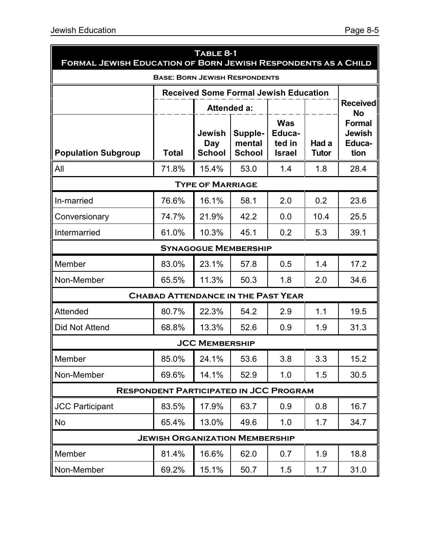| TABLE 8-1<br>FORMAL JEWISH EDUCATION OF BORN JEWISH RESPONDENTS AS A CHILD |                                               |                                |                                              |                                                 |                       |                                                  |  |
|----------------------------------------------------------------------------|-----------------------------------------------|--------------------------------|----------------------------------------------|-------------------------------------------------|-----------------------|--------------------------------------------------|--|
| <b>BASE: BORN JEWISH RESPONDENTS</b>                                       |                                               |                                |                                              |                                                 |                       |                                                  |  |
|                                                                            |                                               |                                | <b>Received Some Formal Jewish Education</b> |                                                 |                       |                                                  |  |
|                                                                            |                                               | <b>Attended a:</b>             |                                              |                                                 |                       | <b>Received</b><br>No                            |  |
| <b>Population Subgroup</b>                                                 | <b>Total</b>                                  | Jewish<br>Day<br><b>School</b> | Supple-<br>mental<br><b>School</b>           | <b>Was</b><br>Educa-<br>ted in<br><b>Israel</b> | Had a<br><b>Tutor</b> | <b>Formal</b><br><b>Jewish</b><br>Educa-<br>tion |  |
| All                                                                        | 71.8%                                         | 15.4%                          | 53.0                                         | 1.4                                             | 1.8                   | 28.4                                             |  |
|                                                                            |                                               | <b>TYPE OF MARRIAGE</b>        |                                              |                                                 |                       |                                                  |  |
| In-married                                                                 | 76.6%                                         | 16.1%                          | 58.1                                         | 2.0                                             | 0.2                   | 23.6                                             |  |
| Conversionary                                                              | 74.7%                                         | 21.9%                          | 42.2                                         | 0.0                                             | 10.4                  | 25.5                                             |  |
| Intermarried                                                               | 61.0%                                         | 10.3%                          | 45.1                                         | 0.2                                             | 5.3                   | 39.1                                             |  |
|                                                                            |                                               |                                | <b>SYNAGOGUE MEMBERSHIP</b>                  |                                                 |                       |                                                  |  |
| Member                                                                     | 83.0%                                         | 23.1%                          | 57.8                                         | 0.5                                             | 1.4                   | 17.2                                             |  |
| Non-Member                                                                 | 65.5%                                         | 11.3%                          | 50.3                                         | 1.8                                             | 2.0                   | 34.6                                             |  |
|                                                                            | <b>CHABAD ATTENDANCE IN THE PAST YEAR</b>     |                                |                                              |                                                 |                       |                                                  |  |
| Attended                                                                   | 80.7%                                         | 22.3%                          | 54.2                                         | 2.9                                             | 1.1                   | 19.5                                             |  |
| Did Not Attend                                                             | 68.8%                                         | 13.3%                          | 52.6                                         | 0.9                                             | 1.9                   | 31.3                                             |  |
|                                                                            |                                               | <b>JCC MEMBERSHIP</b>          |                                              |                                                 |                       |                                                  |  |
| Member                                                                     | 85.0%                                         | 24.1%                          | 53.6                                         | 3.8                                             | 3.3                   | 15.2                                             |  |
| Non-Member                                                                 | 69.6%                                         | 14.1%                          | 52.9                                         | 1.0                                             | 1.5                   | 30.5                                             |  |
|                                                                            | <b>RESPONDENT PARTICIPATED IN JCC PROGRAM</b> |                                |                                              |                                                 |                       |                                                  |  |
| <b>JCC Participant</b>                                                     | 83.5%                                         | 17.9%                          | 63.7                                         | 0.9                                             | 0.8                   | 16.7                                             |  |
| No                                                                         | 65.4%                                         | 13.0%                          | 49.6                                         | 1.0                                             | 1.7                   | 34.7                                             |  |
|                                                                            | <b>JEWISH ORGANIZATION MEMBERSHIP</b>         |                                |                                              |                                                 |                       |                                                  |  |
| Member                                                                     | 81.4%                                         | 16.6%                          | 62.0                                         | 0.7                                             | 1.9                   | 18.8                                             |  |
| Non-Member                                                                 | 69.2%                                         | 15.1%                          | 50.7                                         | 1.5                                             | 1.7                   | 31.0                                             |  |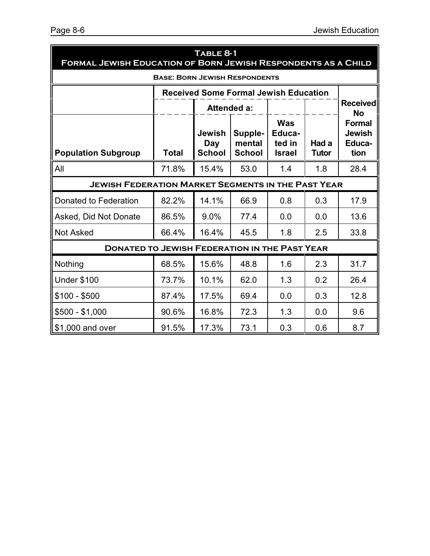| TABLE 8-1<br>FORMAL JEWISH EDUCATION OF BORN JEWISH RESPONDENTS AS A CHILD |              |                                |                                    |                                                 |                       |                                                  |  |  |
|----------------------------------------------------------------------------|--------------|--------------------------------|------------------------------------|-------------------------------------------------|-----------------------|--------------------------------------------------|--|--|
| <b>BASE: BORN JEWISH RESPONDENTS</b>                                       |              |                                |                                    |                                                 |                       |                                                  |  |  |
| <b>Received Some Formal Jewish Education</b>                               |              |                                |                                    |                                                 |                       |                                                  |  |  |
|                                                                            |              |                                | <b>Attended a:</b>                 |                                                 |                       | <b>Received</b><br><b>No</b>                     |  |  |
| <b>Population Subgroup</b>                                                 | <b>Total</b> | Jewish<br>Day<br><b>School</b> | Supple-<br>mental<br><b>School</b> | <b>Was</b><br>Educa-<br>ted in<br><b>Israel</b> | Had a<br><b>Tutor</b> | <b>Formal</b><br><b>Jewish</b><br>Educa-<br>tion |  |  |
| All                                                                        | 71.8%        | 15.4%                          | 53.0                               | 1.4                                             | 1.8                   | 28.4                                             |  |  |
| <b>JEWISH FEDERATION MARKET SEGMENTS IN THE PAST YEAR</b>                  |              |                                |                                    |                                                 |                       |                                                  |  |  |
| Donated to Federation                                                      | 82.2%        | 14.1%                          | 66.9                               | 0.8                                             | 0.3                   | 17.9                                             |  |  |
| Asked, Did Not Donate                                                      | 86.5%        | 9.0%                           | 77.4                               | 0.0                                             | 0.0                   | 13.6                                             |  |  |
| <b>Not Asked</b>                                                           | 66.4%        | 16.4%                          | 45.5                               | 1.8                                             | 2.5                   | 33.8                                             |  |  |
| <b>DONATED TO JEWISH FEDERATION IN THE PAST YEAR</b>                       |              |                                |                                    |                                                 |                       |                                                  |  |  |
| Nothing                                                                    | 68.5%        | 15.6%                          | 48.8                               | 1.6                                             | 2.3                   | 31.7                                             |  |  |
| <b>Under \$100</b>                                                         | 73.7%        | 10.1%                          | 62.0                               | 1.3                                             | 0.2                   | 26.4                                             |  |  |
| \$100 - \$500                                                              | 87.4%        | 17.5%                          | 69.4                               | 0.0                                             | 0.3                   | 12.8                                             |  |  |
| $$500 - $1,000$                                                            | 90.6%        | 16.8%                          | 72.3                               | 1.3                                             | 0.0                   | 9.6                                              |  |  |
| \$1,000 and over                                                           | 91.5%        | 17.3%                          | 73.1                               | 0.3                                             | 0.6                   | 8.7                                              |  |  |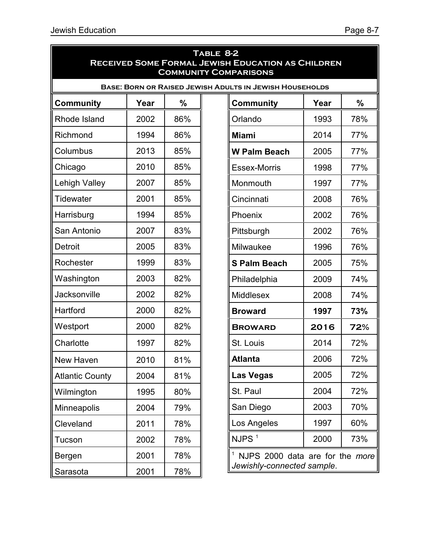| TABLE 8-2<br><b>RECEIVED SOME FORMAL JEWISH EDUCATION AS CHILDREN</b><br><b>COMMUNITY COMPARISONS</b> |      |     |                                                                |      |               |
|-------------------------------------------------------------------------------------------------------|------|-----|----------------------------------------------------------------|------|---------------|
|                                                                                                       |      |     | <b>BASE: BORN OR RAISED JEWISH ADULTS IN JEWISH HOUSEHOLDS</b> |      |               |
| <b>Community</b>                                                                                      | Year | %   | <b>Community</b>                                               | Year | $\frac{0}{0}$ |
| Rhode Island                                                                                          | 2002 | 86% | Orlando                                                        | 1993 | 78%           |
| Richmond                                                                                              | 1994 | 86% | <b>Miami</b>                                                   | 2014 | 77%           |
| Columbus                                                                                              | 2013 | 85% | <b>W Palm Beach</b>                                            | 2005 | 77%           |
| Chicago                                                                                               | 2010 | 85% | <b>Essex-Morris</b>                                            | 1998 | 77%           |
| Lehigh Valley                                                                                         | 2007 | 85% | Monmouth                                                       | 1997 | 77%           |
| Tidewater                                                                                             | 2001 | 85% | Cincinnati                                                     | 2008 | 76%           |
| Harrisburg                                                                                            | 1994 | 85% | Phoenix                                                        | 2002 | 76%           |
| San Antonio                                                                                           | 2007 | 83% | Pittsburgh                                                     | 2002 | 76%           |
| Detroit                                                                                               | 2005 | 83% | Milwaukee                                                      | 1996 | 76%           |
| Rochester                                                                                             | 1999 | 83% | <b>S Palm Beach</b>                                            | 2005 | 75%           |
| Washington                                                                                            | 2003 | 82% | Philadelphia                                                   | 2009 | 74%           |
| Jacksonville                                                                                          | 2002 | 82% | Middlesex                                                      | 2008 | 74%           |
| Hartford                                                                                              | 2000 | 82% | <b>Broward</b>                                                 | 1997 | 73%           |
| Westport                                                                                              | 2000 | 82% | <b>BROWARD</b>                                                 | 2016 | 72%           |
| Charlotte                                                                                             | 1997 | 82% | St. Louis                                                      | 2014 | 72%           |
| New Haven                                                                                             | 2010 | 81% | <b>Atlanta</b>                                                 | 2006 | 72%           |
| <b>Atlantic County</b>                                                                                | 2004 | 81% | <b>Las Vegas</b>                                               | 2005 | 72%           |
| Wilmington                                                                                            | 1995 | 80% | St. Paul                                                       | 2004 | 72%           |
| Minneapolis                                                                                           | 2004 | 79% | San Diego                                                      | 2003 | 70%           |
| Cleveland                                                                                             | 2011 | 78% | Los Angeles                                                    | 1997 | 60%           |
| Tucson                                                                                                | 2002 | 78% | NJPS <sup>1</sup>                                              | 2000 | 73%           |
| Bergen                                                                                                | 2001 | 78% | <sup>1</sup> NJPS 2000 data are for the more                   |      |               |
| Sarasota                                                                                              | 2001 | 78% | Jewishly-connected sample.                                     |      |               |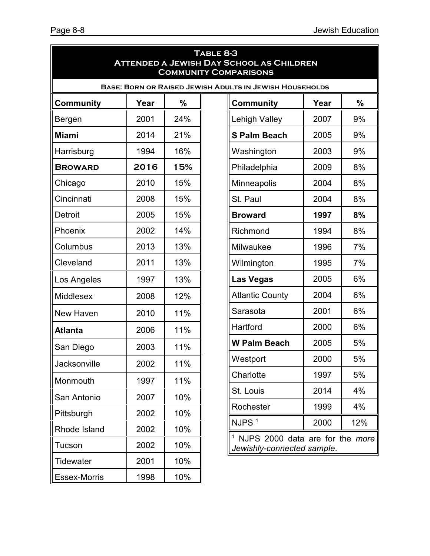| TABLE 8-3<br><b>ATTENDED A JEWISH DAY SCHOOL AS CHILDREN</b><br><b>COMMUNITY COMPARISONS</b> |                                                                |     |  |  |  |
|----------------------------------------------------------------------------------------------|----------------------------------------------------------------|-----|--|--|--|
|                                                                                              | <b>BASE: BORN OR RAISED JEWISH ADULTS IN JEWISH HOUSEHOLDS</b> |     |  |  |  |
| <b>Community</b>                                                                             | Year                                                           | %   |  |  |  |
| Bergen                                                                                       | 2001                                                           | 24% |  |  |  |
| <b>Miami</b>                                                                                 | 2014                                                           | 21% |  |  |  |
| Harrisburg                                                                                   | 1994                                                           | 16% |  |  |  |
| <b>BROWARD</b>                                                                               | 2016                                                           | 15% |  |  |  |
| Chicago                                                                                      | 2010                                                           | 15% |  |  |  |
| Cincinnati                                                                                   | 2008                                                           | 15% |  |  |  |
| Detroit                                                                                      | 2005                                                           | 15% |  |  |  |
| Phoenix                                                                                      | 2002                                                           | 14% |  |  |  |
| Columbus                                                                                     | 2013                                                           | 13% |  |  |  |
| Cleveland                                                                                    | 2011                                                           | 13% |  |  |  |
| Los Angeles                                                                                  | 1997                                                           | 13% |  |  |  |
| <b>Middlesex</b>                                                                             | 2008                                                           | 12% |  |  |  |
| New Haven                                                                                    | 2010                                                           | 11% |  |  |  |
| <b>Atlanta</b>                                                                               | 2006                                                           | 11% |  |  |  |
| San Diego                                                                                    | 2003                                                           | 11% |  |  |  |
| Jacksonville                                                                                 | 2002                                                           | 11% |  |  |  |
| Monmouth                                                                                     | 1997                                                           | 11% |  |  |  |
|                                                                                              | 2007                                                           |     |  |  |  |
| San Antonio                                                                                  |                                                                | 10% |  |  |  |
| Pittsburgh                                                                                   | 2002                                                           | 10% |  |  |  |
| Rhode Island                                                                                 | 2002                                                           | 10% |  |  |  |
| Tucson                                                                                       | 2002                                                           | 10% |  |  |  |
| <b>Tidewater</b>                                                                             | 2001                                                           | 10% |  |  |  |
| Essex-Morris                                                                                 | 1998                                                           | 10% |  |  |  |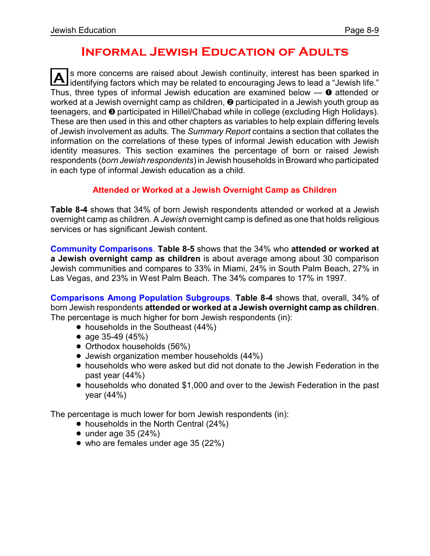### **Informal Jewish Education of Adults**

**A** s more concerns are raised about Jewish continuity, interest has been sparked in<br>identifying factors which may be related to encouraging Jews to lead a "Jewish life." s more concerns are raised about Jewish continuity, interest has been sparked in Thus, three types of informal Jewish education are examined below  $\sim$  0 attended or worked at a Jewish overnight camp as children,  $\Theta$  participated in a Jewish youth group as teenagers, and <sup>@</sup> participated in Hillel/Chabad while in college (excluding High Holidays). These are then used in this and other chapters as variables to help explain differing levels of Jewish involvement as adults. The *Summary Report* contains a section that collates the information on the correlations of these types of informal Jewish education with Jewish identity measures. This section examines the percentage of born or raised Jewish respondents (*born Jewish respondents*) in Jewish households in Broward who participated in each type of informal Jewish education as a child.

#### **Attended or Worked at a Jewish Overnight Camp as Children**

**Table 8-4** shows that 34% of born Jewish respondents attended or worked at a Jewish overnight camp as children. A *Jewish* overnight camp is defined as one that holds religious services or has significant Jewish content.

**Community Comparisons**. **Table 8-5** shows that the 34% who **attended or worked at a Jewish overnight camp as children** is about average among about 30 comparison Jewish communities and compares to 33% in Miami, 24% in South Palm Beach, 27% in Las Vegas, and 23% in West Palm Beach. The 34% compares to 17% in 1997.

**Comparisons Among Population Subgroups**. **Table 8-4** shows that, overall, 34% of born Jewish respondents **attended or worked at a Jewish overnight camp as children**. The percentage is much higher for born Jewish respondents (in):

- $\bullet$  households in the Southeast (44%)
- age 35-49 (45%)
- Orthodox households (56%)
- **•** Jewish organization member households (44%)
- ! households who were asked but did not donate to the Jewish Federation in the past year (44%)
- households who donated \$1,000 and over to the Jewish Federation in the past year (44%)

The percentage is much lower for born Jewish respondents (in):

- households in the North Central (24%)
- $\bullet$  under age 35 (24%)
- who are females under age 35 (22%)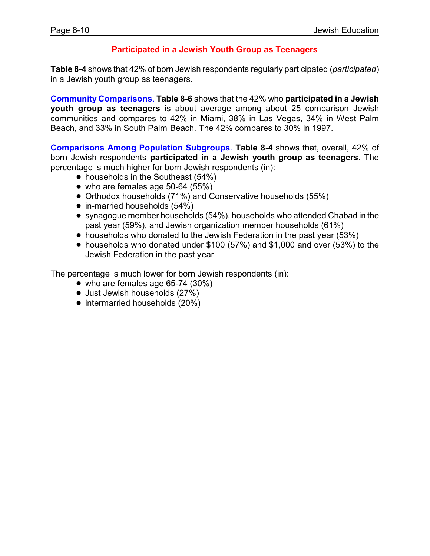#### **Participated in a Jewish Youth Group as Teenagers**

**Table 8-4** shows that 42% of born Jewish respondents regularly participated (*participated*) in a Jewish youth group as teenagers.

**Community Comparisons**. **Table 8-6** shows that the 42% who **participated in a Jewish youth group as teenagers** is about average among about 25 comparison Jewish communities and compares to 42% in Miami, 38% in Las Vegas, 34% in West Palm Beach, and 33% in South Palm Beach. The 42% compares to 30% in 1997.

**Comparisons Among Population Subgroups**. **Table 8-4** shows that, overall, 42% of born Jewish respondents **participated in a Jewish youth group as teenagers**. The percentage is much higher for born Jewish respondents (in):

- $\bullet$  households in the Southeast (54%)
- $\bullet$  who are females age 50-64 (55%)
- Orthodox households (71%) and Conservative households (55%)
- $\bullet$  in-married households (54%)
- synagogue member households (54%), households who attended Chabad in the past year (59%), and Jewish organization member households (61%)
- households who donated to the Jewish Federation in the past year (53%)
- $\bullet$  households who donated under \$100 (57%) and \$1,000 and over (53%) to the Jewish Federation in the past year

The percentage is much lower for born Jewish respondents (in):

- $\bullet$  who are females age 65-74 (30%)
- Just Jewish households (27%)
- intermarried households (20%)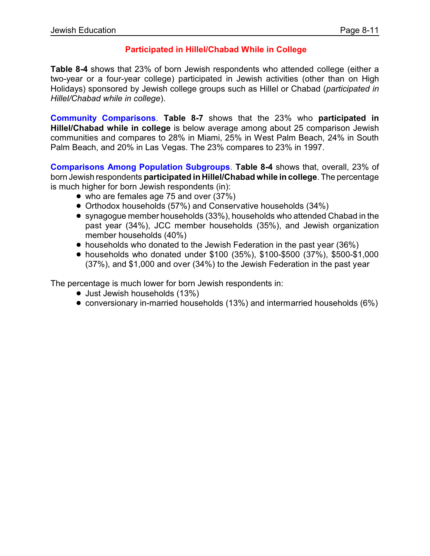#### **Participated in Hillel/Chabad While in College**

**Table 8-4** shows that 23% of born Jewish respondents who attended college (either a two-year or a four-year college) participated in Jewish activities (other than on High Holidays) sponsored by Jewish college groups such as Hillel or Chabad (*participated in Hillel/Chabad while in college*).

**Community Comparisons**. **Table 8-7** shows that the 23% who **participated in Hillel/Chabad while in college** is below average among about 25 comparison Jewish communities and compares to 28% in Miami, 25% in West Palm Beach, 24% in South Palm Beach, and 20% in Las Vegas. The 23% compares to 23% in 1997.

**Comparisons Among Population Subgroups**. **Table 8-4** shows that, overall, 23% of born Jewish respondents **participated in Hillel/Chabad while in college**.The percentage is much higher for born Jewish respondents (in):

- who are females age 75 and over (37%)
- Orthodox households (57%) and Conservative households (34%)
- synagogue member households (33%), households who attended Chabad in the past year (34%), JCC member households (35%), and Jewish organization member households (40%)
- households who donated to the Jewish Federation in the past year (36%)
- ! households who donated under \$100 (35%), \$100-\$500 (37%), \$500-\$1,000 (37%), and \$1,000 and over (34%) to the Jewish Federation in the past year

The percentage is much lower for born Jewish respondents in:

- Just Jewish households (13%)
- conversionary in-married households (13%) and intermarried households (6%)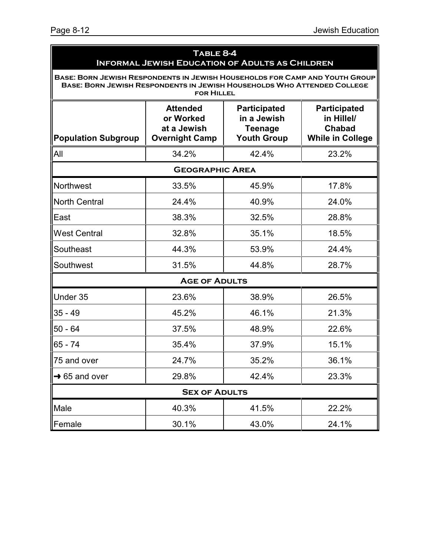| TABLE 8-4<br><b>INFORMAL JEWISH EDUCATION OF ADULTS AS CHILDREN</b>                                                                                                         |                                                                      |                                                                            |                                                                               |  |  |  |
|-----------------------------------------------------------------------------------------------------------------------------------------------------------------------------|----------------------------------------------------------------------|----------------------------------------------------------------------------|-------------------------------------------------------------------------------|--|--|--|
| BASE: BORN JEWISH RESPONDENTS IN JEWISH HOUSEHOLDS FOR CAMP AND YOUTH GROUP<br>BASE: BORN JEWISH RESPONDENTS IN JEWISH HOUSEHOLDS WHO ATTENDED COLLEGE<br><b>FOR HILLEL</b> |                                                                      |                                                                            |                                                                               |  |  |  |
| <b>Population Subgroup</b>                                                                                                                                                  | <b>Attended</b><br>or Worked<br>at a Jewish<br><b>Overnight Camp</b> | <b>Participated</b><br>in a Jewish<br><b>Teenage</b><br><b>Youth Group</b> | <b>Participated</b><br>in Hillel/<br><b>Chabad</b><br><b>While in College</b> |  |  |  |
| All                                                                                                                                                                         | 34.2%                                                                | 42.4%                                                                      | 23.2%                                                                         |  |  |  |
|                                                                                                                                                                             | <b>GEOGRAPHIC AREA</b>                                               |                                                                            |                                                                               |  |  |  |
| Northwest                                                                                                                                                                   | 33.5%                                                                | 45.9%                                                                      | 17.8%                                                                         |  |  |  |
| <b>North Central</b>                                                                                                                                                        | 24.4%                                                                | 40.9%                                                                      | 24.0%                                                                         |  |  |  |
| East                                                                                                                                                                        | 38.3%                                                                | 32.5%                                                                      | 28.8%                                                                         |  |  |  |
| <b>West Central</b>                                                                                                                                                         | 32.8%                                                                | 35.1%                                                                      | 18.5%                                                                         |  |  |  |
| Southeast                                                                                                                                                                   | 44.3%                                                                | 53.9%                                                                      | 24.4%                                                                         |  |  |  |
| Southwest                                                                                                                                                                   | 31.5%                                                                | 44.8%                                                                      | 28.7%                                                                         |  |  |  |
|                                                                                                                                                                             | <b>AGE OF ADULTS</b>                                                 |                                                                            |                                                                               |  |  |  |
| Under 35                                                                                                                                                                    | 23.6%                                                                | 38.9%                                                                      | 26.5%                                                                         |  |  |  |
| $35 - 49$                                                                                                                                                                   | 45.2%                                                                | 46.1%                                                                      | 21.3%                                                                         |  |  |  |
| $50 - 64$                                                                                                                                                                   | 37.5%                                                                | 48.9%                                                                      | 22.6%                                                                         |  |  |  |
| 65 - 74                                                                                                                                                                     | 35.4%                                                                | 37.9%                                                                      | 15.1%                                                                         |  |  |  |
| 75 and over                                                                                                                                                                 | 24.7%                                                                | 35.2%                                                                      | 36.1%                                                                         |  |  |  |
| $\rightarrow$ 65 and over                                                                                                                                                   | 29.8%                                                                | 42.4%                                                                      | 23.3%                                                                         |  |  |  |
| <b>SEX OF ADULTS</b>                                                                                                                                                        |                                                                      |                                                                            |                                                                               |  |  |  |
| Male                                                                                                                                                                        | 40.3%                                                                | 41.5%                                                                      | 22.2%                                                                         |  |  |  |
| Female                                                                                                                                                                      | 30.1%                                                                | 43.0%                                                                      | 24.1%                                                                         |  |  |  |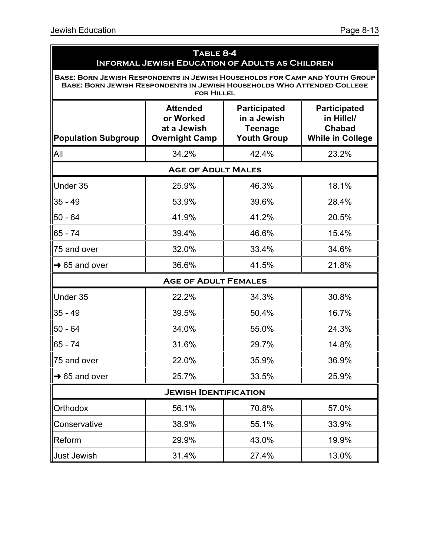|                                                                                                                                                        | TABLE 8-4<br><b>INFORMAL JEWISH EDUCATION OF ADULTS AS CHILDREN</b>  |                                                                            |                                                                               |  |  |  |
|--------------------------------------------------------------------------------------------------------------------------------------------------------|----------------------------------------------------------------------|----------------------------------------------------------------------------|-------------------------------------------------------------------------------|--|--|--|
| BASE: BORN JEWISH RESPONDENTS IN JEWISH HOUSEHOLDS FOR CAMP AND YOUTH GROUP<br>BASE: BORN JEWISH RESPONDENTS IN JEWISH HOUSEHOLDS WHO ATTENDED COLLEGE | <b>FOR HILLEL</b>                                                    |                                                                            |                                                                               |  |  |  |
| <b>Population Subgroup</b>                                                                                                                             | <b>Attended</b><br>or Worked<br>at a Jewish<br><b>Overnight Camp</b> | <b>Participated</b><br>in a Jewish<br><b>Teenage</b><br><b>Youth Group</b> | <b>Participated</b><br>in Hillel/<br><b>Chabad</b><br><b>While in College</b> |  |  |  |
| All                                                                                                                                                    | 34.2%                                                                | 42.4%                                                                      | 23.2%                                                                         |  |  |  |
|                                                                                                                                                        | <b>AGE OF ADULT MALES</b>                                            |                                                                            |                                                                               |  |  |  |
| Under 35                                                                                                                                               | 25.9%                                                                | 46.3%                                                                      | 18.1%                                                                         |  |  |  |
| $35 - 49$                                                                                                                                              | 53.9%                                                                | 39.6%                                                                      | 28.4%                                                                         |  |  |  |
| $50 - 64$                                                                                                                                              | 41.9%                                                                | 41.2%                                                                      | 20.5%                                                                         |  |  |  |
| $65 - 74$                                                                                                                                              | 39.4%                                                                | 46.6%                                                                      | 15.4%                                                                         |  |  |  |
| 75 and over                                                                                                                                            | 32.0%                                                                | 33.4%                                                                      | 34.6%                                                                         |  |  |  |
| $\rightarrow$ 65 and over                                                                                                                              | 36.6%                                                                | 41.5%                                                                      | 21.8%                                                                         |  |  |  |
|                                                                                                                                                        | <b>AGE OF ADULT FEMALES</b>                                          |                                                                            |                                                                               |  |  |  |
| Under 35                                                                                                                                               | 22.2%                                                                | 34.3%                                                                      | 30.8%                                                                         |  |  |  |
| $35 - 49$                                                                                                                                              | 39.5%                                                                | 50.4%                                                                      | 16.7%                                                                         |  |  |  |
| $50 - 64$                                                                                                                                              | 34.0%                                                                | 55.0%                                                                      | 24.3%                                                                         |  |  |  |
| 65 - 74                                                                                                                                                | 31.6%                                                                | 29.7%                                                                      | 14.8%                                                                         |  |  |  |
| 75 and over                                                                                                                                            | 22.0%                                                                | 35.9%                                                                      | 36.9%                                                                         |  |  |  |
| $\rightarrow$ 65 and over                                                                                                                              | 25.7%                                                                | 33.5%                                                                      | 25.9%                                                                         |  |  |  |
| <b>JEWISH IDENTIFICATION</b>                                                                                                                           |                                                                      |                                                                            |                                                                               |  |  |  |
| Orthodox                                                                                                                                               | 56.1%                                                                | 70.8%                                                                      | 57.0%                                                                         |  |  |  |
| Conservative                                                                                                                                           | 38.9%                                                                | 55.1%                                                                      | 33.9%                                                                         |  |  |  |
| Reform                                                                                                                                                 | 29.9%                                                                | 43.0%                                                                      | 19.9%                                                                         |  |  |  |
| Just Jewish                                                                                                                                            | 31.4%                                                                | 27.4%                                                                      | 13.0%                                                                         |  |  |  |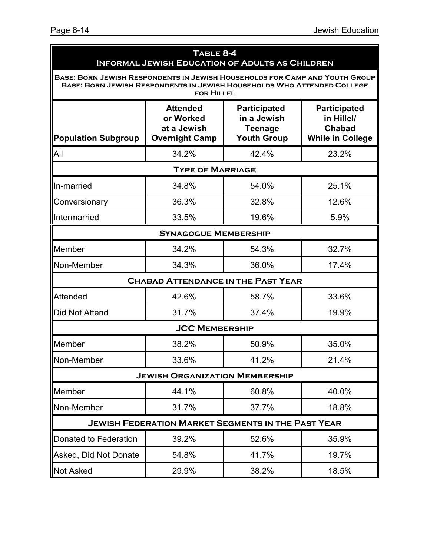| TABLE 8-4<br><b>INFORMAL JEWISH EDUCATION OF ADULTS AS CHILDREN</b>                                                                                    |                                                                      |                                                                            |                                                                               |  |  |
|--------------------------------------------------------------------------------------------------------------------------------------------------------|----------------------------------------------------------------------|----------------------------------------------------------------------------|-------------------------------------------------------------------------------|--|--|
| BASE: BORN JEWISH RESPONDENTS IN JEWISH HOUSEHOLDS FOR CAMP AND YOUTH GROUP<br>BASE: BORN JEWISH RESPONDENTS IN JEWISH HOUSEHOLDS WHO ATTENDED COLLEGE | <b>FOR HILLEL</b>                                                    |                                                                            |                                                                               |  |  |
| <b>Population Subgroup</b>                                                                                                                             | <b>Attended</b><br>or Worked<br>at a Jewish<br><b>Overnight Camp</b> | <b>Participated</b><br>in a Jewish<br><b>Teenage</b><br><b>Youth Group</b> | <b>Participated</b><br>in Hillel/<br><b>Chabad</b><br><b>While in College</b> |  |  |
| All                                                                                                                                                    | 34.2%                                                                | 42.4%                                                                      | 23.2%                                                                         |  |  |
|                                                                                                                                                        | <b>TYPE OF MARRIAGE</b>                                              |                                                                            |                                                                               |  |  |
| In-married                                                                                                                                             | 34.8%                                                                | 54.0%                                                                      | 25.1%                                                                         |  |  |
| Conversionary                                                                                                                                          | 36.3%                                                                | 32.8%                                                                      | 12.6%                                                                         |  |  |
| Intermarried                                                                                                                                           | 33.5%                                                                | 19.6%                                                                      | 5.9%                                                                          |  |  |
|                                                                                                                                                        | <b>SYNAGOGUE MEMBERSHIP</b>                                          |                                                                            |                                                                               |  |  |
| Member                                                                                                                                                 | 34.2%                                                                | 54.3%                                                                      | 32.7%                                                                         |  |  |
| Non-Member                                                                                                                                             | 34.3%                                                                | 36.0%                                                                      | 17.4%                                                                         |  |  |
|                                                                                                                                                        | <b>CHABAD ATTENDANCE IN THE PAST YEAR</b>                            |                                                                            |                                                                               |  |  |
| <b>Attended</b>                                                                                                                                        | 42.6%                                                                | 58.7%                                                                      | 33.6%                                                                         |  |  |
| Did Not Attend                                                                                                                                         | 31.7%                                                                | 37.4%                                                                      | 19.9%                                                                         |  |  |
|                                                                                                                                                        | <b>JCC MEMBERSHIP</b>                                                |                                                                            |                                                                               |  |  |
| Member                                                                                                                                                 | 38.2%                                                                | 50.9%                                                                      | 35.0%                                                                         |  |  |
| Non-Member                                                                                                                                             | 33.6%                                                                | 41.2%                                                                      | 21.4%                                                                         |  |  |
|                                                                                                                                                        | <b>JEWISH ORGANIZATION MEMBERSHIP</b>                                |                                                                            |                                                                               |  |  |
| Member                                                                                                                                                 | 44.1%                                                                | 60.8%                                                                      | 40.0%                                                                         |  |  |
| Non-Member                                                                                                                                             | 31.7%                                                                | 37.7%                                                                      | 18.8%                                                                         |  |  |
|                                                                                                                                                        | <b>JEWISH FEDERATION MARKET SEGMENTS IN THE PAST YEAR</b>            |                                                                            |                                                                               |  |  |
| Donated to Federation                                                                                                                                  | 39.2%                                                                | 52.6%                                                                      | 35.9%                                                                         |  |  |
| Asked, Did Not Donate                                                                                                                                  | 54.8%                                                                | 41.7%                                                                      | 19.7%                                                                         |  |  |
| <b>Not Asked</b>                                                                                                                                       | 29.9%                                                                | 38.2%                                                                      | 18.5%                                                                         |  |  |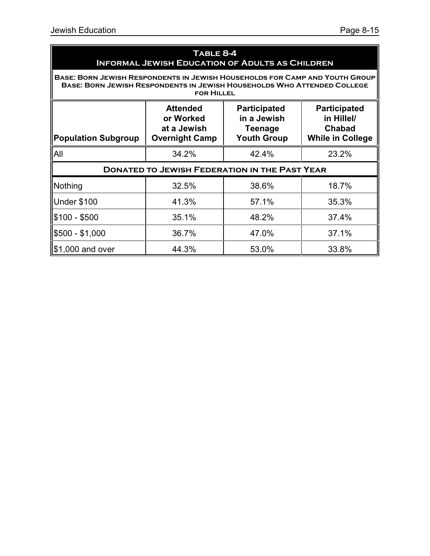| TABLE 8-4<br><b>INFORMAL JEWISH EDUCATION OF ADULTS AS CHILDREN</b>                                                                                                                                                                                        |                                                      |       |       |  |  |  |  |
|------------------------------------------------------------------------------------------------------------------------------------------------------------------------------------------------------------------------------------------------------------|------------------------------------------------------|-------|-------|--|--|--|--|
| BASE: BORN JEWISH RESPONDENTS IN JEWISH HOUSEHOLDS FOR CAMP AND YOUTH GROUP<br>BASE: BORN JEWISH RESPONDENTS IN JEWISH HOUSEHOLDS WHO ATTENDED COLLEGE<br><b>FOR HILLEL</b>                                                                                |                                                      |       |       |  |  |  |  |
| <b>Attended</b><br><b>Participated</b><br><b>Participated</b><br>in a Jewish<br>in Hillel/<br>or Worked<br>at a Jewish<br><b>Chabad</b><br>Teenage<br><b>Overnight Camp</b><br><b>Youth Group</b><br><b>While in College</b><br><b>Population Subgroup</b> |                                                      |       |       |  |  |  |  |
| <b>All</b>                                                                                                                                                                                                                                                 | 34.2%                                                | 42.4% | 23.2% |  |  |  |  |
|                                                                                                                                                                                                                                                            | <b>DONATED TO JEWISH FEDERATION IN THE PAST YEAR</b> |       |       |  |  |  |  |
| Nothing                                                                                                                                                                                                                                                    | 32.5%                                                | 38.6% | 18.7% |  |  |  |  |
| Under \$100                                                                                                                                                                                                                                                | 41.3%                                                | 57.1% | 35.3% |  |  |  |  |
| $$100 - $500$                                                                                                                                                                                                                                              | 35.1%                                                | 48.2% | 37.4% |  |  |  |  |
| \$500 - \$1,000                                                                                                                                                                                                                                            | 36.7%                                                | 47.0% | 37.1% |  |  |  |  |
| $\parallel$ \$1,000 and over                                                                                                                                                                                                                               | 44.3%                                                | 53.0% | 33.8% |  |  |  |  |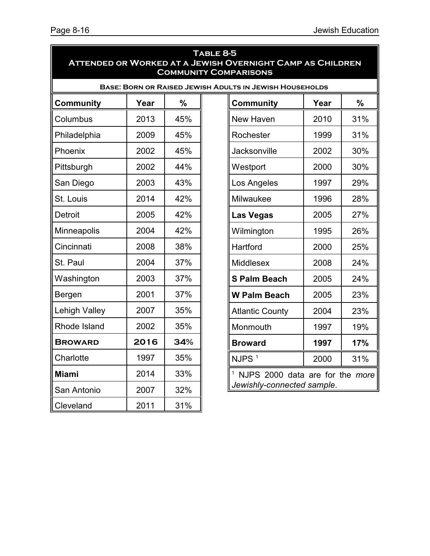| TABLE 8-5<br><b>ATTENDED OR WORKED AT A JEWISH OVERNIGHT CAMP AS CHILDREN</b><br><b>COMMUNITY COMPARISONS</b> |      |     |                                              |                                                                |      |     |
|---------------------------------------------------------------------------------------------------------------|------|-----|----------------------------------------------|----------------------------------------------------------------|------|-----|
|                                                                                                               |      |     |                                              | <b>BASE: BORN OR RAISED JEWISH ADULTS IN JEWISH HOUSEHOLDS</b> |      |     |
| <b>Community</b>                                                                                              | Year | %   |                                              | <b>Community</b>                                               | Year | %   |
| Columbus                                                                                                      | 2013 | 45% |                                              | New Haven                                                      | 2010 | 31% |
| Philadelphia                                                                                                  | 2009 | 45% |                                              | Rochester                                                      | 1999 | 31% |
| Phoenix                                                                                                       | 2002 | 45% |                                              | Jacksonville                                                   | 2002 | 30% |
| Pittsburgh                                                                                                    | 2002 | 44% |                                              | Westport                                                       | 2000 | 30% |
| San Diego                                                                                                     | 2003 | 43% |                                              | Los Angeles                                                    | 1997 | 29% |
| St. Louis                                                                                                     | 2014 | 42% |                                              | Milwaukee                                                      | 1996 | 28% |
| <b>Detroit</b>                                                                                                | 2005 | 42% |                                              | <b>Las Vegas</b>                                               | 2005 | 27% |
| Minneapolis                                                                                                   | 2004 | 42% |                                              | Wilmington                                                     | 1995 | 26% |
| Cincinnati                                                                                                    | 2008 | 38% |                                              | Hartford                                                       | 2000 | 25% |
| St. Paul                                                                                                      | 2004 | 37% |                                              | Middlesex                                                      | 2008 | 24% |
| Washington                                                                                                    | 2003 | 37% |                                              | <b>S Palm Beach</b>                                            | 2005 | 24% |
| Bergen                                                                                                        | 2001 | 37% |                                              | <b>W Palm Beach</b>                                            | 2005 | 23% |
| Lehigh Valley                                                                                                 | 2007 | 35% |                                              | <b>Atlantic County</b>                                         | 2004 | 23% |
| Rhode Island                                                                                                  | 2002 | 35% |                                              | Monmouth                                                       | 1997 | 19% |
| <b>BROWARD</b>                                                                                                | 2016 | 34% |                                              | <b>Broward</b>                                                 | 1997 | 17% |
| Charlotte                                                                                                     | 1997 | 35% |                                              | NJPS <sup>1</sup>                                              | 2000 | 31% |
| <b>Miami</b>                                                                                                  | 2014 | 33% | <sup>1</sup> NJPS 2000 data are for the more |                                                                |      |     |
| San Antonio                                                                                                   | 2007 | 32% |                                              | Jewishly-connected sample.                                     |      |     |
| Cleveland                                                                                                     | 2011 | 31% |                                              |                                                                |      |     |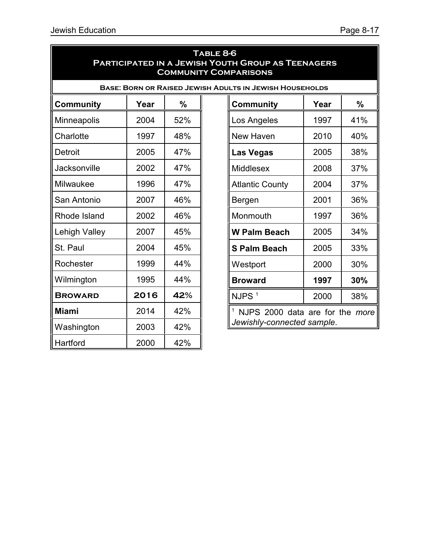| TABLE 8-6<br><b>PARTICIPATED IN A JEWISH YOUTH GROUP AS TEENAGERS</b><br><b>COMMUNITY COMPARISONS</b> |      |               |  |                                                     |      |     |  |  |
|-------------------------------------------------------------------------------------------------------|------|---------------|--|-----------------------------------------------------|------|-----|--|--|
| <b>BASE: BORN OR RAISED JEWISH ADULTS IN JEWISH HOUSEHOLDS</b>                                        |      |               |  |                                                     |      |     |  |  |
| <b>Community</b>                                                                                      | Year | $\frac{0}{0}$ |  | <b>Community</b>                                    | Year | %   |  |  |
| Minneapolis                                                                                           | 2004 | 52%           |  | Los Angeles                                         | 1997 | 41% |  |  |
| Charlotte                                                                                             | 1997 | 48%           |  | New Haven                                           | 2010 | 40% |  |  |
| Detroit                                                                                               | 2005 | 47%           |  | <b>Las Vegas</b>                                    | 2005 | 38% |  |  |
| Jacksonville                                                                                          | 2002 | 47%           |  | Middlesex<br>2008<br>37%                            |      |     |  |  |
| Milwaukee                                                                                             | 1996 | 47%           |  | 2004<br><b>Atlantic County</b><br>37%               |      |     |  |  |
| San Antonio                                                                                           | 2007 | 46%           |  | Bergen                                              | 2001 | 36% |  |  |
| Rhode Island                                                                                          | 2002 | 46%           |  | Monmouth                                            |      | 36% |  |  |
| <b>Lehigh Valley</b>                                                                                  | 2007 | 45%           |  | <b>W Palm Beach</b>                                 |      | 34% |  |  |
| St. Paul                                                                                              | 2004 | 45%           |  | <b>S Palm Beach</b>                                 | 2005 | 33% |  |  |
| Rochester                                                                                             | 1999 | 44%           |  | Westport                                            | 2000 | 30% |  |  |
| Wilmington                                                                                            | 1995 | 44%           |  | <b>Broward</b>                                      | 1997 | 30% |  |  |
| <b>BROWARD</b>                                                                                        | 2016 | 42%           |  | NJPS <sup>1</sup>                                   | 2000 | 38% |  |  |
| <b>Miami</b>                                                                                          | 2014 | 42%           |  | <sup>1</sup> NJPS 2000 data are for the <i>more</i> |      |     |  |  |
| Washington                                                                                            | 2003 | 42%           |  | Jewishly-connected sample.                          |      |     |  |  |
| Hartford                                                                                              | 2000 | 42%           |  |                                                     |      |     |  |  |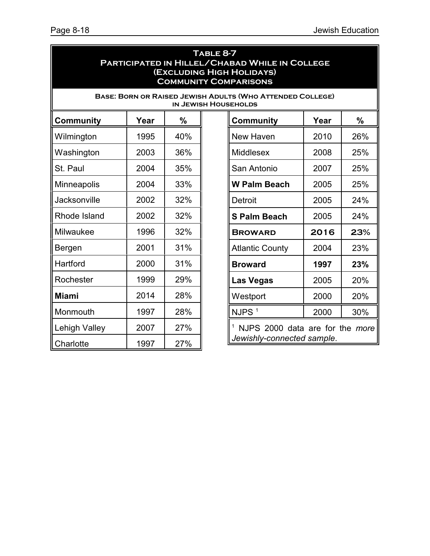| TABLE 8-7<br>PARTICIPATED IN HILLEL/CHABAD WHILE IN COLLEGE<br>(EXCLUDING HIGH HOLIDAYS)<br><b>COMMUNITY COMPARISONS</b> |      |               |                                    |                                                                                                 |      |     |  |  |
|--------------------------------------------------------------------------------------------------------------------------|------|---------------|------------------------------------|-------------------------------------------------------------------------------------------------|------|-----|--|--|
|                                                                                                                          |      |               |                                    | <b>BASE: BORN OR RAISED JEWISH ADULTS (WHO ATTENDED COLLEGE)</b><br><b>IN JEWISH HOUSEHOLDS</b> |      |     |  |  |
| <b>Community</b>                                                                                                         | Year | $\frac{0}{0}$ | $\frac{0}{0}$<br>Year<br>Community |                                                                                                 |      |     |  |  |
| Wilmington                                                                                                               | 1995 | 40%           |                                    | <b>New Haven</b>                                                                                | 2010 | 26% |  |  |
| Washington                                                                                                               | 2003 | 36%           |                                    | Middlesex                                                                                       | 2008 | 25% |  |  |
| St. Paul                                                                                                                 | 2004 | 35%           |                                    | 2007<br>25%<br>San Antonio                                                                      |      |     |  |  |
| <b>Minneapolis</b>                                                                                                       | 2004 | 33%           |                                    | 2005<br>25%<br><b>W Palm Beach</b>                                                              |      |     |  |  |
| Jacksonville                                                                                                             | 2002 | 32%           | 2005<br>Detroit                    |                                                                                                 |      | 24% |  |  |
| Rhode Island                                                                                                             | 2002 | 32%           |                                    | 2005<br>24%<br><b>S Palm Beach</b>                                                              |      |     |  |  |
| Milwaukee                                                                                                                | 1996 | 32%           |                                    | 2016<br><b>BROWARD</b>                                                                          |      | 23% |  |  |
| Bergen                                                                                                                   | 2001 | 31%           |                                    | <b>Atlantic County</b>                                                                          | 2004 | 23% |  |  |
| Hartford                                                                                                                 | 2000 | 31%           |                                    | <b>Broward</b>                                                                                  | 1997 | 23% |  |  |
| Rochester                                                                                                                | 1999 | 29%           |                                    | <b>Las Vegas</b>                                                                                | 2005 | 20% |  |  |
| <b>Miami</b>                                                                                                             | 2014 | 28%           |                                    | Westport                                                                                        | 2000 | 20% |  |  |
| Monmouth                                                                                                                 | 1997 | 28%           |                                    | NJPS <sup>1</sup>                                                                               | 2000 | 30% |  |  |
| <b>Lehigh Valley</b>                                                                                                     | 2007 | 27%           |                                    | <sup>1</sup> NJPS 2000 data are for the <i>more</i>                                             |      |     |  |  |
| Charlotte                                                                                                                | 1997 | 27%           |                                    | Jewishly-connected sample.                                                                      |      |     |  |  |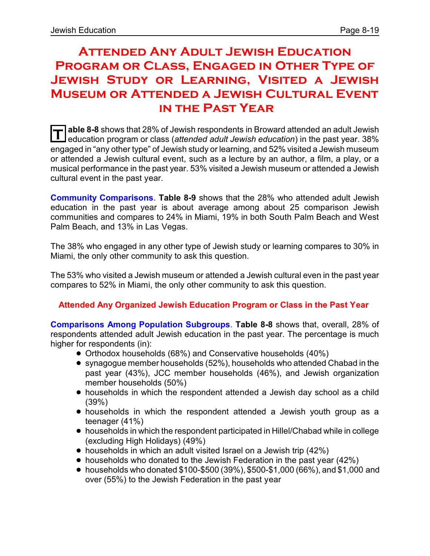### **Attended Any Adult Jewish Education Program or Class, Engaged in Other Type of Jewish Study or Learning, Visited a Jewish Museum or Attended a Jewish Cultural Event in the Past Year**

**T able 8-8** shows that 28% of Jewish respondents in Broward attended an adult Jewish education program or class (*attended adult Jewish education*) in the past year. 38% engaged in "any other type" of Jewish study or learning, and 52% visited a Jewish museum or attended a Jewish cultural event, such as a lecture by an author, a film, a play, or a musical performance in the past year. 53% visited a Jewish museum or attended a Jewish cultural event in the past year.

**Community Comparisons**. **Table 8-9** shows that the 28% who attended adult Jewish education in the past year is about average among about 25 comparison Jewish communities and compares to 24% in Miami, 19% in both South Palm Beach and West Palm Beach, and 13% in Las Vegas.

The 38% who engaged in any other type of Jewish study or learning compares to 30% in Miami, the only other community to ask this question.

The 53% who visited a Jewish museum or attended a Jewish cultural even in the past year compares to 52% in Miami, the only other community to ask this question.

#### **Attended Any Organized Jewish Education Program or Class in the Past Year**

**Comparisons Among Population Subgroups**. **Table 8-8** shows that, overall, 28% of respondents attended adult Jewish education in the past year. The percentage is much higher for respondents (in):

- ! Orthodox households (68%) and Conservative households (40%)
- synagogue member households (52%), households who attended Chabad in the past year (43%), JCC member households (46%), and Jewish organization member households (50%)
- households in which the respondent attended a Jewish day school as a child (39%)
- ! households in which the respondent attended a Jewish youth group as a teenager (41%)
- ! households in which the respondent participated in Hillel/Chabad while in college (excluding High Holidays) (49%)
- households in which an adult visited Israel on a Jewish trip (42%)
- $\bullet$  households who donated to the Jewish Federation in the past year (42%)
- $\bullet$  households who donated \$100-\$500 (39%), \$500-\$1,000 (66%), and \$1,000 and over (55%) to the Jewish Federation in the past year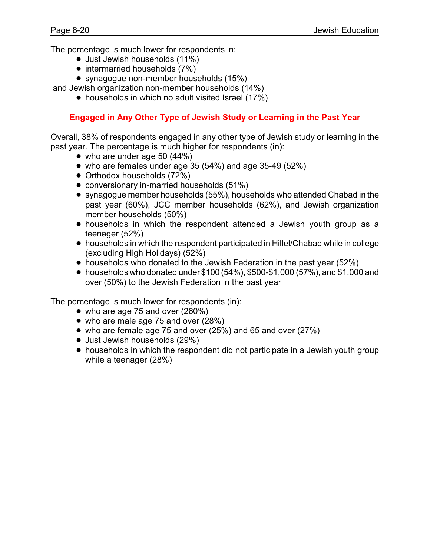The percentage is much lower for respondents in:

- Just Jewish households (11%)
- intermarried households (7%)
- synagogue non-member households (15%)

and Jewish organization non-member households (14%)

• households in which no adult visited Israel (17%)

#### **Engaged in Any Other Type of Jewish Study or Learning in the Past Year**

Overall, 38% of respondents engaged in any other type of Jewish study or learning in the past year. The percentage is much higher for respondents (in):

- $\bullet$  who are under age 50 (44%)
- $\bullet$  who are females under age 35 (54%) and age 35-49 (52%)
- Orthodox households (72%)
- conversionary in-married households (51%)
- synagogue member households (55%), households who attended Chabad in the past year (60%), JCC member households (62%), and Jewish organization member households (50%)
- households in which the respondent attended a Jewish youth group as a teenager (52%)
- ! households in which the respondent participated in Hillel/Chabad while in college (excluding High Holidays) (52%)
- households who donated to the Jewish Federation in the past year (52%)
- $\bullet$  households who donated under \$100 (54%), \$500-\$1,000 (57%), and \$1,000 and over (50%) to the Jewish Federation in the past year

The percentage is much lower for respondents (in):

- $\bullet$  who are age 75 and over (260%)
- who are male age 75 and over (28%)
- who are female age 75 and over (25%) and 65 and over (27%)
- Just Jewish households (29%)
- households in which the respondent did not participate in a Jewish youth group while a teenager (28%)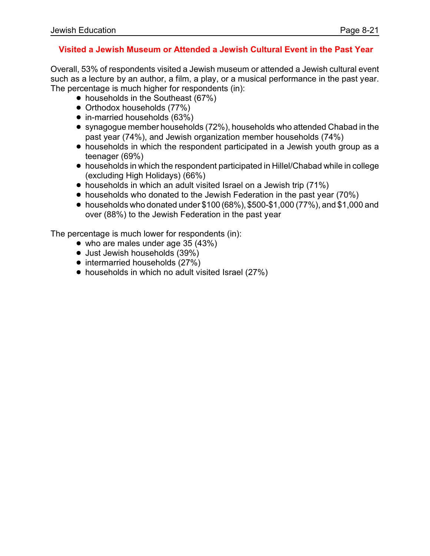#### **Visited a Jewish Museum or Attended a Jewish Cultural Event in the Past Year**

Overall, 53% of respondents visited a Jewish museum or attended a Jewish cultural event such as a lecture by an author, a film, a play, or a musical performance in the past year. The percentage is much higher for respondents (in):

- households in the Southeast (67%)
- Orthodox households (77%)
- in-married households (63%)
- ! synagogue member households (72%), households who attended Chabad in the past year (74%), and Jewish organization member households (74%)
- households in which the respondent participated in a Jewish youth group as a teenager (69%)
- ! households in which the respondent participated in Hillel/Chabad while in college (excluding High Holidays) (66%)
- households in which an adult visited Israel on a Jewish trip (71%)
- households who donated to the Jewish Federation in the past year (70%)
- $\bullet$  households who donated under \$100 (68%), \$500-\$1,000 (77%), and \$1,000 and over (88%) to the Jewish Federation in the past year

The percentage is much lower for respondents (in):

- $\bullet$  who are males under age 35 (43%)
- Just Jewish households (39%)
- intermarried households (27%)
- households in which no adult visited Israel (27%)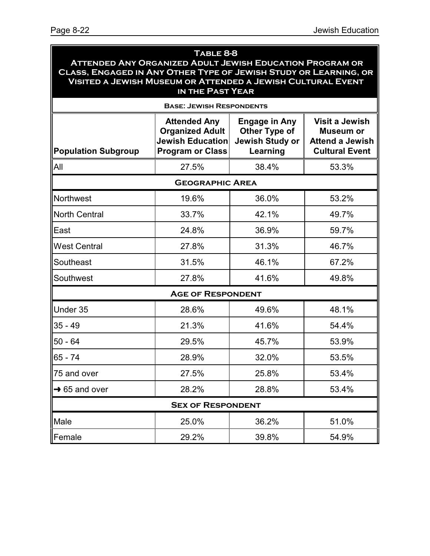| TABLE 8-8<br><b>ATTENDED ANY ORGANIZED ADULT JEWISH EDUCATION PROGRAM OR</b><br>CLASS, ENGAGED IN ANY OTHER TYPE OF JEWISH STUDY OR LEARNING, OR<br>VISITED A JEWISH MUSEUM OR ATTENDED A JEWISH CULTURAL EVENT<br>IN THE PAST YEAR |                                                                                                     |                                                                             |                                                                                              |  |
|-------------------------------------------------------------------------------------------------------------------------------------------------------------------------------------------------------------------------------------|-----------------------------------------------------------------------------------------------------|-----------------------------------------------------------------------------|----------------------------------------------------------------------------------------------|--|
|                                                                                                                                                                                                                                     | <b>BASE: JEWISH RESPONDENTS</b>                                                                     |                                                                             |                                                                                              |  |
| <b>Population Subgroup</b>                                                                                                                                                                                                          | <b>Attended Any</b><br><b>Organized Adult</b><br><b>Jewish Education</b><br><b>Program or Class</b> | <b>Engage in Any</b><br><b>Other Type of</b><br>Jewish Study or<br>Learning | <b>Visit a Jewish</b><br><b>Museum or</b><br><b>Attend a Jewish</b><br><b>Cultural Event</b> |  |
| All                                                                                                                                                                                                                                 | 27.5%                                                                                               | 38.4%                                                                       | 53.3%                                                                                        |  |
|                                                                                                                                                                                                                                     | <b>GEOGRAPHIC AREA</b>                                                                              |                                                                             |                                                                                              |  |
| Northwest                                                                                                                                                                                                                           | 19.6%                                                                                               | 36.0%                                                                       | 53.2%                                                                                        |  |
| <b>North Central</b>                                                                                                                                                                                                                | 33.7%                                                                                               | 42.1%                                                                       | 49.7%                                                                                        |  |
| East                                                                                                                                                                                                                                | 24.8%                                                                                               | 36.9%                                                                       | 59.7%                                                                                        |  |
| <b>West Central</b>                                                                                                                                                                                                                 | 27.8%                                                                                               | 31.3%                                                                       | 46.7%                                                                                        |  |
| Southeast                                                                                                                                                                                                                           | 31.5%                                                                                               | 46.1%                                                                       | 67.2%                                                                                        |  |
| Southwest                                                                                                                                                                                                                           | 27.8%                                                                                               | 41.6%                                                                       | 49.8%                                                                                        |  |
|                                                                                                                                                                                                                                     | <b>AGE OF RESPONDENT</b>                                                                            |                                                                             |                                                                                              |  |
| Under 35                                                                                                                                                                                                                            | 28.6%                                                                                               | 49.6%                                                                       | 48.1%                                                                                        |  |
| $35 - 49$                                                                                                                                                                                                                           | 21.3%                                                                                               | 41.6%                                                                       | 54.4%                                                                                        |  |
| $50 - 64$                                                                                                                                                                                                                           | 29.5%                                                                                               | 45.7%                                                                       | 53.9%                                                                                        |  |
| $65 - 74$                                                                                                                                                                                                                           | 28.9%                                                                                               | 32.0%                                                                       | 53.5%                                                                                        |  |
| 75 and over                                                                                                                                                                                                                         | 27.5%                                                                                               | 25.8%                                                                       | 53.4%                                                                                        |  |
| $\rightarrow$ 65 and over                                                                                                                                                                                                           | 28.2%                                                                                               | 28.8%                                                                       | 53.4%                                                                                        |  |
|                                                                                                                                                                                                                                     | <b>SEX OF RESPONDENT</b>                                                                            |                                                                             |                                                                                              |  |
| Male                                                                                                                                                                                                                                | 25.0%                                                                                               | 36.2%                                                                       | 51.0%                                                                                        |  |
| Female                                                                                                                                                                                                                              | 29.2%                                                                                               | 39.8%                                                                       | 54.9%                                                                                        |  |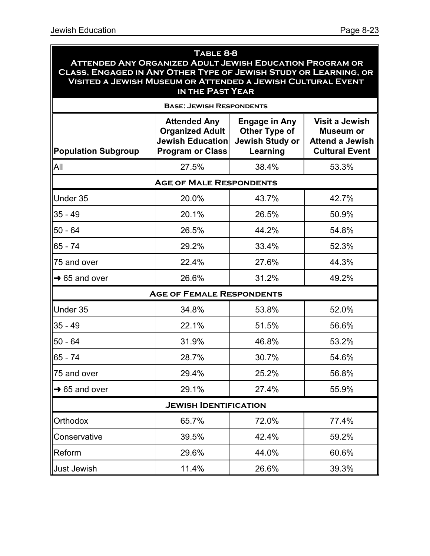### **Table 8-8 Attended Any Organized Adult Jewish Education Program or Class, Engaged in Any Other Type of Jewish Study or Learning, or Visited a Jewish Museum or Attended a Jewish Cultural Event in the Past Year Base: Jewish Respondents Population Subgroup Attended Any Organized Adult Jewish Education Program or Class Engage in Any Other Type of Jewish Study or Learning Visit a Jewish Museum or Attend a Jewish Cultural Event** All 27.5% 38.4% 53.3% **Age of Male Respondents** Under 35 20.0% 43.7% 42.7% 35 - 49 20.1% 26.5% 50.9% 50 - 64 26.5% 44.2% 54.8% 65 - 74 29.2% 33.4% 52.3% 75 and over 22.4% 27.6% 44.3%  $\rightarrow$  65 and over  $\qquad \qquad$  26.6% 31.2% 26.6% **Age of Female Respondents** Under 35 34.8% 53.8% 52.0% 35 - 49 22.1% 51.5% 56.6% 50 - 64 31.9% 46.8% 53.2% 65 - 74 28.7% 30.7% 54.6% 75 and over 29.4% 25.2% 56.8%  $\rightarrow$  65 and over  $\vert$  29.1%  $\vert$  27.4%  $\vert$  55.9% **Jewish Identification** Orthodox 65.7% 72.0% 77.4% Conservative 39.5% 42.4% 59.2% Reform | 29.6% | 44.0% | 60.6% Just Jewish 11.4% 26.6% 39.3%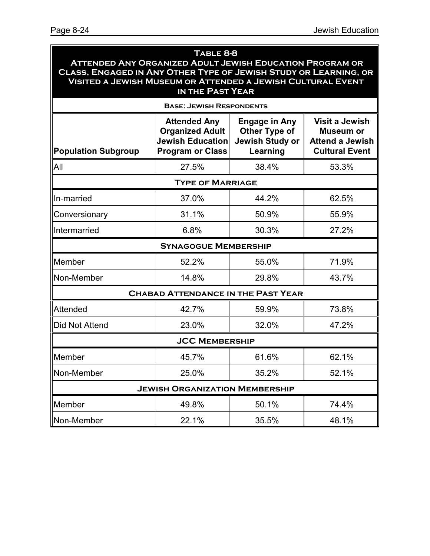| TABLE 8-8<br><b>ATTENDED ANY ORGANIZED ADULT JEWISH EDUCATION PROGRAM OR</b><br>CLASS, ENGAGED IN ANY OTHER TYPE OF JEWISH STUDY OR LEARNING, OR<br><b>VISITED A JEWISH MUSEUM OR ATTENDED A JEWISH CULTURAL EVENT</b><br>IN THE PAST YEAR |                                                                                                     |                                                                             |                                                                                              |  |
|--------------------------------------------------------------------------------------------------------------------------------------------------------------------------------------------------------------------------------------------|-----------------------------------------------------------------------------------------------------|-----------------------------------------------------------------------------|----------------------------------------------------------------------------------------------|--|
|                                                                                                                                                                                                                                            | <b>BASE: JEWISH RESPONDENTS</b>                                                                     |                                                                             |                                                                                              |  |
| <b>Population Subgroup</b>                                                                                                                                                                                                                 | <b>Attended Any</b><br><b>Organized Adult</b><br><b>Jewish Education</b><br><b>Program or Class</b> | <b>Engage in Any</b><br><b>Other Type of</b><br>Jewish Study or<br>Learning | <b>Visit a Jewish</b><br><b>Museum or</b><br><b>Attend a Jewish</b><br><b>Cultural Event</b> |  |
| All                                                                                                                                                                                                                                        | 27.5%                                                                                               | 38.4%                                                                       | 53.3%                                                                                        |  |
|                                                                                                                                                                                                                                            | <b>TYPE OF MARRIAGE</b>                                                                             |                                                                             |                                                                                              |  |
| In-married                                                                                                                                                                                                                                 | 37.0%                                                                                               | 44.2%                                                                       | 62.5%                                                                                        |  |
| Conversionary                                                                                                                                                                                                                              | 31.1%                                                                                               | 50.9%                                                                       | 55.9%                                                                                        |  |
| Intermarried                                                                                                                                                                                                                               | 6.8%                                                                                                | 30.3%                                                                       | 27.2%                                                                                        |  |
|                                                                                                                                                                                                                                            | <b>SYNAGOGUE MEMBERSHIP</b>                                                                         |                                                                             |                                                                                              |  |
| Member                                                                                                                                                                                                                                     | 52.2%                                                                                               | 55.0%                                                                       | 71.9%                                                                                        |  |
| Non-Member                                                                                                                                                                                                                                 | 14.8%                                                                                               | 29.8%                                                                       | 43.7%                                                                                        |  |
|                                                                                                                                                                                                                                            | <b>CHABAD ATTENDANCE IN THE PAST YEAR</b>                                                           |                                                                             |                                                                                              |  |
| Attended                                                                                                                                                                                                                                   | 42.7%                                                                                               | 59.9%                                                                       | 73.8%                                                                                        |  |
| <b>Did Not Attend</b>                                                                                                                                                                                                                      | 23.0%                                                                                               | 32.0%                                                                       | 47.2%                                                                                        |  |
|                                                                                                                                                                                                                                            | <b>JCC MEMBERSHIP</b>                                                                               |                                                                             |                                                                                              |  |
| Member                                                                                                                                                                                                                                     | 45.7%                                                                                               | 61.6%                                                                       | 62.1%                                                                                        |  |
| Non-Member                                                                                                                                                                                                                                 | 25.0%                                                                                               | 35.2%                                                                       | 52.1%                                                                                        |  |
|                                                                                                                                                                                                                                            | <b>JEWISH ORGANIZATION MEMBERSHIP</b>                                                               |                                                                             |                                                                                              |  |
| Member                                                                                                                                                                                                                                     | 49.8%                                                                                               | 50.1%                                                                       | 74.4%                                                                                        |  |

Non-Member 22.1% 35.5% 48.1%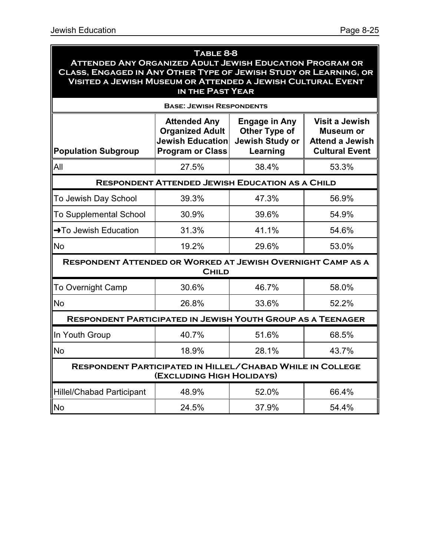#### **Table 8-8 Attended Any Organized Adult Jewish Education Program or Class, Engaged in Any Other Type of Jewish Study or Learning, or Visited a Jewish Museum or Attended a Jewish Cultural Event in the Past Year**

| <b>BASE: JEWISH RESPONDENTS</b>                                                               |                                                                                                     |                                                                             |                                                                                       |  |  |
|-----------------------------------------------------------------------------------------------|-----------------------------------------------------------------------------------------------------|-----------------------------------------------------------------------------|---------------------------------------------------------------------------------------|--|--|
| <b>Population Subgroup</b>                                                                    | <b>Attended Any</b><br><b>Organized Adult</b><br><b>Jewish Education</b><br><b>Program or Class</b> | <b>Engage in Any</b><br><b>Other Type of</b><br>Jewish Study or<br>Learning | <b>Visit a Jewish</b><br>Museum or<br><b>Attend a Jewish</b><br><b>Cultural Event</b> |  |  |
| All                                                                                           | 27.5%                                                                                               | 38.4%                                                                       | 53.3%                                                                                 |  |  |
|                                                                                               | <b>RESPONDENT ATTENDED JEWISH EDUCATION AS A CHILD</b>                                              |                                                                             |                                                                                       |  |  |
| To Jewish Day School                                                                          | 39.3%                                                                                               | 47.3%                                                                       | 56.9%                                                                                 |  |  |
| <b>To Supplemental School</b>                                                                 | 30.9%                                                                                               | 39.6%                                                                       | 54.9%                                                                                 |  |  |
| →To Jewish Education                                                                          | 31.3%                                                                                               | 41.1%                                                                       | 54.6%                                                                                 |  |  |
| <b>No</b>                                                                                     | 19.2%                                                                                               | 29.6%                                                                       | 53.0%                                                                                 |  |  |
| <b>RESPONDENT ATTENDED OR WORKED AT JEWISH OVERNIGHT CAMP AS A</b>                            | <b>CHILD</b>                                                                                        |                                                                             |                                                                                       |  |  |
| <b>To Overnight Camp</b>                                                                      | 30.6%                                                                                               | 46.7%                                                                       | 58.0%                                                                                 |  |  |
| <b>No</b>                                                                                     | 26.8%                                                                                               | 33.6%                                                                       | 52.2%                                                                                 |  |  |
| <b>RESPONDENT PARTICIPATED IN JEWISH YOUTH GROUP AS A TEENAGER</b>                            |                                                                                                     |                                                                             |                                                                                       |  |  |
| In Youth Group                                                                                | 40.7%                                                                                               | 51.6%                                                                       | 68.5%                                                                                 |  |  |
| <b>No</b>                                                                                     | 18.9%                                                                                               | 28.1%                                                                       | 43.7%                                                                                 |  |  |
| <b>RESPONDENT PARTICIPATED IN HILLEL/CHABAD WHILE IN COLLEGE</b><br>(EXCLUDING HIGH HOLIDAYS) |                                                                                                     |                                                                             |                                                                                       |  |  |
| <b>Hillel/Chabad Participant</b>                                                              | 48.9%                                                                                               | 52.0%                                                                       | 66.4%                                                                                 |  |  |
| <b>No</b>                                                                                     | 24.5%                                                                                               | 37.9%                                                                       | 54.4%                                                                                 |  |  |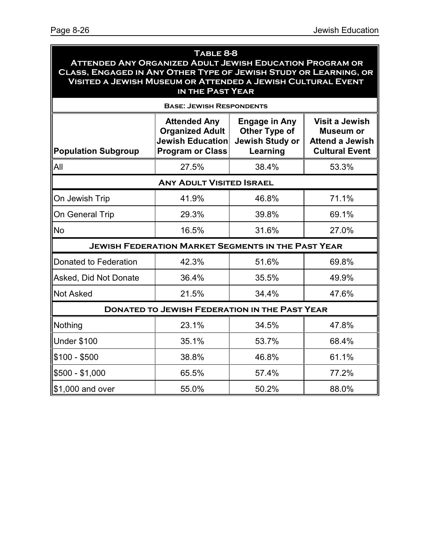#### **Table 8-8 Attended Any Organized Adult Jewish Education Program or Class, Engaged in Any Other Type of Jewish Study or Learning, or Visited a Jewish Museum or Attended a Jewish Cultural Event in the Past Year Base: Jewish Respondents Population Subgroup Attended Any Organized Adult Jewish Education Program or Class Engage in Any Other Type of Jewish Study or Learning Visit a Jewish Museum or Attend a Jewish Cultural Event**

| IAll                                                      | 27.5% | 38.4% | 53.3% |  |  |  |  |
|-----------------------------------------------------------|-------|-------|-------|--|--|--|--|
| <b>ANY ADULT VISITED ISRAEL</b>                           |       |       |       |  |  |  |  |
| On Jewish Trip                                            | 41.9% | 46.8% | 71.1% |  |  |  |  |
| On General Trip                                           | 29.3% | 39.8% | 69.1% |  |  |  |  |
| No                                                        | 16.5% | 31.6% | 27.0% |  |  |  |  |
| <b>JEWISH FEDERATION MARKET SEGMENTS IN THE PAST YEAR</b> |       |       |       |  |  |  |  |

| Donated to Federation | 42.3% | 51.6% | 69.8% |  |  |  |
|-----------------------|-------|-------|-------|--|--|--|
| Asked, Did Not Donate | 36.4% | 35.5% | 49.9% |  |  |  |
| <b>Not Asked</b>      | 21.5% | 34.4% | 47.6% |  |  |  |

| <b>DONATED TO JEWISH FEDERATION IN THE PAST YEAR</b> |       |       |       |  |  |
|------------------------------------------------------|-------|-------|-------|--|--|
| Nothing                                              | 23.1% | 34.5% | 47.8% |  |  |
| <b>Under \$100</b>                                   | 35.1% | 53.7% | 68.4% |  |  |

 $$100 - $500$   $]$   $38.8\%$   $]$   $46.8\%$   $]$  61.1%

\$500 - \$1,000 65.5% 57.4% 77.2%

\$1,000 and over  $\begin{array}{|c|c|c|c|c|c|} \hline \text{ $61,000$ and over} & \text{ $55.0\%$} & \text{ $50.2\%$} & \text{ $88.0\%$} \hline \end{array}$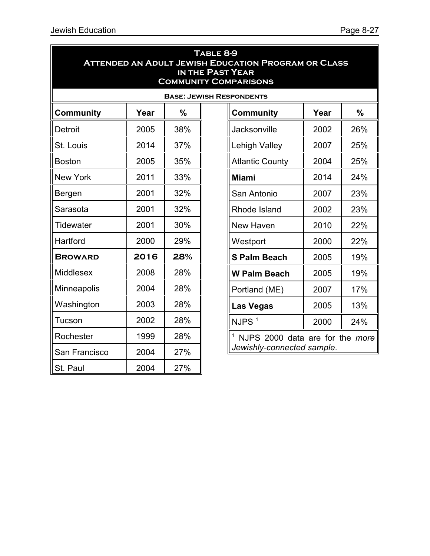| TABLE 8-9<br><b>ATTENDED AN ADULT JEWISH EDUCATION PROGRAM OR CLASS</b><br><b>IN THE PAST YEAR</b><br><b>COMMUNITY COMPARISONS</b> |      |     |  |                                    |      |     |  |  |
|------------------------------------------------------------------------------------------------------------------------------------|------|-----|--|------------------------------------|------|-----|--|--|
| <b>BASE: JEWISH RESPONDENTS</b>                                                                                                    |      |     |  |                                    |      |     |  |  |
| <b>Community</b>                                                                                                                   | Year | %   |  | $\frac{0}{0}$<br>Year<br>Community |      |     |  |  |
| <b>Detroit</b>                                                                                                                     | 2005 | 38% |  | Jacksonville                       | 2002 | 26% |  |  |
| St. Louis                                                                                                                          | 2014 | 37% |  | Lehigh Valley                      | 2007 | 25% |  |  |
| <b>Boston</b>                                                                                                                      | 2005 | 35% |  | <b>Atlantic County</b>             | 2004 | 25% |  |  |
| <b>New York</b>                                                                                                                    | 2011 | 33% |  | 2014<br>24%<br><b>Miami</b>        |      |     |  |  |
| Bergen                                                                                                                             | 2001 | 32% |  | San Antonio<br>2007<br>23%         |      |     |  |  |
| Sarasota                                                                                                                           | 2001 | 32% |  | 2002<br>23%<br>Rhode Island        |      |     |  |  |
| <b>Tidewater</b>                                                                                                                   | 2001 | 30% |  | New Haven<br>2010<br>22%           |      |     |  |  |
| Hartford                                                                                                                           | 2000 | 29% |  | 22%<br>2000<br>Westport            |      |     |  |  |
| <b>BROWARD</b>                                                                                                                     | 2016 | 28% |  | <b>S Palm Beach</b>                | 2005 | 19% |  |  |
| <b>Middlesex</b>                                                                                                                   | 2008 | 28% |  | <b>W Palm Beach</b>                | 2005 | 19% |  |  |
| Minneapolis                                                                                                                        | 2004 | 28% |  | Portland (ME)                      | 2007 | 17% |  |  |
| Washington                                                                                                                         | 2003 | 28% |  | <b>Las Vegas</b>                   | 2005 | 13% |  |  |
| Tucson                                                                                                                             | 2002 | 28% |  | NJPS <sup>1</sup>                  | 2000 | 24% |  |  |
| Rochester                                                                                                                          | 1999 | 28% |  | NJPS 2000 data are for the more    |      |     |  |  |
| San Francisco                                                                                                                      | 2004 | 27% |  | Jewishly-connected sample.         |      |     |  |  |
| 27%<br>St. Paul<br>2004                                                                                                            |      |     |  |                                    |      |     |  |  |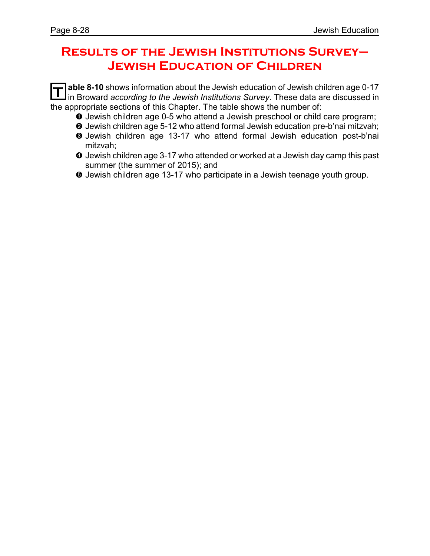### **Results of the Jewish Institutions Survey– Jewish Education of Children**

**T able 8-10** shows information about the Jewish education of Jewish children age 0-17 in Broward *according to the Jewish Institutions Survey*. These data are discussed in the appropriate sections of this Chapter. The table shows the number of:

- **O** Jewish children age 0-5 who attend a Jewish preschool or child care program;
- **<sup>2</sup>** Jewish children age 5-12 who attend formal Jewish education pre-b'nai mitzvah;
- $\Theta$  Jewish children age 13-17 who attend formal Jewish education post-b'nai mitzvah;
- **O** Jewish children age 3-17 who attended or worked at a Jewish day camp this past summer (the summer of 2015); and
- ð Jewish children age 13-17 who participate in a Jewish teenage youth group.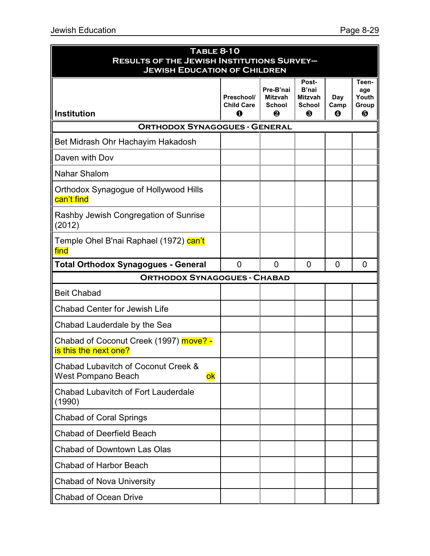|                                                                                                            | <b>TABLE 8-10</b>                    |                                                   |                                        |                  |                            |  |
|------------------------------------------------------------------------------------------------------------|--------------------------------------|---------------------------------------------------|----------------------------------------|------------------|----------------------------|--|
| <b>RESULTS OF THE JEWISH INSTITUTIONS SURVEY-</b><br><b>JEWISH EDUCATION OF CHILDREN</b><br>Post-<br>Teen- |                                      |                                                   |                                        |                  |                            |  |
| <b>Institution</b>                                                                                         | Preschool/<br><b>Child Care</b><br>0 | Pre-B'nai<br><b>Mitzvah</b><br><b>School</b><br>❷ | B'nai<br>Mitzvah<br><b>School</b><br>❸ | Day<br>Camp<br>❹ | age<br>Youth<br>Group<br>6 |  |
| <b>ORTHODOX SYNAGOGUES - GENERAL</b>                                                                       |                                      |                                                   |                                        |                  |                            |  |
| Bet Midrash Ohr Hachayim Hakadosh                                                                          |                                      |                                                   |                                        |                  |                            |  |
| Daven with Dov                                                                                             |                                      |                                                   |                                        |                  |                            |  |
| <b>Nahar Shalom</b>                                                                                        |                                      |                                                   |                                        |                  |                            |  |
| Orthodox Synagogue of Hollywood Hills<br>can't find                                                        |                                      |                                                   |                                        |                  |                            |  |
| Rashby Jewish Congregation of Sunrise<br>(2012)                                                            |                                      |                                                   |                                        |                  |                            |  |
| Temple Ohel B'nai Raphael (1972) can't<br>find                                                             |                                      |                                                   |                                        |                  |                            |  |
| <b>Total Orthodox Synagogues - General</b>                                                                 | $\overline{0}$                       | $\mathbf 0$                                       | $\mathbf 0$                            | $\overline{0}$   | 0                          |  |
| <b>ORTHODOX SYNAGOGUES - CHABAD</b>                                                                        |                                      |                                                   |                                        |                  |                            |  |
| <b>Beit Chabad</b>                                                                                         |                                      |                                                   |                                        |                  |                            |  |
| <b>Chabad Center for Jewish Life</b>                                                                       |                                      |                                                   |                                        |                  |                            |  |
| Chabad Lauderdale by the Sea                                                                               |                                      |                                                   |                                        |                  |                            |  |
| Chabad of Coconut Creek (1997) <b>move?</b> -<br>is this the next one?                                     |                                      |                                                   |                                        |                  |                            |  |
| Chabad Lubavitch of Coconut Creek &<br>West Pompano Beach<br>ok                                            |                                      |                                                   |                                        |                  |                            |  |
| <b>Chabad Lubavitch of Fort Lauderdale</b><br>(1990)                                                       |                                      |                                                   |                                        |                  |                            |  |
| <b>Chabad of Coral Springs</b>                                                                             |                                      |                                                   |                                        |                  |                            |  |
| <b>Chabad of Deerfield Beach</b>                                                                           |                                      |                                                   |                                        |                  |                            |  |
| <b>Chabad of Downtown Las Olas</b>                                                                         |                                      |                                                   |                                        |                  |                            |  |
| <b>Chabad of Harbor Beach</b>                                                                              |                                      |                                                   |                                        |                  |                            |  |
| <b>Chabad of Nova University</b>                                                                           |                                      |                                                   |                                        |                  |                            |  |
| <b>Chabad of Ocean Drive</b>                                                                               |                                      |                                                   |                                        |                  |                            |  |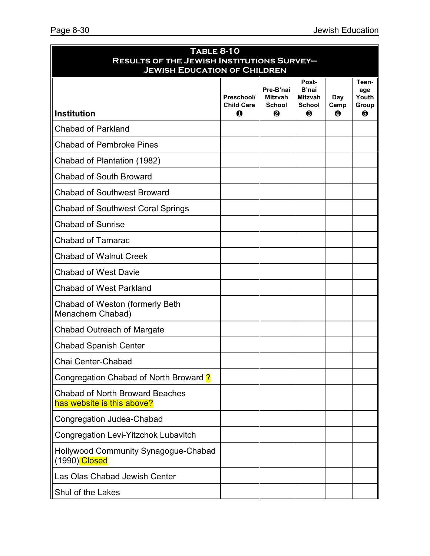| <b>TABLE 8-10</b><br><b>RESULTS OF THE JEWISH INSTITUTIONS SURVEY-</b> |                                             |                                                   |                                                        |                  |                                     |  |
|------------------------------------------------------------------------|---------------------------------------------|---------------------------------------------------|--------------------------------------------------------|------------------|-------------------------------------|--|
| <b>JEWISH EDUCATION OF CHILDREN</b>                                    |                                             |                                                   |                                                        |                  |                                     |  |
| <b>Institution</b>                                                     | Preschool/<br><b>Child Care</b><br>$\bf{0}$ | Pre-B'nai<br><b>Mitzvah</b><br><b>School</b><br>❷ | Post-<br>B'nai<br><b>Mitzvah</b><br><b>School</b><br>❸ | Day<br>Camp<br>❹ | Teen-<br>age<br>Youth<br>Group<br>❺ |  |
| <b>Chabad of Parkland</b>                                              |                                             |                                                   |                                                        |                  |                                     |  |
| <b>Chabad of Pembroke Pines</b>                                        |                                             |                                                   |                                                        |                  |                                     |  |
| Chabad of Plantation (1982)                                            |                                             |                                                   |                                                        |                  |                                     |  |
| <b>Chabad of South Broward</b>                                         |                                             |                                                   |                                                        |                  |                                     |  |
| <b>Chabad of Southwest Broward</b>                                     |                                             |                                                   |                                                        |                  |                                     |  |
| <b>Chabad of Southwest Coral Springs</b>                               |                                             |                                                   |                                                        |                  |                                     |  |
| <b>Chabad of Sunrise</b>                                               |                                             |                                                   |                                                        |                  |                                     |  |
| <b>Chabad of Tamarac</b>                                               |                                             |                                                   |                                                        |                  |                                     |  |
| <b>Chabad of Walnut Creek</b>                                          |                                             |                                                   |                                                        |                  |                                     |  |
| <b>Chabad of West Davie</b>                                            |                                             |                                                   |                                                        |                  |                                     |  |
| <b>Chabad of West Parkland</b>                                         |                                             |                                                   |                                                        |                  |                                     |  |
| Chabad of Weston (formerly Beth<br>Menachem Chabad)                    |                                             |                                                   |                                                        |                  |                                     |  |
| <b>Chabad Outreach of Margate</b>                                      |                                             |                                                   |                                                        |                  |                                     |  |
| <b>Chabad Spanish Center</b>                                           |                                             |                                                   |                                                        |                  |                                     |  |
| Chai Center-Chabad                                                     |                                             |                                                   |                                                        |                  |                                     |  |
| Congregation Chabad of North Broward ?                                 |                                             |                                                   |                                                        |                  |                                     |  |
| <b>Chabad of North Broward Beaches</b><br>has website is this above?   |                                             |                                                   |                                                        |                  |                                     |  |
| <b>Congregation Judea-Chabad</b>                                       |                                             |                                                   |                                                        |                  |                                     |  |
| Congregation Levi-Yitzchok Lubavitch                                   |                                             |                                                   |                                                        |                  |                                     |  |
| Hollywood Community Synagogue-Chabad<br>(1990) Closed                  |                                             |                                                   |                                                        |                  |                                     |  |
| Las Olas Chabad Jewish Center                                          |                                             |                                                   |                                                        |                  |                                     |  |
| Shul of the Lakes                                                      |                                             |                                                   |                                                        |                  |                                     |  |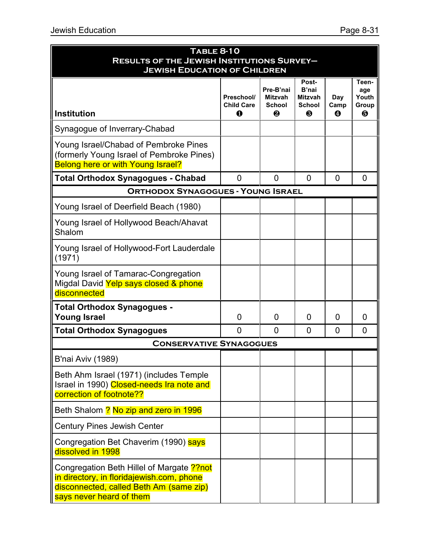| <b>TABLE 8-10</b><br><b>RESULTS OF THE JEWISH INSTITUTIONS SURVEY-</b><br><b>JEWISH EDUCATION OF CHILDREN</b>                                                  |                                      |                                                   |                                                 |                  |                                     |  |
|----------------------------------------------------------------------------------------------------------------------------------------------------------------|--------------------------------------|---------------------------------------------------|-------------------------------------------------|------------------|-------------------------------------|--|
| <b>Institution</b>                                                                                                                                             | Preschool/<br><b>Child Care</b><br>0 | Pre-B'nai<br><b>Mitzvah</b><br><b>School</b><br>❷ | Post-<br>B'nai<br>Mitzvah<br><b>School</b><br>❸ | Day<br>Camp<br>❹ | Teen-<br>age<br>Youth<br>Group<br>❺ |  |
| Synagogue of Inverrary-Chabad                                                                                                                                  |                                      |                                                   |                                                 |                  |                                     |  |
| Young Israel/Chabad of Pembroke Pines<br>(formerly Young Israel of Pembroke Pines)<br><b>Belong here or with Young Israel?</b>                                 |                                      |                                                   |                                                 |                  |                                     |  |
| <b>Total Orthodox Synagogues - Chabad</b>                                                                                                                      | 0                                    | 0                                                 | $\mathbf{0}$                                    | $\overline{0}$   | 0                                   |  |
| <b>ORTHODOX SYNAGOGUES - YOUNG ISRAEL</b>                                                                                                                      |                                      |                                                   |                                                 |                  |                                     |  |
| Young Israel of Deerfield Beach (1980)                                                                                                                         |                                      |                                                   |                                                 |                  |                                     |  |
| Young Israel of Hollywood Beach/Ahavat<br>Shalom                                                                                                               |                                      |                                                   |                                                 |                  |                                     |  |
| Young Israel of Hollywood-Fort Lauderdale<br>(1971)                                                                                                            |                                      |                                                   |                                                 |                  |                                     |  |
| Young Israel of Tamarac-Congregation<br>Migdal David Yelp says closed & phone<br>disconnected                                                                  |                                      |                                                   |                                                 |                  |                                     |  |
| <b>Total Orthodox Synagogues -</b><br><b>Young Israel</b>                                                                                                      | $\overline{0}$                       | $\overline{0}$                                    | 0                                               | 0                | 0                                   |  |
| <b>Total Orthodox Synagogues</b>                                                                                                                               | 0                                    | $\overline{0}$                                    | 0                                               | $\overline{0}$   | 0                                   |  |
| <b>CONSERVATIVE SYNAGOGUES</b>                                                                                                                                 |                                      |                                                   |                                                 |                  |                                     |  |
| B'nai Aviv (1989)                                                                                                                                              |                                      |                                                   |                                                 |                  |                                     |  |
| Beth Ahm Israel (1971) (includes Temple<br>Israel in 1990) Closed-needs Ira note and<br>correction of footnote??                                               |                                      |                                                   |                                                 |                  |                                     |  |
| Beth Shalom ? No zip and zero in 1996                                                                                                                          |                                      |                                                   |                                                 |                  |                                     |  |
| <b>Century Pines Jewish Center</b>                                                                                                                             |                                      |                                                   |                                                 |                  |                                     |  |
| Congregation Bet Chaverim (1990) says<br>dissolved in 1998                                                                                                     |                                      |                                                   |                                                 |                  |                                     |  |
| Congregation Beth Hillel of Margate ?? not<br>in directory, in floridajewish.com, phone<br>disconnected, called Beth Am (same zip)<br>says never heard of them |                                      |                                                   |                                                 |                  |                                     |  |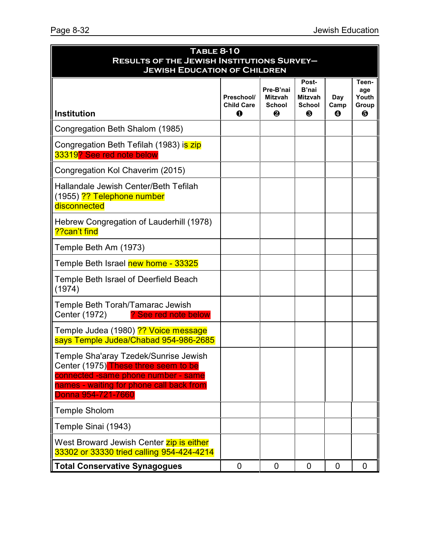| <b>TABLE 8-10</b><br><b>RESULTS OF THE JEWISH INSTITUTIONS SURVEY-</b><br><b>JEWISH EDUCATION OF CHILDREN</b>                                                                          |                                            |                                                   |                                                 |                  |                                     |
|----------------------------------------------------------------------------------------------------------------------------------------------------------------------------------------|--------------------------------------------|---------------------------------------------------|-------------------------------------------------|------------------|-------------------------------------|
| <b>Institution</b>                                                                                                                                                                     | Preschool/<br><b>Child Care</b><br>$\bf 0$ | Pre-B'nai<br><b>Mitzvah</b><br><b>School</b><br>❷ | Post-<br>B'nai<br>Mitzvah<br><b>School</b><br>❸ | Day<br>Camp<br>❹ | Teen-<br>age<br>Youth<br>Group<br>❺ |
| Congregation Beth Shalom (1985)                                                                                                                                                        |                                            |                                                   |                                                 |                  |                                     |
| Congregation Beth Tefilah (1983) is zip<br>33319? See red note below                                                                                                                   |                                            |                                                   |                                                 |                  |                                     |
| Congregation Kol Chaverim (2015)                                                                                                                                                       |                                            |                                                   |                                                 |                  |                                     |
| Hallandale Jewish Center/Beth Tefilah<br>(1955) ?? Telephone number<br>disconnected                                                                                                    |                                            |                                                   |                                                 |                  |                                     |
| Hebrew Congregation of Lauderhill (1978)<br>??can't find                                                                                                                               |                                            |                                                   |                                                 |                  |                                     |
| Temple Beth Am (1973)                                                                                                                                                                  |                                            |                                                   |                                                 |                  |                                     |
| Temple Beth Israel new home - 33325                                                                                                                                                    |                                            |                                                   |                                                 |                  |                                     |
| Temple Beth Israel of Deerfield Beach<br>(1974)                                                                                                                                        |                                            |                                                   |                                                 |                  |                                     |
| Temple Beth Torah/Tamarac Jewish<br>Center (1972)<br>? See red note below                                                                                                              |                                            |                                                   |                                                 |                  |                                     |
| Temple Judea (1980) ?? Voice message<br>says Temple Judea/Chabad 954-986-2685                                                                                                          |                                            |                                                   |                                                 |                  |                                     |
| Temple Sha'aray Tzedek/Sunrise Jewish<br>Center (1975) These three seem to be<br>connected -same phone number - same<br>names - waiting for phone call back from<br>Donna 954-721-7660 |                                            |                                                   |                                                 |                  |                                     |
| <b>Temple Sholom</b>                                                                                                                                                                   |                                            |                                                   |                                                 |                  |                                     |
| Temple Sinai (1943)                                                                                                                                                                    |                                            |                                                   |                                                 |                  |                                     |
| West Broward Jewish Center zip is either<br>33302 or 33330 tried calling 954-424-4214                                                                                                  |                                            |                                                   |                                                 |                  |                                     |
| <b>Total Conservative Synagogues</b>                                                                                                                                                   | $\mathbf 0$                                | $\mathbf 0$                                       | $\overline{0}$                                  | $\mathbf 0$      | $\Omega$                            |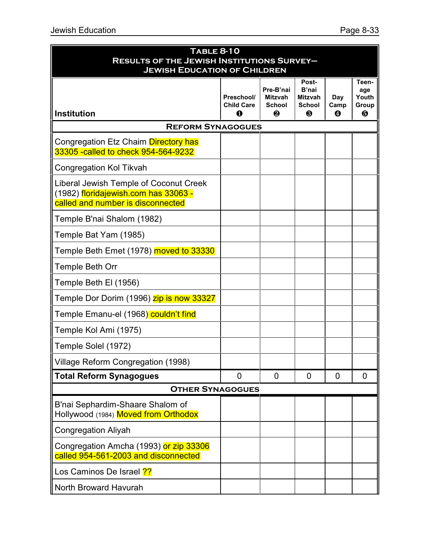| <b>TABLE 8-10</b><br><b>RESULTS OF THE JEWISH INSTITUTIONS SURVEY-</b><br><b>JEWISH EDUCATION OF CHILDREN</b>       |                                      |                                                   |                                                               |                  |                                     |  |
|---------------------------------------------------------------------------------------------------------------------|--------------------------------------|---------------------------------------------------|---------------------------------------------------------------|------------------|-------------------------------------|--|
| <b>Institution</b>                                                                                                  | Preschool/<br><b>Child Care</b><br>Ω | Pre-B'nai<br><b>Mitzvah</b><br><b>School</b><br>₽ | Post-<br>B'nai<br><b>Mitzvah</b><br><b>School</b><br><b>A</b> | Day<br>Camp<br>❹ | Teen-<br>age<br>Youth<br>Group<br>6 |  |
| <b>REFORM SYNAGOGUES</b>                                                                                            |                                      |                                                   |                                                               |                  |                                     |  |
| Congregation Etz Chaim Directory has<br>33305 - called to check 954-564-9232                                        |                                      |                                                   |                                                               |                  |                                     |  |
| <b>Congregation Kol Tikvah</b>                                                                                      |                                      |                                                   |                                                               |                  |                                     |  |
| Liberal Jewish Temple of Coconut Creek<br>(1982) floridajewish.com has 33063 -<br>called and number is disconnected |                                      |                                                   |                                                               |                  |                                     |  |
| Temple B'nai Shalom (1982)                                                                                          |                                      |                                                   |                                                               |                  |                                     |  |
| Temple Bat Yam (1985)                                                                                               |                                      |                                                   |                                                               |                  |                                     |  |
| Temple Beth Emet (1978) moved to 33330                                                                              |                                      |                                                   |                                                               |                  |                                     |  |
| Temple Beth Orr                                                                                                     |                                      |                                                   |                                                               |                  |                                     |  |
| Temple Beth El (1956)                                                                                               |                                      |                                                   |                                                               |                  |                                     |  |
| Temple Dor Dorim (1996) zip is now 33327                                                                            |                                      |                                                   |                                                               |                  |                                     |  |
| Temple Emanu-el (1968) couldn't find                                                                                |                                      |                                                   |                                                               |                  |                                     |  |
| Temple Kol Ami (1975)                                                                                               |                                      |                                                   |                                                               |                  |                                     |  |
| Temple Solel (1972)                                                                                                 |                                      |                                                   |                                                               |                  |                                     |  |
| Village Reform Congregation (1998)                                                                                  |                                      |                                                   |                                                               |                  |                                     |  |
| <b>Total Reform Synagogues</b>                                                                                      | 0                                    | $\overline{0}$                                    | $\overline{0}$                                                | 0                | 0                                   |  |
| <b>OTHER SYNAGOGUES</b>                                                                                             |                                      |                                                   |                                                               |                  |                                     |  |
| B'nai Sephardim-Shaare Shalom of<br>Hollywood (1984) Moved from Orthodox                                            |                                      |                                                   |                                                               |                  |                                     |  |
| <b>Congregation Aliyah</b>                                                                                          |                                      |                                                   |                                                               |                  |                                     |  |
| Congregation Amcha (1993) or zip 33306<br>called 954-561-2003 and disconnected                                      |                                      |                                                   |                                                               |                  |                                     |  |
| Los Caminos De Israel 2?                                                                                            |                                      |                                                   |                                                               |                  |                                     |  |
| North Broward Havurah                                                                                               |                                      |                                                   |                                                               |                  |                                     |  |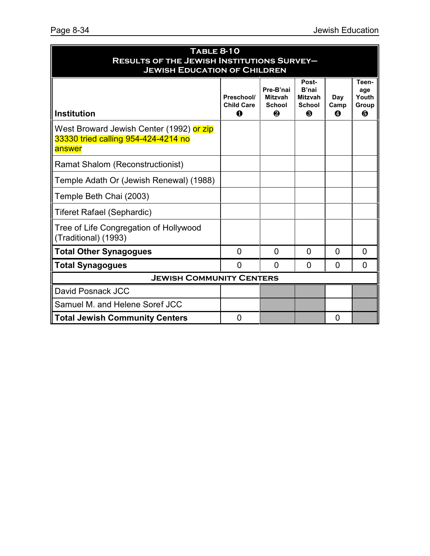| <b>TABLE 8-10</b><br><b>RESULTS OF THE JEWISH INSTITUTIONS SURVEY-</b><br><b>JEWISH EDUCATION OF CHILDREN</b> |                                      |                                                   |                                                               |                  |                                     |  |
|---------------------------------------------------------------------------------------------------------------|--------------------------------------|---------------------------------------------------|---------------------------------------------------------------|------------------|-------------------------------------|--|
| <b>Institution</b>                                                                                            | Preschool/<br><b>Child Care</b><br>∩ | Pre-B'nai<br><b>Mitzvah</b><br><b>School</b><br>❷ | Post-<br>B'nai<br><b>Mitzvah</b><br><b>School</b><br><b>A</b> | Day<br>Camp<br>A | Teen-<br>age<br>Youth<br>Group<br>6 |  |
| West Broward Jewish Center (1992) or zip<br>33330 tried calling 954-424-4214 no<br>answer                     |                                      |                                                   |                                                               |                  |                                     |  |
| <b>Ramat Shalom (Reconstructionist)</b>                                                                       |                                      |                                                   |                                                               |                  |                                     |  |
| Temple Adath Or (Jewish Renewal) (1988)                                                                       |                                      |                                                   |                                                               |                  |                                     |  |
| Temple Beth Chai (2003)                                                                                       |                                      |                                                   |                                                               |                  |                                     |  |
| <b>Tiferet Rafael (Sephardic)</b>                                                                             |                                      |                                                   |                                                               |                  |                                     |  |
| Tree of Life Congregation of Hollywood<br>(Traditional) (1993)                                                |                                      |                                                   |                                                               |                  |                                     |  |
| <b>Total Other Synagogues</b>                                                                                 | $\overline{0}$                       | $\overline{0}$                                    | $\overline{0}$                                                | $\overline{0}$   | 0                                   |  |
| <b>Total Synagogues</b>                                                                                       | <sup>0</sup>                         | <sup>0</sup>                                      | 0                                                             | <sup>0</sup>     | 0                                   |  |
| <b>JEWISH COMMUNITY CENTERS</b>                                                                               |                                      |                                                   |                                                               |                  |                                     |  |
| David Posnack JCC                                                                                             |                                      |                                                   |                                                               |                  |                                     |  |
| Samuel M. and Helene Soref JCC                                                                                |                                      |                                                   |                                                               |                  |                                     |  |
| <b>Total Jewish Community Centers</b>                                                                         | 0                                    |                                                   |                                                               | 0                |                                     |  |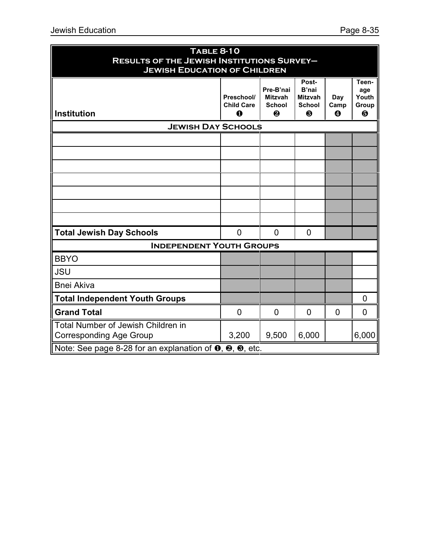| <b>TABLE 8-10</b><br><b>RESULTS OF THE JEWISH INSTITUTIONS SURVEY-</b>             |                                             |                                                   |                                                        |                  |                                                         |
|------------------------------------------------------------------------------------|---------------------------------------------|---------------------------------------------------|--------------------------------------------------------|------------------|---------------------------------------------------------|
| <b>JEWISH EDUCATION OF CHILDREN</b>                                                |                                             |                                                   |                                                        |                  |                                                         |
| <b>Institution</b>                                                                 | Preschool/<br><b>Child Care</b><br>$\bf{0}$ | Pre-B'nai<br><b>Mitzvah</b><br><b>School</b><br>❷ | Post-<br>B'nai<br><b>Mitzvah</b><br><b>School</b><br>❸ | Day<br>Camp<br>❹ | Teen-<br>age<br>Youth<br>Group<br>$\boldsymbol{\Theta}$ |
| <b>JEWISH DAY SCHOOLS</b>                                                          |                                             |                                                   |                                                        |                  |                                                         |
|                                                                                    |                                             |                                                   |                                                        |                  |                                                         |
|                                                                                    |                                             |                                                   |                                                        |                  |                                                         |
|                                                                                    |                                             |                                                   |                                                        |                  |                                                         |
|                                                                                    |                                             |                                                   |                                                        |                  |                                                         |
|                                                                                    |                                             |                                                   |                                                        |                  |                                                         |
|                                                                                    |                                             |                                                   |                                                        |                  |                                                         |
|                                                                                    |                                             |                                                   |                                                        |                  |                                                         |
| <b>Total Jewish Day Schools</b>                                                    | $\overline{0}$                              | $\overline{0}$                                    | $\overline{0}$                                         |                  |                                                         |
| <b>INDEPENDENT YOUTH GROUPS</b>                                                    |                                             |                                                   |                                                        |                  |                                                         |
| <b>BBYO</b>                                                                        |                                             |                                                   |                                                        |                  |                                                         |
| <b>JSU</b>                                                                         |                                             |                                                   |                                                        |                  |                                                         |
| <b>Bnei Akiva</b>                                                                  |                                             |                                                   |                                                        |                  |                                                         |
| <b>Total Independent Youth Groups</b>                                              |                                             |                                                   |                                                        |                  | 0                                                       |
| <b>Grand Total</b>                                                                 | $\Omega$                                    | $\overline{0}$                                    | $\overline{0}$                                         | $\overline{0}$   | $\overline{0}$                                          |
| Total Number of Jewish Children in<br><b>Corresponding Age Group</b>               | 3,200                                       | 9,500                                             | 6,000                                                  |                  | 6,000                                                   |
| Note: See page 8-28 for an explanation of $\bullet$ , $\bullet$ , $\bullet$ , etc. |                                             |                                                   |                                                        |                  |                                                         |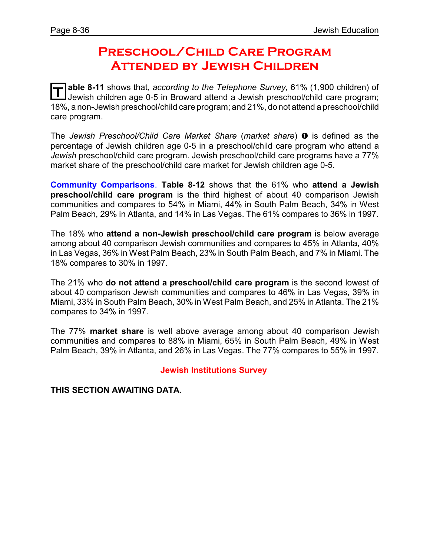### **Preschool/Child Care Program Attended by Jewish Children**

**T** able 8-11 shows that, *according to the Telephone Survey*, 61% (1,900 children) of Jewish children age 0-5 in Broward attend a Jewish preschool/child care program; 18%, a non-Jewish preschool/child care program; and 21%, do not attend a preschool/child care program.

The *Jewish Preschool/Child Care Market Share* (*market share*) **O** is defined as the percentage of Jewish children age 0-5 in a preschool/child care program who attend a *Jewish* preschool/child care program. Jewish preschool/child care programs have a 77% market share of the preschool/child care market for Jewish children age 0-5.

**Community Comparisons**. **Table 8-12** shows that the 61% who **attend a Jewish preschool/child care program** is the third highest of about 40 comparison Jewish communities and compares to 54% in Miami, 44% in South Palm Beach, 34% in West Palm Beach, 29% in Atlanta, and 14% in Las Vegas. The 61% compares to 36% in 1997.

The 18% who **attend a non-Jewish preschool/child care program** is below average among about 40 comparison Jewish communities and compares to 45% in Atlanta, 40% in Las Vegas, 36% in West Palm Beach, 23% in South Palm Beach, and 7% in Miami. The 18% compares to 30% in 1997.

The 21% who **do not attend a preschool/child care program** is the second lowest of about 40 comparison Jewish communities and compares to 46% in Las Vegas, 39% in Miami, 33% in South Palm Beach, 30% in West Palm Beach, and 25% in Atlanta. The 21% compares to 34% in 1997.

The 77% **market share** is well above average among about 40 comparison Jewish communities and compares to 88% in Miami, 65% in South Palm Beach, 49% in West Palm Beach, 39% in Atlanta, and 26% in Las Vegas. The 77% compares to 55% in 1997.

#### **Jewish Institutions Survey**

**THIS SECTION AWAITING DATA.**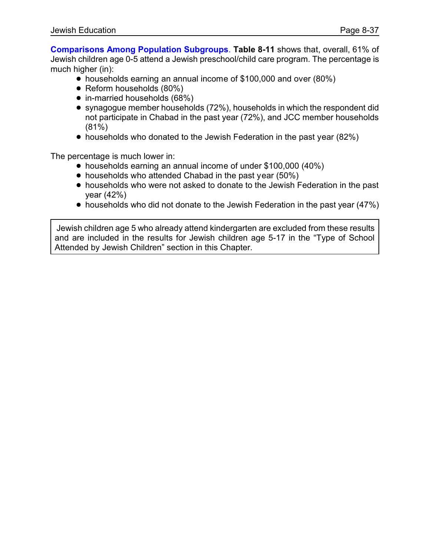**Comparisons Among Population Subgroups**. **Table 8-11** shows that, overall, 61% of Jewish children age 0-5 attend a Jewish preschool/child care program. The percentage is much higher (in):

- households earning an annual income of \$100,000 and over (80%)
- Reform households (80%)
- in-married households (68%)
- synagogue member households (72%), households in which the respondent did not participate in Chabad in the past year (72%), and JCC member households (81%)
- households who donated to the Jewish Federation in the past year (82%)

The percentage is much lower in:

- households earning an annual income of under \$100,000 (40%)
- households who attended Chabad in the past year (50%)
- ! households who were not asked to donate to the Jewish Federation in the past year (42%)
- households who did not donate to the Jewish Federation in the past year (47%)

Jewish children age 5 who already attend kindergarten are excluded from these results and are included in the results for Jewish children age 5-17 in the "Type of School Attended by Jewish Children" section in this Chapter.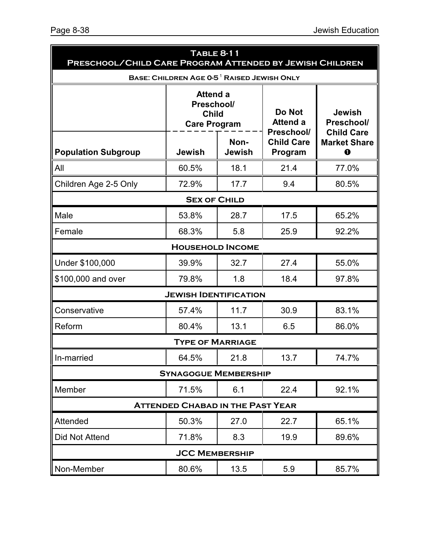| <b>TABLE 8-11</b><br>PRESCHOOL/CHILD CARE PROGRAM ATTENDED BY JEWISH CHILDREN |                                                                              |               |                                                                     |                                                                         |  |
|-------------------------------------------------------------------------------|------------------------------------------------------------------------------|---------------|---------------------------------------------------------------------|-------------------------------------------------------------------------|--|
|                                                                               | BASE: CHILDREN AGE 0-5 <sup>1</sup> RAISED JEWISH ONLY                       |               |                                                                     |                                                                         |  |
|                                                                               | <b>Attend a</b><br>Preschool/<br><b>Child</b><br><b>Care Program</b><br>Non- |               | <b>Do Not</b><br><b>Attend a</b><br>Preschool/<br><b>Child Care</b> | <b>Jewish</b><br>Preschool/<br><b>Child Care</b><br><b>Market Share</b> |  |
| <b>Population Subgroup</b>                                                    | <b>Jewish</b>                                                                | <b>Jewish</b> | Program                                                             | $\bf o$                                                                 |  |
| All                                                                           | 60.5%                                                                        | 18.1          | 21.4                                                                | 77.0%                                                                   |  |
| Children Age 2-5 Only                                                         | 72.9%                                                                        | 17.7          | 9.4                                                                 | 80.5%                                                                   |  |
|                                                                               | <b>SEX OF CHILD</b>                                                          |               |                                                                     |                                                                         |  |
| Male                                                                          | 53.8%                                                                        | 28.7          | 17.5                                                                | 65.2%                                                                   |  |
| Female                                                                        | 68.3%                                                                        | 5.8           | 25.9                                                                | 92.2%                                                                   |  |
|                                                                               | <b>HOUSEHOLD INCOME</b>                                                      |               |                                                                     |                                                                         |  |
| Under \$100,000                                                               | 39.9%                                                                        | 32.7          | 27.4                                                                | 55.0%                                                                   |  |
| \$100,000 and over                                                            | 79.8%                                                                        | 1.8           | 18.4                                                                | 97.8%                                                                   |  |
|                                                                               | <b>JEWISH IDENTIFICATION</b>                                                 |               |                                                                     |                                                                         |  |
| Conservative                                                                  | 57.4%                                                                        | 11.7          | 30.9                                                                | 83.1%                                                                   |  |
| Reform                                                                        | 80.4%                                                                        | 13.1          | 6.5                                                                 | 86.0%                                                                   |  |
|                                                                               | <b>TYPE OF MARRIAGE</b>                                                      |               |                                                                     |                                                                         |  |
| In-married                                                                    | 64.5%                                                                        | 21.8          | 13.7                                                                | 74.7%                                                                   |  |
|                                                                               | <b>SYNAGOGUE MEMBERSHIP</b>                                                  |               |                                                                     |                                                                         |  |
| Member                                                                        | 71.5%                                                                        | 6.1           | 22.4                                                                | 92.1%                                                                   |  |
|                                                                               | <b>ATTENDED CHABAD IN THE PAST YEAR</b>                                      |               |                                                                     |                                                                         |  |
| Attended                                                                      | 50.3%                                                                        | 27.0          | 22.7                                                                | 65.1%                                                                   |  |
| Did Not Attend                                                                | 71.8%                                                                        | 8.3           | 19.9                                                                | 89.6%                                                                   |  |
|                                                                               | <b>JCC MEMBERSHIP</b>                                                        |               |                                                                     |                                                                         |  |
| Non-Member                                                                    | 80.6%                                                                        | 13.5          | 5.9                                                                 | 85.7%                                                                   |  |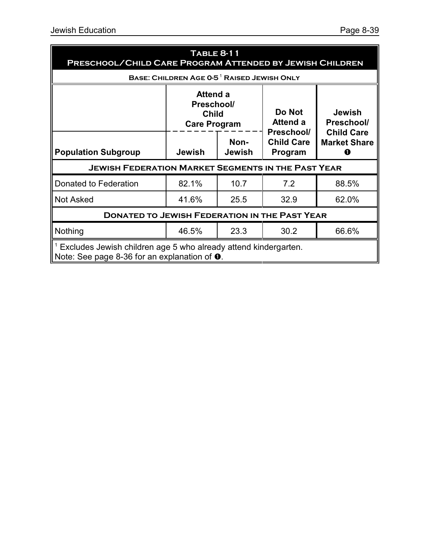| TABLE 8-11<br>PRESCHOOL/CHILD CARE PROGRAM ATTENDED BY JEWISH CHILDREN |                                                                                                                          |                       |                                  |                                                  |  |  |  |
|------------------------------------------------------------------------|--------------------------------------------------------------------------------------------------------------------------|-----------------------|----------------------------------|--------------------------------------------------|--|--|--|
|                                                                        | BASE: CHILDREN AGE 0-5 <sup>1</sup> RAISED JEWISH ONLY                                                                   |                       |                                  |                                                  |  |  |  |
|                                                                        | Attend a<br>Preschool/<br><b>Child</b><br><b>Care Program</b>                                                            |                       | Do Not<br>Attend a<br>Preschool/ | <b>Jewish</b><br>Preschool/<br><b>Child Care</b> |  |  |  |
| <b>Population Subgroup</b>                                             | <b>Jewish</b>                                                                                                            | Non-<br><b>Jewish</b> |                                  | <b>Market Share</b><br>O                         |  |  |  |
| <b>JEWISH FEDERATION MARKET SEGMENTS IN THE PAST YEAR</b>              |                                                                                                                          |                       |                                  |                                                  |  |  |  |
| Donated to Federation                                                  | 82.1%                                                                                                                    | 10.7                  | 7.2                              | 88.5%                                            |  |  |  |
| <b>Not Asked</b>                                                       | 41.6%                                                                                                                    | 25.5                  | 32.9                             | 62.0%                                            |  |  |  |
| <b>DONATED TO JEWISH FEDERATION IN THE PAST YEAR</b>                   |                                                                                                                          |                       |                                  |                                                  |  |  |  |
| Nothing                                                                | 46.5%                                                                                                                    | 23.3                  | 30.2                             | 66.6%                                            |  |  |  |
|                                                                        | Excludes Jewish children age 5 who already attend kindergarten.<br>Note: See page 8-36 for an explanation of $\bullet$ . |                       |                                  |                                                  |  |  |  |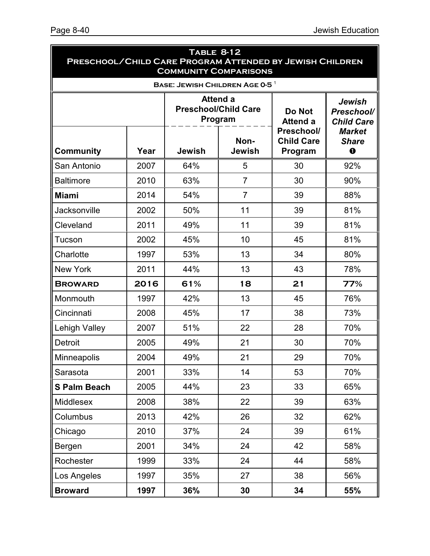| <b>TABLE 8-12</b><br>PRESCHOOL/CHILD CARE PROGRAM ATTENDED BY JEWISH CHILDREN<br><b>COMMUNITY COMPARISONS</b> |      |                                                           |                                            |                                            |                                              |
|---------------------------------------------------------------------------------------------------------------|------|-----------------------------------------------------------|--------------------------------------------|--------------------------------------------|----------------------------------------------|
|                                                                                                               |      |                                                           | BASE: JEWISH CHILDREN AGE 0-5 <sup>1</sup> |                                            |                                              |
|                                                                                                               |      | <b>Attend a</b><br><b>Preschool/Child Care</b><br>Program |                                            | Do Not<br><b>Attend a</b>                  | Jewish<br>Preschool/<br><b>Child Care</b>    |
| Community                                                                                                     | Year | <b>Jewish</b>                                             | Non-<br><b>Jewish</b>                      | Preschool/<br><b>Child Care</b><br>Program | <b>Market</b><br><b>Share</b><br>$\mathbf 0$ |
| San Antonio                                                                                                   | 2007 | 64%                                                       | 5                                          | 30                                         | 92%                                          |
| <b>Baltimore</b>                                                                                              | 2010 | 63%                                                       | $\overline{7}$                             | 30                                         | 90%                                          |
| <b>Miami</b>                                                                                                  | 2014 | 54%                                                       | $\overline{7}$                             | 39                                         | 88%                                          |
| Jacksonville                                                                                                  | 2002 | 50%                                                       | 11                                         | 39                                         | 81%                                          |
| Cleveland                                                                                                     | 2011 | 49%                                                       | 11                                         | 39                                         | 81%                                          |
| Tucson                                                                                                        | 2002 | 45%                                                       | 10                                         | 45                                         | 81%                                          |
| Charlotte                                                                                                     | 1997 | 53%                                                       | 13                                         | 34                                         | 80%                                          |
| <b>New York</b>                                                                                               | 2011 | 44%                                                       | 13                                         | 43                                         | 78%                                          |
| <b>BROWARD</b>                                                                                                | 2016 | 61%                                                       | 18                                         | 21                                         | 77%                                          |
| Monmouth                                                                                                      | 1997 | 42%                                                       | 13                                         | 45                                         | 76%                                          |
| Cincinnati                                                                                                    | 2008 | 45%                                                       | 17                                         | 38                                         | 73%                                          |
| Lehigh Valley                                                                                                 | 2007 | 51%                                                       | 22                                         | 28                                         | 70%                                          |
| <b>Detroit</b>                                                                                                | 2005 | 49%                                                       | 21                                         | 30                                         | 70%                                          |
| <b>Minneapolis</b>                                                                                            | 2004 | 49%                                                       | 21                                         | 29                                         | 70%                                          |
| Sarasota                                                                                                      | 2001 | 33%                                                       | 14                                         | 53                                         | 70%                                          |
| <b>S Palm Beach</b>                                                                                           | 2005 | 44%                                                       | 23                                         | 33                                         | 65%                                          |
| Middlesex                                                                                                     | 2008 | 38%                                                       | 22                                         | 39                                         | 63%                                          |
| Columbus                                                                                                      | 2013 | 42%                                                       | 26                                         | 32                                         | 62%                                          |
| Chicago                                                                                                       | 2010 | 37%                                                       | 24                                         | 39                                         | 61%                                          |
| Bergen                                                                                                        | 2001 | 34%                                                       | 24                                         | 42                                         | 58%                                          |
| Rochester                                                                                                     | 1999 | 33%                                                       | 24                                         | 44                                         | 58%                                          |
| Los Angeles                                                                                                   | 1997 | 35%                                                       | 27                                         | 38                                         | 56%                                          |
| <b>Broward</b>                                                                                                | 1997 | 36%                                                       | 30                                         | 34                                         | 55%                                          |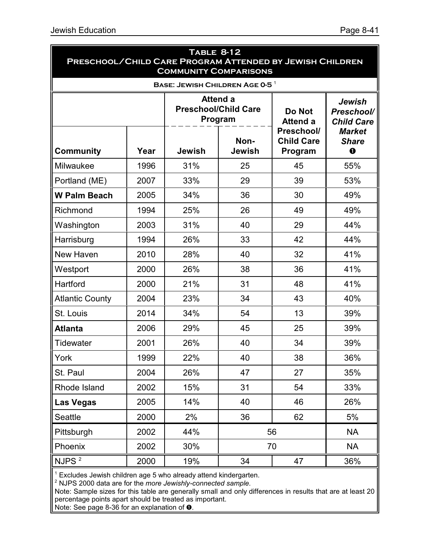| <b>TABLE 8-12</b><br>PRESCHOOL/CHILD CARE PROGRAM ATTENDED BY JEWISH CHILDREN<br><b>COMMUNITY COMPARISONS</b> |      |               |                                                    |                                            |                                           |  |
|---------------------------------------------------------------------------------------------------------------|------|---------------|----------------------------------------------------|--------------------------------------------|-------------------------------------------|--|
|                                                                                                               |      |               | <b>BASE: JEWISH CHILDREN AGE 0-5<sup>1</sup></b>   |                                            |                                           |  |
|                                                                                                               |      |               | Attend a<br><b>Preschool/Child Care</b><br>Program | Do Not<br><b>Attend a</b>                  | Jewish<br>Preschool/<br><b>Child Care</b> |  |
| <b>Community</b>                                                                                              | Year | <b>Jewish</b> | Non-<br>Jewish                                     | Preschool/<br><b>Child Care</b><br>Program | <b>Market</b><br><b>Share</b><br>$\bf{o}$ |  |
| Milwaukee                                                                                                     | 1996 | 31%           | 25                                                 | 45                                         | 55%                                       |  |
| Portland (ME)                                                                                                 | 2007 | 33%           | 29                                                 | 39                                         | 53%                                       |  |
| <b>W Palm Beach</b>                                                                                           | 2005 | 34%           | 36                                                 | 30                                         | 49%                                       |  |
| Richmond                                                                                                      | 1994 | 25%           | 26                                                 | 49                                         | 49%                                       |  |
| Washington                                                                                                    | 2003 | 31%           | 40                                                 | 29                                         | 44%                                       |  |
| Harrisburg                                                                                                    | 1994 | 26%           | 33                                                 | 42                                         | 44%                                       |  |
| New Haven                                                                                                     | 2010 | 28%           | 40                                                 | 32                                         | 41%                                       |  |
| Westport                                                                                                      | 2000 | 26%           | 38                                                 | 36                                         | 41%                                       |  |
| Hartford                                                                                                      | 2000 | 21%           | 31                                                 | 48                                         | 41%                                       |  |
| <b>Atlantic County</b>                                                                                        | 2004 | 23%           | 34                                                 | 43                                         | 40%                                       |  |
| St. Louis                                                                                                     | 2014 | 34%           | 54                                                 | 13                                         | 39%                                       |  |
| <b>Atlanta</b>                                                                                                | 2006 | 29%           | 45                                                 | 25                                         | 39%                                       |  |
| <b>Tidewater</b>                                                                                              | 2001 | 26%           | 40                                                 | 34                                         | 39%                                       |  |
| York                                                                                                          | 1999 | 22%           | 40                                                 | 38                                         | 36%                                       |  |
| St. Paul                                                                                                      | 2004 | 26%           | 47                                                 | 27                                         | 35%                                       |  |
| Rhode Island                                                                                                  | 2002 | 15%           | 31                                                 | 54                                         | 33%                                       |  |
| <b>Las Vegas</b>                                                                                              | 2005 | 14%           | 40                                                 | 46                                         | 26%                                       |  |
| Seattle                                                                                                       | 2000 | 2%            | 36                                                 | 62                                         | $5\%$                                     |  |
| Pittsburgh                                                                                                    | 2002 | 44%           |                                                    | 56                                         | <b>NA</b>                                 |  |
| Phoenix                                                                                                       | 2002 | 30%           |                                                    | 70                                         | <b>NA</b>                                 |  |
| NJPS <sup>2</sup>                                                                                             | 2000 | 19%           | 34                                                 | 47                                         | 36%                                       |  |

<sup>1</sup> Excludes Jewish children age 5 who already attend kindergarten.

2 NJPS 2000 data are for the *more Jewishly-connected sample*.

Note: Sample sizes for this table are generally small and only differences in results that are at least 20 percentage points apart should be treated as important.

Note: See page 8-36 for an explanation of  $\bullet$ .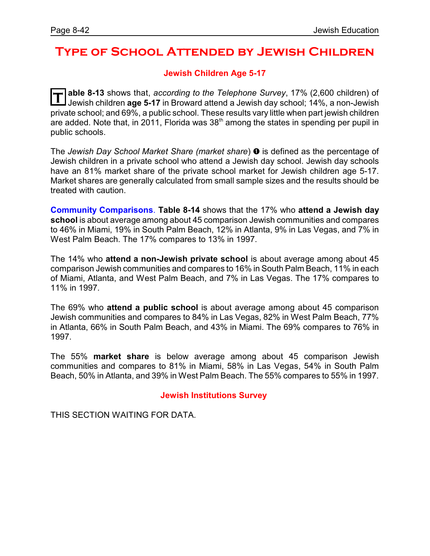## **Type of School Attended by Jewish Children**

### **Jewish Children Age 5-17**

 $|\mathsf{T}|$ **able 8-13** shows that, *according to the Telephone Survey*, 17% (2,600 children) of Jewish children **age 5-17** in Broward attend a Jewish day school; 14%, a non-Jewish private school; and 69%, a public school. These results vary little when part jewish children are added. Note that, in 2011, Florida was 38<sup>th</sup> among the states in spending per pupil in public schools.

The *Jewish Day School Market Share (market share)*  $\bullet$  is defined as the percentage of Jewish children in a private school who attend a Jewish day school. Jewish day schools have an 81% market share of the private school market for Jewish children age 5-17. Market shares are generally calculated from small sample sizes and the results should be treated with caution.

**Community Comparisons**. **Table 8-14** shows that the 17% who **attend a Jewish day school** is about average among about 45 comparison Jewish communities and compares to 46% in Miami, 19% in South Palm Beach, 12% in Atlanta, 9% in Las Vegas, and 7% in West Palm Beach. The 17% compares to 13% in 1997.

The 14% who **attend a non-Jewish private school** is about average among about 45 comparison Jewish communities and compares to 16% in South Palm Beach, 11% in each of Miami, Atlanta, and West Palm Beach, and 7% in Las Vegas. The 17% compares to 11% in 1997.

The 69% who **attend a public school** is about average among about 45 comparison Jewish communities and compares to 84% in Las Vegas, 82% in West Palm Beach, 77% in Atlanta, 66% in South Palm Beach, and 43% in Miami. The 69% compares to 76% in 1997.

The 55% **market share** is below average among about 45 comparison Jewish communities and compares to 81% in Miami, 58% in Las Vegas, 54% in South Palm Beach, 50% in Atlanta, and 39% in West Palm Beach. The 55% compares to 55% in 1997.

#### **Jewish Institutions Survey**

THIS SECTION WAITING FOR DATA.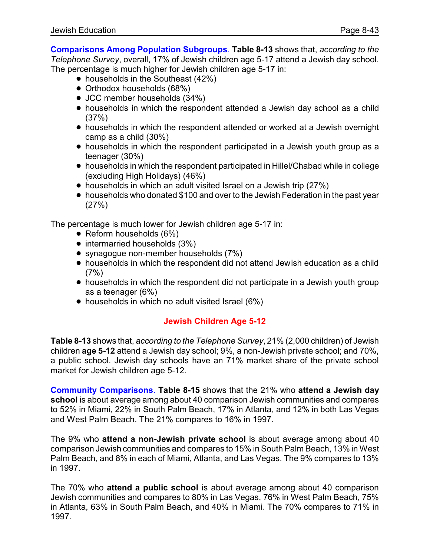**Comparisons Among Population Subgroups**. **Table 8-13** shows that, *according to the Telephone Survey*, overall, 17% of Jewish children age 5-17 attend a Jewish day school. The percentage is much higher for Jewish children age 5-17 in:

- $\bullet$  households in the Southeast (42%)
- Orthodox households (68%)
- JCC member households (34%)
- households in which the respondent attended a Jewish day school as a child (37%)
- ! households in which the respondent attended or worked at a Jewish overnight camp as a child (30%)
- households in which the respondent participated in a Jewish youth group as a teenager (30%)
- ! households in which the respondent participated in Hillel/Chabad while in college (excluding High Holidays) (46%)
- households in which an adult visited Israel on a Jewish trip (27%)
- households who donated \$100 and over to the Jewish Federation in the past year (27%)

The percentage is much lower for Jewish children age 5-17 in:

- $\bullet$  Reform households (6%)
- $\bullet$  intermarried households (3%)
- synagogue non-member households (7%)
- ! households in which the respondent did not attend Jewish education as a child  $(7%)$
- households in which the respondent did not participate in a Jewish youth group as a teenager (6%)
- households in which no adult visited Israel (6%)

## **Jewish Children Age 5-12**

**Table 8-13** shows that, *according to the Telephone Survey*, 21% (2,000 children) of Jewish children **age 5-12** attend a Jewish day school; 9%, a non-Jewish private school; and 70%, a public school. Jewish day schools have an 71% market share of the private school market for Jewish children age 5-12.

**Community Comparisons**. **Table 8-15** shows that the 21% who **attend a Jewish day school** is about average among about 40 comparison Jewish communities and compares to 52% in Miami, 22% in South Palm Beach, 17% in Atlanta, and 12% in both Las Vegas and West Palm Beach. The 21% compares to 16% in 1997.

The 9% who **attend a non-Jewish private school** is about average among about 40 comparison Jewish communities and compares to 15% in South Palm Beach, 13% in West Palm Beach, and 8% in each of Miami, Atlanta, and Las Vegas. The 9% compares to 13% in 1997.

The 70% who **attend a public school** is about average among about 40 comparison Jewish communities and compares to 80% in Las Vegas, 76% in West Palm Beach, 75% in Atlanta, 63% in South Palm Beach, and 40% in Miami. The 70% compares to 71% in 1997.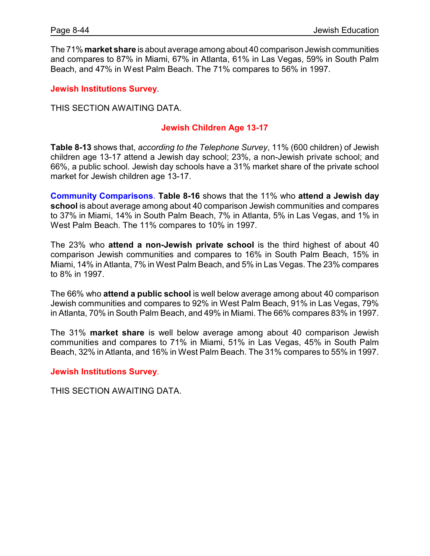The 71% **market share** is about average among about 40 comparison Jewish communities and compares to 87% in Miami, 67% in Atlanta, 61% in Las Vegas, 59% in South Palm Beach, and 47% in West Palm Beach. The 71% compares to 56% in 1997.

**Jewish Institutions Survey**.

THIS SECTION AWAITING DATA.

### **Jewish Children Age 13-17**

**Table 8-13** shows that, *according to the Telephone Survey*, 11% (600 children) of Jewish children age 13-17 attend a Jewish day school; 23%, a non-Jewish private school; and 66%, a public school. Jewish day schools have a 31% market share of the private school market for Jewish children age 13-17.

**Community Comparisons**. **Table 8-16** shows that the 11% who **attend a Jewish day school** is about average among about 40 comparison Jewish communities and compares to 37% in Miami, 14% in South Palm Beach, 7% in Atlanta, 5% in Las Vegas, and 1% in West Palm Beach. The 11% compares to 10% in 1997.

The 23% who **attend a non-Jewish private school** is the third highest of about 40 comparison Jewish communities and compares to 16% in South Palm Beach, 15% in Miami, 14% in Atlanta, 7% in West Palm Beach, and 5% in Las Vegas. The 23% compares to 8% in 1997.

The 66% who **attend a public school** is well below average among about 40 comparison Jewish communities and compares to 92% in West Palm Beach, 91% in Las Vegas, 79% in Atlanta, 70% in South Palm Beach, and 49% in Miami. The 66% compares 83% in 1997.

The 31% **market share** is well below average among about 40 comparison Jewish communities and compares to 71% in Miami, 51% in Las Vegas, 45% in South Palm Beach, 32% in Atlanta, and 16% in West Palm Beach. The 31% compares to 55% in 1997.

**Jewish Institutions Survey**.

THIS SECTION AWAITING DATA.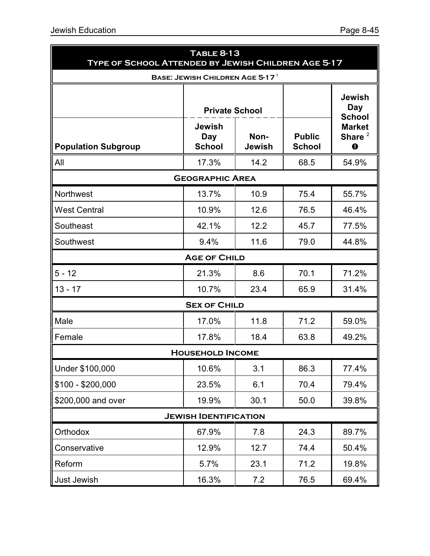| lewish Education                                                         |                                       |                       |                                | Page 8-45                                       |  |  |  |
|--------------------------------------------------------------------------|---------------------------------------|-----------------------|--------------------------------|-------------------------------------------------|--|--|--|
| <b>TABLE 8-13</b><br>TYPE OF SCHOOL ATTENDED BY JEWISH CHILDREN AGE 5-17 |                                       |                       |                                |                                                 |  |  |  |
|                                                                          | BASE: JEWISH CHILDREN AGE 5-17 $^1$   |                       |                                |                                                 |  |  |  |
|                                                                          | <b>Private School</b>                 |                       |                                | <b>Jewish</b><br><b>Day</b><br><b>School</b>    |  |  |  |
| <b>Population Subgroup</b>                                               | <b>Jewish</b><br>Day<br><b>School</b> | Non-<br><b>Jewish</b> | <b>Public</b><br><b>School</b> | <b>Market</b><br>Share $^2$<br>$\mathbf \Omega$ |  |  |  |
| All                                                                      | 17.3%                                 | 14.2                  | 68.5                           | 54.9%                                           |  |  |  |
|                                                                          | <b>GEOGRAPHIC AREA</b>                |                       |                                |                                                 |  |  |  |
| Northwest                                                                | 13.7%                                 | 10.9                  | 75.4                           | 55.7%                                           |  |  |  |
| <b>West Central</b>                                                      | 10.9%                                 | 12.6                  | 76.5                           | 46.4%                                           |  |  |  |
| Southeast                                                                | 42.1%                                 | 12.2                  | 45.7                           | 77.5%                                           |  |  |  |
| Southwest                                                                | 9.4%                                  | 11.6                  | 79.0                           | 44.8%                                           |  |  |  |
|                                                                          | <b>AGE OF CHILD</b>                   |                       |                                |                                                 |  |  |  |
| $5 - 12$                                                                 | 21.3%                                 | 8.6                   | 70.1                           | 71.2%                                           |  |  |  |

| $5 - 12$                     | 21.3%                   | 8.6  | 70.1 | 71.2% |  |  |  |  |  |
|------------------------------|-------------------------|------|------|-------|--|--|--|--|--|
| $13 - 17$                    | 10.7%                   | 23.4 | 65.9 | 31.4% |  |  |  |  |  |
| <b>SEX OF CHILD</b>          |                         |      |      |       |  |  |  |  |  |
| Male                         | 17.0%                   | 11.8 | 71.2 | 59.0% |  |  |  |  |  |
| Female                       | 17.8%                   | 18.4 | 63.8 | 49.2% |  |  |  |  |  |
|                              | <b>HOUSEHOLD INCOME</b> |      |      |       |  |  |  |  |  |
| Under \$100,000              | 10.6%                   | 3.1  | 86.3 | 77.4% |  |  |  |  |  |
| $$100 - $200,000$            | 23.5%                   | 6.1  | 70.4 | 79.4% |  |  |  |  |  |
| \$200,000 and over           | 19.9%                   | 30.1 | 50.0 | 39.8% |  |  |  |  |  |
| <b>JEWISH IDENTIFICATION</b> |                         |      |      |       |  |  |  |  |  |
| Orthodox                     | 67.9%                   | 7.8  | 24.3 | 89.7% |  |  |  |  |  |
| Conservative                 | 12.9%                   | 12.7 | 74.4 | 50.4% |  |  |  |  |  |
| Reform                       | 5.7%                    | 23.1 | 71.2 | 19.8% |  |  |  |  |  |
|                              |                         |      |      |       |  |  |  |  |  |

Just Jewish 16.3% 7.2 76.5 69.4%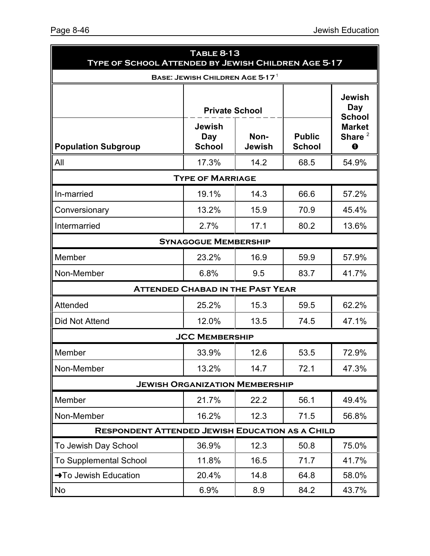| <b>TABLE 8-13</b><br>TYPE OF SCHOOL ATTENDED BY JEWISH CHILDREN AGE 5-17 |                                                                |      |                                |                                              |  |  |
|--------------------------------------------------------------------------|----------------------------------------------------------------|------|--------------------------------|----------------------------------------------|--|--|
|                                                                          | <b>BASE: JEWISH CHILDREN AGE 5-17<sup>1</sup></b>              |      |                                |                                              |  |  |
|                                                                          | <b>Private School</b>                                          |      |                                | <b>Jewish</b><br><b>Day</b><br><b>School</b> |  |  |
| <b>Population Subgroup</b>                                               | <b>Jewish</b><br>Non-<br>Day<br><b>School</b><br><b>Jewish</b> |      | <b>Public</b><br><b>School</b> | <b>Market</b><br>Share $^2$<br>$\bf o$       |  |  |
| All                                                                      | 17.3%                                                          | 14.2 | 68.5                           | 54.9%                                        |  |  |
|                                                                          | <b>TYPE OF MARRIAGE</b>                                        |      |                                |                                              |  |  |
| In-married                                                               | 19.1%                                                          | 14.3 | 66.6                           | 57.2%                                        |  |  |
| Conversionary                                                            | 13.2%                                                          | 15.9 | 70.9                           | 45.4%                                        |  |  |
| Intermarried                                                             | 2.7%                                                           | 17.1 | 80.2                           | 13.6%                                        |  |  |
|                                                                          | <b>SYNAGOGUE MEMBERSHIP</b>                                    |      |                                |                                              |  |  |
| Member                                                                   | 23.2%                                                          | 16.9 | 59.9                           | 57.9%                                        |  |  |
| Non-Member                                                               | 6.8%                                                           | 9.5  | 83.7                           | 41.7%                                        |  |  |
|                                                                          | <b>ATTENDED CHABAD IN THE PAST YEAR</b>                        |      |                                |                                              |  |  |
| Attended                                                                 | 25.2%                                                          | 15.3 | 59.5                           | 62.2%                                        |  |  |
| Did Not Attend                                                           | 12.0%                                                          | 13.5 | 74.5                           | 47.1%                                        |  |  |
|                                                                          | <b>JCC MEMBERSHIP</b>                                          |      |                                |                                              |  |  |
| Member                                                                   | 33.9%                                                          | 12.6 | 53.5                           | 72.9%                                        |  |  |
| Non-Member                                                               | 13.2%                                                          | 14.7 | 72.1                           | 47.3%                                        |  |  |
| <b>JEWISH ORGANIZATION MEMBERSHIP</b>                                    |                                                                |      |                                |                                              |  |  |
| Member                                                                   | 21.7%                                                          | 22.2 | 56.1                           | 49.4%                                        |  |  |
| Non-Member                                                               | 16.2%                                                          | 12.3 | 71.5                           | 56.8%                                        |  |  |
| <b>RESPONDENT ATTENDED JEWISH EDUCATION AS A CHILD</b>                   |                                                                |      |                                |                                              |  |  |
| To Jewish Day School                                                     | 36.9%                                                          | 12.3 | 50.8                           | 75.0%                                        |  |  |
| <b>To Supplemental School</b>                                            | 11.8%                                                          | 16.5 | 71.7                           | 41.7%                                        |  |  |
| → To Jewish Education                                                    | 20.4%                                                          | 14.8 | 64.8                           | 58.0%                                        |  |  |
| No                                                                       | 6.9%                                                           | 8.9  | 84.2                           | 43.7%                                        |  |  |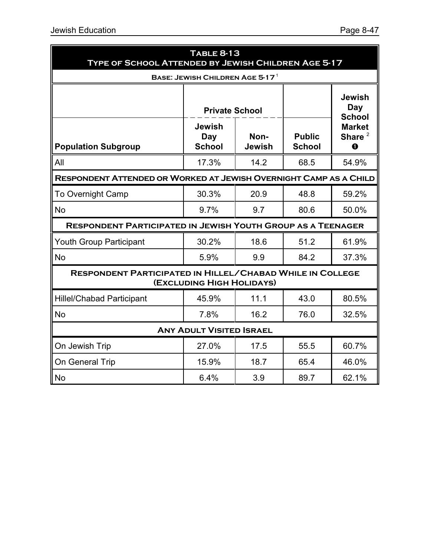| <b>TABLE 8-13</b><br><b>TYPE OF SCHOOL ATTENDED BY JEWISH CHILDREN AGE 5-17</b>               |                                       |                       |                                |                                            |  |  |  |
|-----------------------------------------------------------------------------------------------|---------------------------------------|-----------------------|--------------------------------|--------------------------------------------|--|--|--|
|                                                                                               | BASE: JEWISH CHILDREN AGE 5-17 $^1$   |                       |                                |                                            |  |  |  |
|                                                                                               | <b>Private School</b>                 |                       |                                | <b>Jewish</b><br>Day<br><b>School</b>      |  |  |  |
| <b>Population Subgroup</b>                                                                    | <b>Jewish</b><br>Day<br><b>School</b> | Non-<br><b>Jewish</b> | <b>Public</b><br><b>School</b> | <b>Market</b><br>Share $^2$<br>$\mathbf 0$ |  |  |  |
| All                                                                                           | 17.3%                                 | 14.2                  | 68.5                           | 54.9%                                      |  |  |  |
| RESPONDENT ATTENDED OR WORKED AT JEWISH OVERNIGHT CAMP AS A CHILD                             |                                       |                       |                                |                                            |  |  |  |
| <b>To Overnight Camp</b>                                                                      | 30.3%                                 | 20.9                  | 48.8                           | 59.2%                                      |  |  |  |
| <b>No</b>                                                                                     | 9.7%                                  | 9.7                   | 80.6                           | 50.0%                                      |  |  |  |
| <b>RESPONDENT PARTICIPATED IN JEWISH YOUTH GROUP AS A TEENAGER</b>                            |                                       |                       |                                |                                            |  |  |  |
| <b>Youth Group Participant</b>                                                                | 30.2%                                 | 18.6                  | 51.2                           | 61.9%                                      |  |  |  |
| <b>No</b>                                                                                     | 5.9%                                  | 9.9                   | 84.2                           | 37.3%                                      |  |  |  |
| <b>RESPONDENT PARTICIPATED IN HILLEL/CHABAD WHILE IN COLLEGE</b><br>(EXCLUDING HIGH HOLIDAYS) |                                       |                       |                                |                                            |  |  |  |
| <b>Hillel/Chabad Participant</b>                                                              | 45.9%                                 | 11.1                  | 43.0                           | 80.5%                                      |  |  |  |
| <b>No</b>                                                                                     | 7.8%                                  | 16.2                  | 76.0                           | 32.5%                                      |  |  |  |
| <b>ANY ADULT VISITED ISRAEL</b>                                                               |                                       |                       |                                |                                            |  |  |  |
| On Jewish Trip                                                                                | 27.0%                                 | 17.5                  | 55.5                           | 60.7%                                      |  |  |  |
| On General Trip                                                                               | 15.9%                                 | 18.7                  | 65.4                           | 46.0%                                      |  |  |  |
| <b>No</b>                                                                                     | 6.4%                                  | 3.9                   | 89.7                           | 62.1%                                      |  |  |  |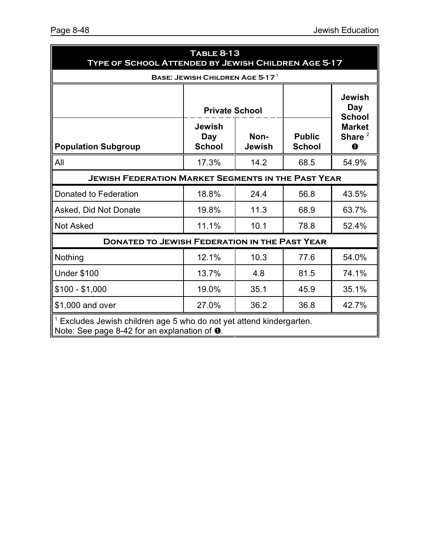| <b>TABLE 8-13</b><br>TYPE OF SCHOOL ATTENDED BY JEWISH CHILDREN AGE 5-17                                                          |                                       |                       |                                |                                        |  |  |
|-----------------------------------------------------------------------------------------------------------------------------------|---------------------------------------|-----------------------|--------------------------------|----------------------------------------|--|--|
|                                                                                                                                   | BASE: JEWISH CHILDREN AGE 5-17 $^1$   |                       |                                |                                        |  |  |
|                                                                                                                                   | <b>Private School</b>                 |                       |                                | <b>Jewish</b><br>Day<br><b>School</b>  |  |  |
| <b>Population Subgroup</b>                                                                                                        | <b>Jewish</b><br>Day<br><b>School</b> | Non-<br><b>Jewish</b> | <b>Public</b><br><b>School</b> | <b>Market</b><br>Share $^2$<br>$\bf o$ |  |  |
| All                                                                                                                               | 17.3%                                 | 14.2                  | 68.5                           | 54.9%                                  |  |  |
| <b>JEWISH FEDERATION MARKET SEGMENTS IN THE PAST YEAR</b>                                                                         |                                       |                       |                                |                                        |  |  |
| Donated to Federation                                                                                                             | 18.8%                                 | 24.4                  | 56.8                           | 43.5%                                  |  |  |
| Asked, Did Not Donate                                                                                                             | 19.8%                                 | 11.3                  | 68.9                           | 63.7%                                  |  |  |
| <b>Not Asked</b>                                                                                                                  | 11.1%                                 | 10.1                  | 78.8                           | 52.4%                                  |  |  |
| <b>DONATED TO JEWISH FEDERATION IN THE PAST YEAR</b>                                                                              |                                       |                       |                                |                                        |  |  |
| Nothing                                                                                                                           | 12.1%                                 | 10.3                  | 77.6                           | 54.0%                                  |  |  |
| <b>Under \$100</b>                                                                                                                | 13.7%                                 | 4.8                   | 81.5                           | 74.1%                                  |  |  |
| $$100 - $1,000$                                                                                                                   | 19.0%                                 | 35.1                  | 45.9                           | 35.1%                                  |  |  |
| \$1,000 and over                                                                                                                  | 27.0%                                 | 36.2                  | 36.8                           | 42.7%                                  |  |  |
| $1$ Excludes Jewish children age 5 who do not yet attend kindergarten.<br>Note: See page 8-42 for an explanation of $\mathbf 0$ . |                                       |                       |                                |                                        |  |  |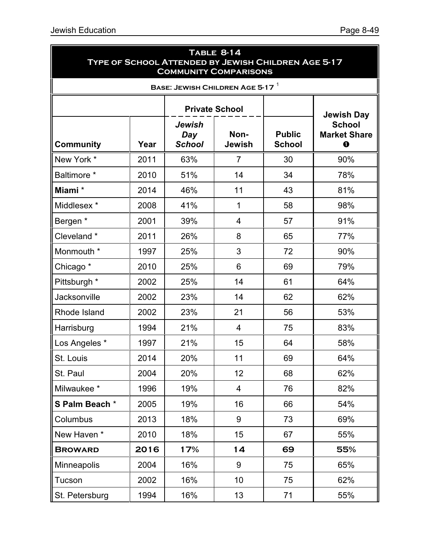| <b>TABLE 8-14</b><br>TYPE OF SCHOOL ATTENDED BY JEWISH CHILDREN AGE 5-17<br><b>COMMUNITY COMPARISONS</b> |                                     |                                       |                       |                                |                                                  |  |  |  |
|----------------------------------------------------------------------------------------------------------|-------------------------------------|---------------------------------------|-----------------------|--------------------------------|--------------------------------------------------|--|--|--|
|                                                                                                          | BASE: JEWISH CHILDREN AGE 5-17 $^1$ |                                       |                       |                                |                                                  |  |  |  |
|                                                                                                          |                                     |                                       | <b>Private School</b> |                                | <b>Jewish Day</b>                                |  |  |  |
| <b>Community</b>                                                                                         | Year                                | <b>Jewish</b><br>Day<br><b>School</b> | Non-<br>Jewish        | <b>Public</b><br><b>School</b> | <b>School</b><br><b>Market Share</b><br>$\bf{0}$ |  |  |  |
| New York *                                                                                               | 2011                                | 63%                                   | $\overline{7}$        | 30                             | 90%                                              |  |  |  |
| Baltimore *                                                                                              | 2010                                | 51%                                   | 14                    | 34                             | 78%                                              |  |  |  |
| Miami*                                                                                                   | 2014                                | 46%                                   | 11                    | 43                             | 81%                                              |  |  |  |
| Middlesex *                                                                                              | 2008                                | 41%                                   | 1                     | 58                             | 98%                                              |  |  |  |
| Bergen *                                                                                                 | 2001                                | 39%                                   | $\overline{4}$        | 57                             | 91%                                              |  |  |  |
| Cleveland *                                                                                              | 2011                                | 26%                                   | 8                     | 65                             | 77%                                              |  |  |  |
| Monmouth *                                                                                               | 1997                                | 25%                                   | 3                     | 72                             | 90%                                              |  |  |  |
| Chicago <sup>*</sup>                                                                                     | 2010                                | 25%                                   | 6                     | 69                             | 79%                                              |  |  |  |
| Pittsburgh *                                                                                             | 2002                                | 25%                                   | 14                    | 61                             | 64%                                              |  |  |  |
| Jacksonville                                                                                             | 2002                                | 23%                                   | 14                    | 62                             | 62%                                              |  |  |  |
| Rhode Island                                                                                             | 2002                                | 23%                                   | 21                    | 56                             | 53%                                              |  |  |  |
| Harrisburg                                                                                               | 1994                                | 21%                                   | $\overline{4}$        | 75                             | 83%                                              |  |  |  |
| Los Angeles *                                                                                            | 1997                                | 21%                                   | 15                    | 64                             | 58%                                              |  |  |  |
| St. Louis                                                                                                | 2014                                | 20%                                   | 11                    | 69                             | 64%                                              |  |  |  |
| St. Paul                                                                                                 | 2004                                | 20%                                   | 12 <sub>2</sub>       | 68                             | 62%                                              |  |  |  |
| Milwaukee*                                                                                               | 1996                                | 19%                                   | 4                     | 76                             | 82%                                              |  |  |  |
| S Palm Beach *                                                                                           | 2005                                | 19%                                   | 16                    | 66                             | 54%                                              |  |  |  |
| Columbus                                                                                                 | 2013                                | 18%                                   | 9                     | 73                             | 69%                                              |  |  |  |
| New Haven*                                                                                               | 2010                                | 18%                                   | 15                    | 67                             | 55%                                              |  |  |  |
| <b>BROWARD</b>                                                                                           | 2016                                | 17%                                   | 14                    | 69                             | 55%                                              |  |  |  |
| Minneapolis                                                                                              | 2004                                | 16%                                   | 9                     | 75                             | 65%                                              |  |  |  |
| Tucson                                                                                                   | 2002                                | 16%                                   | 10                    | 75                             | 62%                                              |  |  |  |
| St. Petersburg                                                                                           | 1994                                | 16%                                   | 13                    | 71                             | 55%                                              |  |  |  |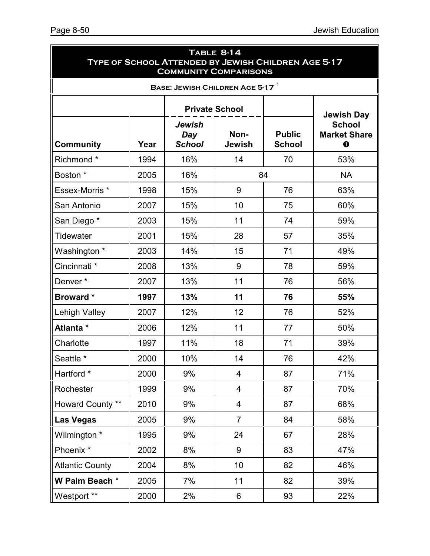| TABLE 8-14<br>TYPE OF SCHOOL ATTENDED BY JEWISH CHILDREN AGE 5-17<br><b>COMMUNITY COMPARISONS</b> |      |                                |                                |                                |                                                                      |  |
|---------------------------------------------------------------------------------------------------|------|--------------------------------|--------------------------------|--------------------------------|----------------------------------------------------------------------|--|
|                                                                                                   |      |                                | BASE: JEWISH CHILDREN AGE 5-17 |                                |                                                                      |  |
|                                                                                                   |      |                                | <b>Private School</b>          |                                |                                                                      |  |
| <b>Community</b>                                                                                  | Year | Jewish<br>Day<br><b>School</b> | Non-<br>Jewish                 | <b>Public</b><br><b>School</b> | <b>Jewish Day</b><br><b>School</b><br><b>Market Share</b><br>$\bf o$ |  |
| Richmond*                                                                                         | 1994 | 16%                            | 14                             | 70                             | 53%                                                                  |  |
| Boston *                                                                                          | 2005 | 16%                            |                                | 84                             | <b>NA</b>                                                            |  |
| Essex-Morris <sup>*</sup>                                                                         | 1998 | 15%                            | 9                              | 76                             | 63%                                                                  |  |
| San Antonio                                                                                       | 2007 | 15%                            | 10                             | 75                             | 60%                                                                  |  |
| San Diego*                                                                                        | 2003 | 15%                            | 11                             | 74                             | 59%                                                                  |  |
| <b>Tidewater</b>                                                                                  | 2001 | 15%                            | 28                             | 57                             | 35%                                                                  |  |
| Washington *                                                                                      | 2003 | 14%                            | 15                             | 71                             | 49%                                                                  |  |
| Cincinnati <sup>*</sup>                                                                           | 2008 | 13%                            | 9                              | 78                             | 59%                                                                  |  |
| Denver*                                                                                           | 2007 | 13%                            | 11                             | 76                             | 56%                                                                  |  |
| <b>Broward</b> *                                                                                  | 1997 | 13%                            | 11                             | 76                             | 55%                                                                  |  |
| Lehigh Valley                                                                                     | 2007 | 12%                            | 12                             | 76                             | 52%                                                                  |  |
| Atlanta *                                                                                         | 2006 | 12%                            | 11                             | 77                             | 50%                                                                  |  |
| Charlotte                                                                                         | 1997 | 11%                            | 18                             | 71                             | 39%                                                                  |  |
| Seattle *                                                                                         | 2000 | $10\%$                         | 14                             | 76                             | 42%                                                                  |  |
| Hartford *                                                                                        | 2000 | 9%                             | $\overline{4}$                 | 87                             | 71%                                                                  |  |
| Rochester                                                                                         | 1999 | 9%                             | 4                              | 87                             | 70%                                                                  |  |
| Howard County **                                                                                  | 2010 | 9%                             | $\overline{4}$                 | 87                             | 68%                                                                  |  |
| Las Vegas                                                                                         | 2005 | 9%                             | $\overline{7}$                 | 84                             | 58%                                                                  |  |
| Wilmington *                                                                                      | 1995 | 9%                             | 24                             | 67                             | 28%                                                                  |  |
| Phoenix <sup>*</sup>                                                                              | 2002 | 8%                             | 9                              | 83                             | 47%                                                                  |  |
| <b>Atlantic County</b>                                                                            | 2004 | 8%                             | 10                             | 82                             | 46%                                                                  |  |
| W Palm Beach *                                                                                    | 2005 | 7%                             | 11                             | 82                             | 39%                                                                  |  |
| Westport **                                                                                       | 2000 | 2%                             | 6                              | 93                             | 22%                                                                  |  |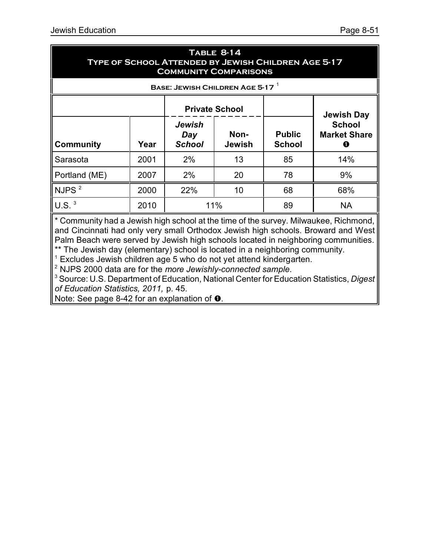| <b>TABLE 8-14</b><br>TYPE OF SCHOOL ATTENDED BY JEWISH CHILDREN AGE 5-17<br><b>COMMUNITY COMPARISONS</b> |      |                                       |                       |                                |                                           |  |
|----------------------------------------------------------------------------------------------------------|------|---------------------------------------|-----------------------|--------------------------------|-------------------------------------------|--|
|                                                                                                          |      | BASE: JEWISH CHILDREN AGE 5-17        |                       |                                |                                           |  |
|                                                                                                          |      | <b>Private School</b>                 |                       |                                | <b>Jewish Day</b>                         |  |
| <b>Community</b>                                                                                         | Year | <b>Jewish</b><br>Day<br><b>School</b> | Non-<br><b>Jewish</b> | <b>Public</b><br><b>School</b> | <b>School</b><br><b>Market Share</b><br>O |  |
| Sarasota                                                                                                 | 2001 | 2%                                    | 13                    | 85                             | 14%                                       |  |
| Portland (ME)                                                                                            | 2007 | 2%                                    | 20                    | 78                             | 9%                                        |  |
| NJPS $^2$                                                                                                | 2000 | 22%                                   | 10                    | 68                             | 68%                                       |  |
| $U.S.$ <sup>3</sup>                                                                                      | 2010 |                                       | 11%                   | 89                             | <b>NA</b>                                 |  |

\* Community had a Jewish high school at the time of the survey. Milwaukee, Richmond, and Cincinnati had only very small Orthodox Jewish high schools. Broward and West Palm Beach were served by Jewish high schools located in neighboring communities. \*\* The Jewish day (elementary) school is located in a neighboring community.

 $1$  Excludes Jewish children age 5 who do not yet attend kindergarten.

2 NJPS 2000 data are for the *more Jewishly-connected sample*.

<sup>3</sup> Source: U.S. Department of Education, National Center for Education Statistics, *Digest of Education Statistics, 2011,* p. 45.

Note: See page 8-42 for an explanation of  $\bullet$ .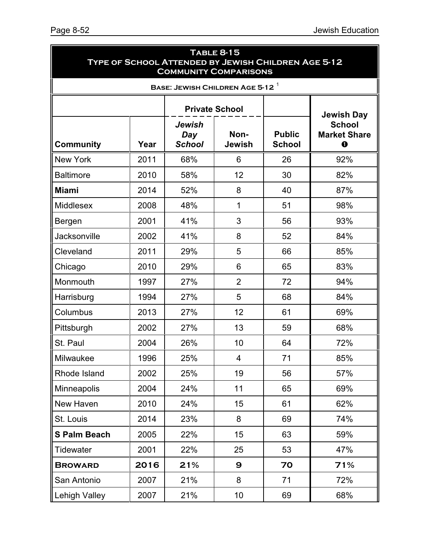| <b>TABLE 8-15</b><br>TYPE OF SCHOOL ATTENDED BY JEWISH CHILDREN AGE 5-12<br><b>COMMUNITY COMPARISONS</b> |      |                                |                                             |                                |                                                                      |  |
|----------------------------------------------------------------------------------------------------------|------|--------------------------------|---------------------------------------------|--------------------------------|----------------------------------------------------------------------|--|
|                                                                                                          |      |                                | BASE: JEWISH CHILDREN AGE 5-12 <sup>1</sup> |                                |                                                                      |  |
|                                                                                                          |      |                                |                                             |                                |                                                                      |  |
| <b>Community</b>                                                                                         | Year | Jewish<br>Day<br><b>School</b> | Non-<br>Jewish                              | <b>Public</b><br><b>School</b> | <b>Jewish Day</b><br><b>School</b><br><b>Market Share</b><br>$\bf o$ |  |
| <b>New York</b>                                                                                          | 2011 | 68%                            | 6                                           | 26                             | 92%                                                                  |  |
| <b>Baltimore</b>                                                                                         | 2010 | 58%                            | 12                                          | 30                             | 82%                                                                  |  |
| <b>Miami</b>                                                                                             | 2014 | 52%                            | 8                                           | 40                             | 87%                                                                  |  |
| <b>Middlesex</b>                                                                                         | 2008 | 48%                            | 1                                           | 51                             | 98%                                                                  |  |
| Bergen                                                                                                   | 2001 | 41%                            | 3                                           | 56                             | 93%                                                                  |  |
| <b>Jacksonville</b>                                                                                      | 2002 | 41%                            | 8                                           | 52                             | 84%                                                                  |  |
| Cleveland                                                                                                | 2011 | 29%                            | 5                                           | 66                             | 85%                                                                  |  |
| Chicago                                                                                                  | 2010 | 29%                            | 6                                           | 65                             | 83%                                                                  |  |
| Monmouth                                                                                                 | 1997 | 27%                            | $\overline{2}$                              | 72                             | 94%                                                                  |  |
| Harrisburg                                                                                               | 1994 | 27%                            | 5                                           | 68                             | 84%                                                                  |  |
| Columbus                                                                                                 | 2013 | 27%                            | 12 <sup>2</sup>                             | 61                             | 69%                                                                  |  |
| Pittsburgh                                                                                               | 2002 | 27%                            | 13                                          | 59                             | 68%                                                                  |  |
| St. Paul                                                                                                 | 2004 | 26%                            | 10                                          | 64                             | 72%                                                                  |  |
| Milwaukee                                                                                                | 1996 | 25%                            | 4                                           | 71                             | 85%                                                                  |  |
| Rhode Island                                                                                             | 2002 | 25%                            | 19                                          | 56                             | 57%                                                                  |  |
| Minneapolis                                                                                              | 2004 | 24%                            | 11                                          | 65                             | 69%                                                                  |  |
| New Haven                                                                                                | 2010 | 24%                            | 15                                          | 61                             | 62%                                                                  |  |
| St. Louis                                                                                                | 2014 | 23%                            | 8                                           | 69                             | 74%                                                                  |  |
| <b>S Palm Beach</b>                                                                                      | 2005 | 22%                            | 15                                          | 63                             | 59%                                                                  |  |
| <b>Tidewater</b>                                                                                         | 2001 | 22%                            | 25                                          | 53                             | 47%                                                                  |  |
| <b>BROWARD</b>                                                                                           | 2016 | 21%                            | $\mathbf{9}$                                | 70                             | 71%                                                                  |  |
| San Antonio                                                                                              | 2007 | 21%                            | 8                                           | 71                             | 72%                                                                  |  |
| Lehigh Valley                                                                                            | 2007 | 21%                            | 10 <sub>1</sub>                             | 69                             | 68%                                                                  |  |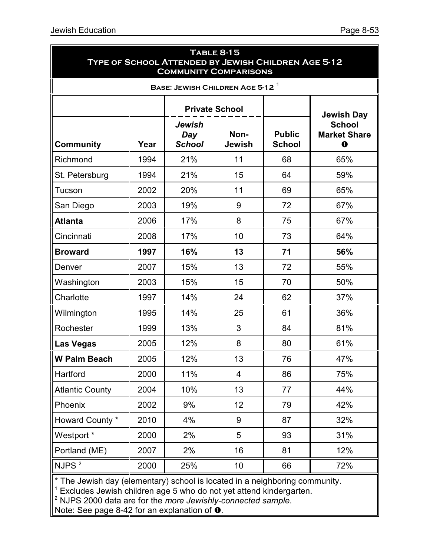| <b>TABLE 8-15</b><br>TYPE OF SCHOOL ATTENDED BY JEWISH CHILDREN AGE 5-12<br><b>COMMUNITY COMPARISONS</b> |      |                                |                                        |                                |                                                                |  |  |
|----------------------------------------------------------------------------------------------------------|------|--------------------------------|----------------------------------------|--------------------------------|----------------------------------------------------------------|--|--|
|                                                                                                          |      |                                | BASE: JEWISH CHILDREN AGE 5-12 $^{-1}$ |                                |                                                                |  |  |
|                                                                                                          |      |                                |                                        |                                |                                                                |  |  |
| <b>Community</b>                                                                                         | Year | Jewish<br>Day<br><b>School</b> | Non-<br>Jewish                         | <b>Public</b><br><b>School</b> | Jewish Day<br><b>School</b><br><b>Market Share</b><br>$\bf{0}$ |  |  |
| Richmond                                                                                                 | 1994 | 21%                            | 11                                     | 68                             | 65%                                                            |  |  |
| St. Petersburg                                                                                           | 1994 | 21%                            | 15                                     | 64                             | 59%                                                            |  |  |
| Tucson                                                                                                   | 2002 | 20%                            | 11                                     | 69                             | 65%                                                            |  |  |
| San Diego                                                                                                | 2003 | 19%                            | 9                                      | 72                             | 67%                                                            |  |  |
| <b>Atlanta</b>                                                                                           | 2006 | 17%                            | 8                                      | 75                             | 67%                                                            |  |  |
| Cincinnati                                                                                               | 2008 | 17%                            | 10                                     | 73                             | 64%                                                            |  |  |
| <b>Broward</b>                                                                                           | 1997 | 16%                            | 13                                     | 71                             | 56%                                                            |  |  |
| Denver                                                                                                   | 2007 | 15%                            | 13                                     | 72                             | 55%                                                            |  |  |
| Washington                                                                                               | 2003 | 15%                            | 15                                     | 70                             | 50%                                                            |  |  |
| Charlotte                                                                                                | 1997 | 14%                            | 24                                     | 62                             | 37%                                                            |  |  |
| Wilmington                                                                                               | 1995 | 14%                            | 25                                     | 61                             | 36%                                                            |  |  |
| Rochester                                                                                                | 1999 | 13%                            | 3                                      | 84                             | 81%                                                            |  |  |
| <b>Las Vegas</b>                                                                                         | 2005 | 12%                            | 8                                      | 80                             | 61%                                                            |  |  |
| <b>W Palm Beach</b>                                                                                      | 2005 | 12%                            | 13                                     | 76                             | 47%                                                            |  |  |
| Hartford                                                                                                 | 2000 | 11%                            | $\overline{4}$                         | 86                             | 75%                                                            |  |  |
| <b>Atlantic County</b>                                                                                   | 2004 | 10%                            | 13                                     | 77                             | 44%                                                            |  |  |
| Phoenix                                                                                                  | 2002 | 9%                             | 12                                     | 79                             | 42%                                                            |  |  |
| Howard County *                                                                                          | 2010 | 4%                             | 9                                      | 87                             | 32%                                                            |  |  |
| Westport <sup>*</sup>                                                                                    | 2000 | 2%                             | 5                                      | 93                             | 31%                                                            |  |  |
| Portland (ME)                                                                                            | 2007 | 2%                             | 16                                     | 81                             | 12%                                                            |  |  |
| NJPS <sup>2</sup>                                                                                        | 2000 | 25%                            | 10 <sup>1</sup>                        | 66                             | 72%                                                            |  |  |
| $\mathsf{I}^*$ The Jewish dav (elementary) school is located in a neighboring community.                 |      |                                |                                        |                                |                                                                |  |  |

\* The Jewish day (elementary) school is located in a neighboring community. 1 Excludes Jewish children age 5 who do not yet attend kindergarten. 2 NJPS 2000 data are for the *more Jewishly-connected sample*.

Note: See page 8-42 for an explanation of  $\bullet$ .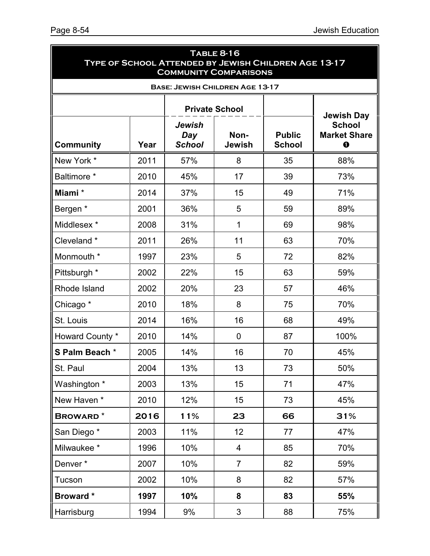| <b>TABLE 8-16</b><br>TYPE OF SCHOOL ATTENDED BY JEWISH CHILDREN AGE 13-17<br><b>COMMUNITY COMPARISONS</b> |                   |                                |                                        |    |                                                    |  |  |
|-----------------------------------------------------------------------------------------------------------|-------------------|--------------------------------|----------------------------------------|----|----------------------------------------------------|--|--|
| <b>BASE: JEWISH CHILDREN AGE 13-17</b>                                                                    |                   |                                |                                        |    |                                                    |  |  |
|                                                                                                           | <b>Jewish Day</b> |                                |                                        |    |                                                    |  |  |
| <b>Community</b>                                                                                          | Year              | Jewish<br>Day<br><b>School</b> | Non-<br><b>Jewish</b><br><b>School</b> |    | <b>School</b><br><b>Market Share</b><br>$\bf\bf 0$ |  |  |
| New York *                                                                                                | 2011              | 57%                            | 8                                      | 35 | 88%                                                |  |  |
| Baltimore *                                                                                               | 2010              | 45%                            | 17                                     | 39 | 73%                                                |  |  |
| Miami*                                                                                                    | 2014              | 37%                            | 15                                     | 49 | 71%                                                |  |  |
| Bergen *                                                                                                  | 2001              | 36%                            | 5                                      | 59 | 89%                                                |  |  |
| Middlesex *                                                                                               | 2008              | 31%                            | $\mathbf 1$                            | 69 | 98%                                                |  |  |
| Cleveland *                                                                                               | 2011              | 26%                            | 11                                     | 63 | 70%                                                |  |  |
| Monmouth *                                                                                                | 1997              | 23%                            | 5                                      | 72 | 82%                                                |  |  |
| Pittsburgh *                                                                                              | 2002              | 22%                            | 15                                     | 63 | 59%                                                |  |  |
| Rhode Island                                                                                              | 2002              | 20%                            | 23                                     | 57 | 46%                                                |  |  |
| Chicago *                                                                                                 | 2010              | 18%                            | 8                                      | 75 | 70%                                                |  |  |
| St. Louis                                                                                                 | 2014              | 16%                            | 16                                     | 68 | 49%                                                |  |  |
| Howard County *                                                                                           | 2010              | 14%                            | $\overline{0}$                         | 87 | 100%                                               |  |  |
| S Palm Beach *                                                                                            | 2005              | 14%                            | 16                                     | 70 | 45%                                                |  |  |
| St. Paul                                                                                                  | 2004              | 13%                            | 13                                     | 73 | 50%                                                |  |  |
| Washington *                                                                                              | 2003              | 13%                            | 15                                     | 71 | 47%                                                |  |  |
| New Haven *                                                                                               | 2010              | 12%                            | 15                                     | 73 | 45%                                                |  |  |
| <b>BROWARD*</b>                                                                                           | 2016              | 11%                            | 23                                     | 66 | 31%                                                |  |  |
| San Diego*                                                                                                | 2003              | 11%                            | 12 <sub>2</sub>                        | 77 | 47%                                                |  |  |
| Milwaukee*                                                                                                | 1996              | 10%                            | 4                                      | 85 | 70%                                                |  |  |
| Denver*                                                                                                   | 2007              | 10%                            | $\overline{7}$                         | 82 | 59%                                                |  |  |
| Tucson                                                                                                    | 2002              | 10%                            | 8                                      | 82 | 57%                                                |  |  |
| <b>Broward</b> *                                                                                          | 1997              | 10%                            | 8                                      | 83 | 55%                                                |  |  |
| Harrisburg                                                                                                | 1994              | 9%                             | $\mathfrak{S}$                         | 88 | 75%                                                |  |  |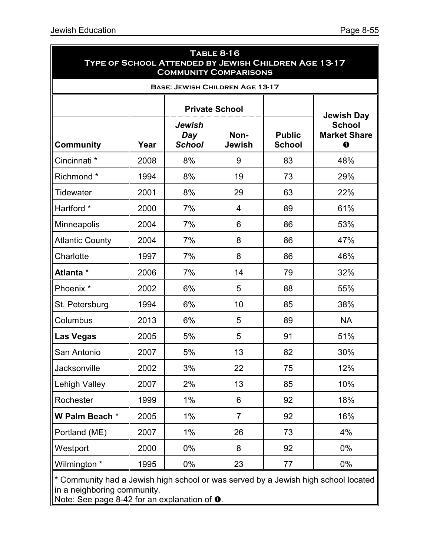| <b>TABLE 8-16</b><br><b>TYPE OF SCHOOL ATTENDED BY JEWISH CHILDREN AGE 13-17</b><br><b>COMMUNITY COMPARISONS</b> |                                        |                                       |                       |                                |                                                                |  |  |  |
|------------------------------------------------------------------------------------------------------------------|----------------------------------------|---------------------------------------|-----------------------|--------------------------------|----------------------------------------------------------------|--|--|--|
|                                                                                                                  | <b>BASE: JEWISH CHILDREN AGE 13-17</b> |                                       |                       |                                |                                                                |  |  |  |
|                                                                                                                  |                                        |                                       |                       |                                |                                                                |  |  |  |
| <b>Community</b>                                                                                                 | Year                                   | <b>Jewish</b><br>Day<br><b>School</b> | Non-<br><b>Jewish</b> | <b>Public</b><br><b>School</b> | <b>Jewish Day</b><br><b>School</b><br><b>Market Share</b><br>0 |  |  |  |
| Cincinnati <sup>*</sup>                                                                                          | 2008                                   | 8%                                    | 9                     | 83                             | 48%                                                            |  |  |  |
| Richmond*                                                                                                        | 1994                                   | 8%                                    | 19                    | 73                             | 29%                                                            |  |  |  |
| <b>Tidewater</b>                                                                                                 | 2001                                   | 8%                                    | 29                    | 63                             | 22%                                                            |  |  |  |
| Hartford *                                                                                                       | 2000                                   | 7%                                    | $\overline{4}$        | 89                             | 61%                                                            |  |  |  |
| Minneapolis                                                                                                      | 2004                                   | 7%                                    | 6                     | 86                             | 53%                                                            |  |  |  |
| <b>Atlantic County</b>                                                                                           | 2004                                   | 7%                                    | 8                     | 86                             | 47%                                                            |  |  |  |
| Charlotte                                                                                                        | 1997                                   | 7%                                    | 8                     | 86                             | 46%                                                            |  |  |  |
| Atlanta *                                                                                                        | 2006                                   | 7%                                    | 14                    | 79                             | 32%                                                            |  |  |  |
| Phoenix <sup>*</sup>                                                                                             | 2002                                   | 6%                                    | 5                     | 88                             | 55%                                                            |  |  |  |
| St. Petersburg                                                                                                   | 1994                                   | 6%                                    | 10                    | 85                             | 38%                                                            |  |  |  |
| Columbus                                                                                                         | 2013                                   | 6%                                    | 5                     | 89                             | <b>NA</b>                                                      |  |  |  |
| <b>Las Vegas</b>                                                                                                 | 2005                                   | 5%                                    | 5                     | 91                             | 51%                                                            |  |  |  |
| San Antonio                                                                                                      | 2007                                   | 5%                                    | 13                    | 82                             | 30%                                                            |  |  |  |
| Jacksonville                                                                                                     | 2002                                   | 3%                                    | 22                    | 75                             | 12%                                                            |  |  |  |
| <b>Lehigh Valley</b>                                                                                             | 2007                                   | 2%                                    | 13                    | 85                             | 10%                                                            |  |  |  |
| Rochester                                                                                                        | 1999                                   | $1\%$                                 | $6\phantom{a}$        | 92                             | 18%                                                            |  |  |  |
| W Palm Beach *                                                                                                   | 2005                                   | $1\%$                                 | $\overline{7}$        | 92                             | 16%                                                            |  |  |  |
| Portland (ME)                                                                                                    | 2007                                   | $1\%$                                 | 26                    | 73                             | 4%                                                             |  |  |  |
| Westport                                                                                                         | 2000                                   | $0\%$                                 | 8                     | 92                             | $0\%$                                                          |  |  |  |
| Wilmington *                                                                                                     | 1995                                   | $0\%$                                 | 23                    | 77                             | $0\%$                                                          |  |  |  |

\* Community had a Jewish high school or was served by a Jewish high school located in a neighboring community.

Note: See page 8-42 for an explanation of  $\bullet$ .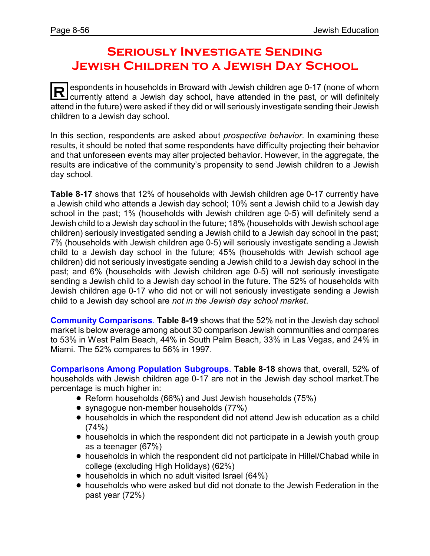# **Seriously Investigate Sending Jewish Children to a Jewish Day School**

**R** espondents in households in Broward with Jewish children age 0-17 (none of whom currently attend a Jewish day school, have attended in the past, or will definitely attend in the future) were asked if they did or will seriously investigate sending their Jewish children to a Jewish day school.

In this section, respondents are asked about *prospective behavior*. In examining these results, it should be noted that some respondents have difficulty projecting their behavior and that unforeseen events may alter projected behavior. However, in the aggregate, the results are indicative of the community's propensity to send Jewish children to a Jewish day school.

**Table 8-17** shows that 12% of households with Jewish children age 0-17 currently have a Jewish child who attends a Jewish day school; 10% sent a Jewish child to a Jewish day school in the past; 1% (households with Jewish children age 0-5) will definitely send a Jewish child to a Jewish day school in the future; 18% (households with Jewish school age children) seriously investigated sending a Jewish child to a Jewish day school in the past; 7% (households with Jewish children age 0-5) will seriously investigate sending a Jewish child to a Jewish day school in the future; 45% (households with Jewish school age children) did not seriously investigate sending a Jewish child to a Jewish day school in the past; and 6% (households with Jewish children age 0-5) will not seriously investigate sending a Jewish child to a Jewish day school in the future. The 52% of households with Jewish children age 0-17 who did not or will not seriously investigate sending a Jewish child to a Jewish day school are *not in the Jewish day school market*.

**Community Comparisons**. **Table 8-19** shows that the 52% not in the Jewish day school market is below average among about 30 comparison Jewish communities and compares to 53% in West Palm Beach, 44% in South Palm Beach, 33% in Las Vegas, and 24% in Miami. The 52% compares to 56% in 1997.

**Comparisons Among Population Subgroups**. **Table 8-18** shows that, overall, 52% of households with Jewish children age 0-17 are not in the Jewish day school market.The percentage is much higher in:

- Reform households (66%) and Just Jewish households (75%)
- synagogue non-member households (77%)
- ! households in which the respondent did not attend Jewish education as a child  $(74%)$
- households in which the respondent did not participate in a Jewish youth group as a teenager (67%)
- ! households in which the respondent did not participate in Hillel/Chabad while in college (excluding High Holidays) (62%)
- households in which no adult visited Israel (64%)
- ! households who were asked but did not donate to the Jewish Federation in the past year (72%)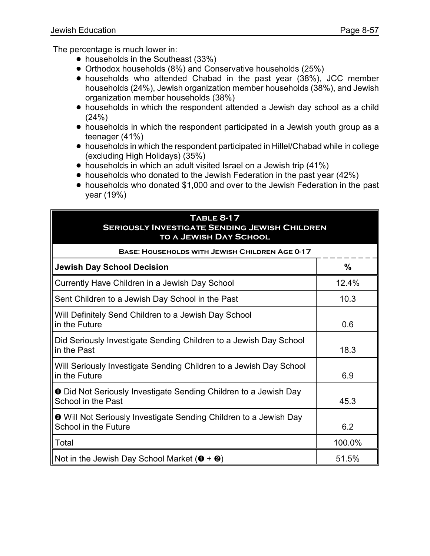The percentage is much lower in:

- households in the Southeast (33%)
- ! Orthodox households (8%) and Conservative households (25%)
- ! households who attended Chabad in the past year (38%), JCC member households (24%), Jewish organization member households (38%), and Jewish organization member households (38%)
- ! households in which the respondent attended a Jewish day school as a child (24%)
- households in which the respondent participated in a Jewish youth group as a teenager (41%)
- ! households in which the respondent participated in Hillel/Chabad while in college (excluding High Holidays) (35%)
- households in which an adult visited Israel on a Jewish trip (41%)
- households who donated to the Jewish Federation in the past year (42%)
- ! households who donated \$1,000 and over to the Jewish Federation in the past year (19%)

#### **Table 8-17 Seriously Investigate Sending Jewish Children to a Jewish Day School**

| <b>BASE: HOUSEHOLDS WITH JEWISH CHILDREN AGE 0-17</b>                                            |               |  |  |  |
|--------------------------------------------------------------------------------------------------|---------------|--|--|--|
| <b>Jewish Day School Decision</b>                                                                | $\frac{0}{0}$ |  |  |  |
| Currently Have Children in a Jewish Day School                                                   | 12.4%         |  |  |  |
| Sent Children to a Jewish Day School in the Past                                                 | 10.3          |  |  |  |
| Will Definitely Send Children to a Jewish Day School<br>in the Future                            | 0.6           |  |  |  |
| Did Seriously Investigate Sending Children to a Jewish Day School<br>in the Past                 | 18.3          |  |  |  |
| Will Seriously Investigate Sending Children to a Jewish Day School<br>in the Future              | 6.9           |  |  |  |
| <b>O</b> Did Not Seriously Investigate Sending Children to a Jewish Day<br>School in the Past    | 45.3          |  |  |  |
| <b>@</b> Will Not Seriously Investigate Sending Children to a Jewish Day<br>School in the Future | 6.2           |  |  |  |
| Total                                                                                            | 100.0%        |  |  |  |
| Not in the Jewish Day School Market ( $\mathbf{0} + \mathbf{0}$ )                                | 51.5%         |  |  |  |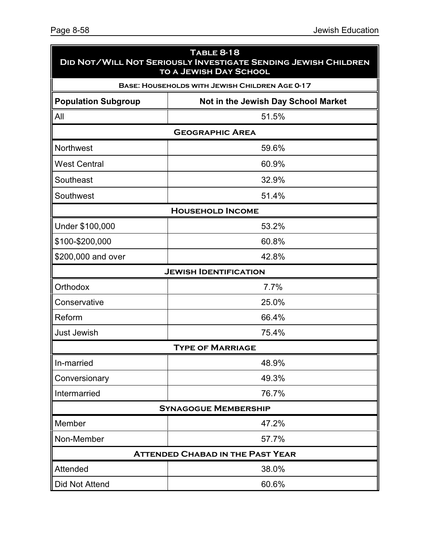| <b>TABLE 8-18</b><br><b>DID NOT/WILL NOT SERIOUSLY INVESTIGATE SENDING JEWISH CHILDREN</b><br><b>TO A JEWISH DAY SCHOOL</b> |                                         |  |  |  |  |  |
|-----------------------------------------------------------------------------------------------------------------------------|-----------------------------------------|--|--|--|--|--|
| <b>BASE: HOUSEHOLDS WITH JEWISH CHILDREN AGE 0-17</b>                                                                       |                                         |  |  |  |  |  |
| <b>Population Subgroup</b><br>Not in the Jewish Day School Market                                                           |                                         |  |  |  |  |  |
| All<br>51.5%                                                                                                                |                                         |  |  |  |  |  |
|                                                                                                                             | <b>GEOGRAPHIC AREA</b>                  |  |  |  |  |  |
| Northwest                                                                                                                   | 59.6%                                   |  |  |  |  |  |
| <b>West Central</b>                                                                                                         | 60.9%                                   |  |  |  |  |  |
| Southeast                                                                                                                   | 32.9%                                   |  |  |  |  |  |
| Southwest                                                                                                                   | 51.4%                                   |  |  |  |  |  |
|                                                                                                                             | <b>HOUSEHOLD INCOME</b>                 |  |  |  |  |  |
| Under \$100,000                                                                                                             | 53.2%                                   |  |  |  |  |  |
| \$100-\$200,000                                                                                                             | 60.8%                                   |  |  |  |  |  |
| \$200,000 and over                                                                                                          | 42.8%                                   |  |  |  |  |  |
|                                                                                                                             | <b>JEWISH IDENTIFICATION</b>            |  |  |  |  |  |
| Orthodox                                                                                                                    | 7.7%                                    |  |  |  |  |  |
| Conservative                                                                                                                | 25.0%                                   |  |  |  |  |  |
| Reform                                                                                                                      | 66.4%                                   |  |  |  |  |  |
| <b>Just Jewish</b>                                                                                                          | 75.4%                                   |  |  |  |  |  |
|                                                                                                                             | <b>TYPE OF MARRIAGE</b>                 |  |  |  |  |  |
| In-married                                                                                                                  | 48.9%                                   |  |  |  |  |  |
| Conversionary                                                                                                               | 49.3%                                   |  |  |  |  |  |
| Intermarried                                                                                                                | 76.7%                                   |  |  |  |  |  |
|                                                                                                                             | <b>SYNAGOGUE MEMBERSHIP</b>             |  |  |  |  |  |
| Member                                                                                                                      | 47.2%                                   |  |  |  |  |  |
| Non-Member                                                                                                                  | 57.7%                                   |  |  |  |  |  |
|                                                                                                                             | <b>ATTENDED CHABAD IN THE PAST YEAR</b> |  |  |  |  |  |
| Attended                                                                                                                    | 38.0%                                   |  |  |  |  |  |
| Did Not Attend                                                                                                              | 60.6%                                   |  |  |  |  |  |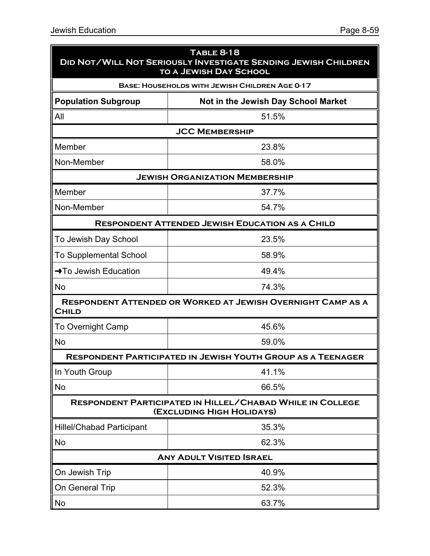| <b>TABLE 8-18</b><br><b>DID NOT/WILL NOT SERIOUSLY INVESTIGATE SENDING JEWISH CHILDREN</b><br><b>TO A JEWISH DAY SCHOOL</b> |                                                                                               |  |  |  |  |  |
|-----------------------------------------------------------------------------------------------------------------------------|-----------------------------------------------------------------------------------------------|--|--|--|--|--|
| <b>BASE: HOUSEHOLDS WITH JEWISH CHILDREN AGE 0-17</b>                                                                       |                                                                                               |  |  |  |  |  |
| <b>Population Subgroup</b>                                                                                                  | Not in the Jewish Day School Market                                                           |  |  |  |  |  |
| All                                                                                                                         | 51.5%                                                                                         |  |  |  |  |  |
|                                                                                                                             | <b>JCC MEMBERSHIP</b>                                                                         |  |  |  |  |  |
| Member                                                                                                                      | 23.8%                                                                                         |  |  |  |  |  |
| Non-Member                                                                                                                  | 58.0%                                                                                         |  |  |  |  |  |
|                                                                                                                             | <b>JEWISH ORGANIZATION MEMBERSHIP</b>                                                         |  |  |  |  |  |
| Member                                                                                                                      | 37.7%                                                                                         |  |  |  |  |  |
| Non-Member                                                                                                                  | 54.7%                                                                                         |  |  |  |  |  |
|                                                                                                                             | <b>RESPONDENT ATTENDED JEWISH EDUCATION AS A CHILD</b>                                        |  |  |  |  |  |
| To Jewish Day School                                                                                                        | 23.5%                                                                                         |  |  |  |  |  |
| <b>To Supplemental School</b>                                                                                               | 58.9%                                                                                         |  |  |  |  |  |
| →To Jewish Education                                                                                                        | 49.4%                                                                                         |  |  |  |  |  |
| No                                                                                                                          | 74.3%                                                                                         |  |  |  |  |  |
| <b>CHILD</b>                                                                                                                | <b>RESPONDENT ATTENDED OR WORKED AT JEWISH OVERNIGHT CAMP AS A</b>                            |  |  |  |  |  |
| <b>To Overnight Camp</b>                                                                                                    | 45.6%                                                                                         |  |  |  |  |  |
| No                                                                                                                          | 59.0%                                                                                         |  |  |  |  |  |
|                                                                                                                             | <b>RESPONDENT PARTICIPATED IN JEWISH YOUTH GROUP AS A TEENAGER</b>                            |  |  |  |  |  |
| In Youth Group                                                                                                              | 41.1%                                                                                         |  |  |  |  |  |
| No                                                                                                                          | 66.5%                                                                                         |  |  |  |  |  |
|                                                                                                                             | <b>RESPONDENT PARTICIPATED IN HILLEL/CHABAD WHILE IN COLLEGE</b><br>(EXCLUDING HIGH HOLIDAYS) |  |  |  |  |  |
| <b>Hillel/Chabad Participant</b>                                                                                            | 35.3%                                                                                         |  |  |  |  |  |
| <b>No</b>                                                                                                                   | 62.3%                                                                                         |  |  |  |  |  |
| <b>ANY ADULT VISITED ISRAEL</b>                                                                                             |                                                                                               |  |  |  |  |  |
| On Jewish Trip                                                                                                              | 40.9%                                                                                         |  |  |  |  |  |
| On General Trip                                                                                                             | 52.3%                                                                                         |  |  |  |  |  |
| No                                                                                                                          | 63.7%                                                                                         |  |  |  |  |  |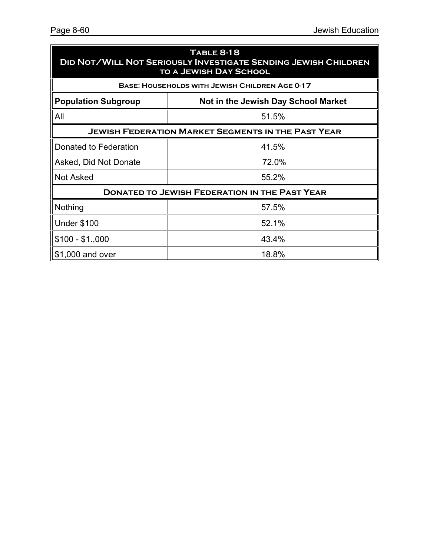| <b>TABLE 8-18</b><br><b>DID NOT/WILL NOT SERIOUSLY INVESTIGATE SENDING JEWISH CHILDREN</b><br><b>TO A JEWISH DAY SCHOOL</b> |                                                           |  |  |  |
|-----------------------------------------------------------------------------------------------------------------------------|-----------------------------------------------------------|--|--|--|
|                                                                                                                             | <b>BASE: HOUSEHOLDS WITH JEWISH CHILDREN AGE 0-17</b>     |  |  |  |
| <b>Population Subgroup</b>                                                                                                  | Not in the Jewish Day School Market                       |  |  |  |
| All                                                                                                                         | 51.5%                                                     |  |  |  |
|                                                                                                                             | <b>JEWISH FEDERATION MARKET SEGMENTS IN THE PAST YEAR</b> |  |  |  |
| Donated to Federation                                                                                                       | 41.5%                                                     |  |  |  |
| Asked, Did Not Donate                                                                                                       | 72.0%                                                     |  |  |  |
| <b>Not Asked</b>                                                                                                            | 55.2%                                                     |  |  |  |
|                                                                                                                             | <b>DONATED TO JEWISH FEDERATION IN THE PAST YEAR</b>      |  |  |  |
| Nothing                                                                                                                     | 57.5%                                                     |  |  |  |
| <b>Under \$100</b>                                                                                                          | 52.1%                                                     |  |  |  |
| $$100 - $1,000$                                                                                                             | 43.4%                                                     |  |  |  |
| \$1,000 and over                                                                                                            | 18.8%                                                     |  |  |  |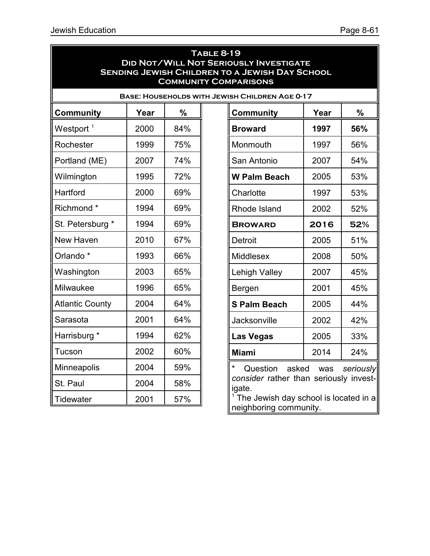| <b>TABLE 8-19</b><br><b>DID NOT/WILL NOT SERIOUSLY INVESTIGATE</b><br><b>SENDING JEWISH CHILDREN TO A JEWISH DAY SCHOOL</b><br><b>COMMUNITY COMPARISONS</b> |      |               |  |                                                       |      |               |  |
|-------------------------------------------------------------------------------------------------------------------------------------------------------------|------|---------------|--|-------------------------------------------------------|------|---------------|--|
|                                                                                                                                                             |      |               |  | <b>BASE: HOUSEHOLDS WITH JEWISH CHILDREN AGE 0-17</b> |      |               |  |
| <b>Community</b>                                                                                                                                            | Year | $\frac{0}{0}$ |  | <b>Community</b>                                      | Year | $\frac{0}{0}$ |  |
| Westport <sup>1</sup>                                                                                                                                       | 2000 | 84%           |  | <b>Broward</b>                                        | 1997 | 56%           |  |
| Rochester                                                                                                                                                   | 1999 | 75%           |  | Monmouth                                              | 1997 | 56%           |  |
| Portland (ME)                                                                                                                                               | 2007 | 74%           |  | San Antonio                                           | 2007 | 54%           |  |
| Wilmington                                                                                                                                                  | 1995 | 72%           |  | <b>W Palm Beach</b>                                   | 2005 | 53%           |  |
| Hartford                                                                                                                                                    | 2000 | 69%           |  | Charlotte                                             | 1997 | 53%           |  |
| Richmond <sup>*</sup>                                                                                                                                       | 1994 | 69%           |  | Rhode Island                                          | 2002 | 52%           |  |
| St. Petersburg *                                                                                                                                            | 1994 | 69%           |  | <b>BROWARD</b>                                        | 2016 | 52%           |  |
| New Haven                                                                                                                                                   | 2010 | 67%           |  | Detroit                                               | 2005 | 51%           |  |
| Orlando <sup>*</sup>                                                                                                                                        | 1993 | 66%           |  | <b>Middlesex</b>                                      | 2008 | 50%           |  |
| Washington                                                                                                                                                  | 2003 | 65%           |  | Lehigh Valley                                         | 2007 | 45%           |  |
| Milwaukee                                                                                                                                                   | 1996 | 65%           |  | Bergen                                                | 2001 | 45%           |  |
| <b>Atlantic County</b>                                                                                                                                      | 2004 | 64%           |  | <b>S Palm Beach</b>                                   | 2005 | 44%           |  |
| Sarasota                                                                                                                                                    | 2001 | 64%           |  | Jacksonville                                          | 2002 | 42%           |  |
| Harrisburg *                                                                                                                                                | 1994 | 62%           |  | <b>Las Vegas</b>                                      | 2005 | 33%           |  |
| Tucson                                                                                                                                                      | 2002 | 60%           |  | <b>Miami</b>                                          | 2014 | 24%           |  |
| <b>Minneapolis</b>                                                                                                                                          | 2004 | 59%           |  | Question<br>asked                                     | was  | seriously     |  |
| St. Paul                                                                                                                                                    | 2004 | 58%           |  | consider rather than seriously invest-<br>igate.      |      |               |  |
| <b>Tidewater</b>                                                                                                                                            | 2001 | 57%           |  | <sup>1</sup> The Jewish day school is located in a    |      |               |  |

neighboring community.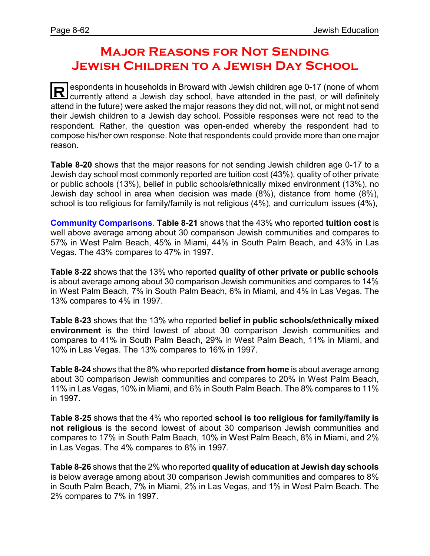# **Major Reasons for Not Sending Jewish Children to a Jewish Day School**

**R** espondents in households in Broward with Jewish children age 0-17 (none of whom currently attend a Jewish day school, have attended in the past, or will definitely attend in the future) were asked the major reasons they did not, will not, or might not send their Jewish children to a Jewish day school. Possible responses were not read to the respondent. Rather, the question was open-ended whereby the respondent had to compose his/her own response. Note that respondents could provide more than one major reason.

**Table 8-20** shows that the major reasons for not sending Jewish children age 0-17 to a Jewish day school most commonly reported are tuition cost (43%), quality of other private or public schools (13%), belief in public schools/ethnically mixed environment (13%), no Jewish day school in area when decision was made (8%), distance from home (8%), school is too religious for family/family is not religious (4%), and curriculum issues (4%),

**Community Comparisons**. **Table 8-21** shows that the 43% who reported **tuition cost** is well above average among about 30 comparison Jewish communities and compares to 57% in West Palm Beach, 45% in Miami, 44% in South Palm Beach, and 43% in Las Vegas. The 43% compares to 47% in 1997.

**Table 8-22** shows that the 13% who reported **quality of other private or public schools** is about average among about 30 comparison Jewish communities and compares to 14% in West Palm Beach, 7% in South Palm Beach, 6% in Miami, and 4% in Las Vegas. The 13% compares to 4% in 1997.

**Table 8-23** shows that the 13% who reported **belief in public schools/ethnically mixed environment** is the third lowest of about 30 comparison Jewish communities and compares to 41% in South Palm Beach, 29% in West Palm Beach, 11% in Miami, and 10% in Las Vegas. The 13% compares to 16% in 1997.

**Table 8-24** shows that the 8% who reported **distance from home** is about average among about 30 comparison Jewish communities and compares to 20% in West Palm Beach, 11% in Las Vegas, 10% in Miami, and 6% in South Palm Beach. The 8% compares to 11% in 1997.

**Table 8-25** shows that the 4% who reported **school is too religious for family/family is not religious** is the second lowest of about 30 comparison Jewish communities and compares to 17% in South Palm Beach, 10% in West Palm Beach, 8% in Miami, and 2% in Las Vegas. The 4% compares to 8% in 1997.

**Table 8-26** shows that the 2% who reported **quality of education at Jewish day schools** is below average among about 30 comparison Jewish communities and compares to 8% in South Palm Beach, 7% in Miami, 2% in Las Vegas, and 1% in West Palm Beach. The 2% compares to 7% in 1997.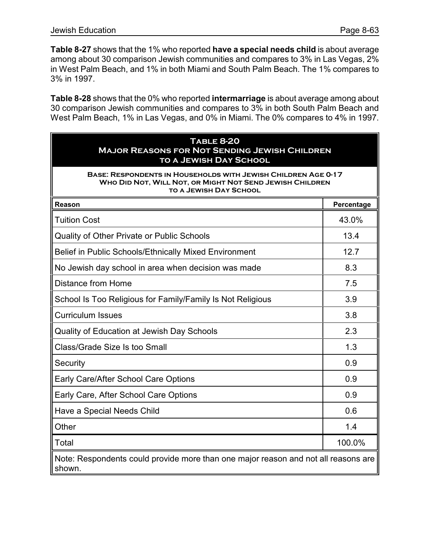**Table 8-27** shows that the 1% who reported **have a special needs child** is about average among about 30 comparison Jewish communities and compares to 3% in Las Vegas, 2% in West Palm Beach, and 1% in both Miami and South Palm Beach. The 1% compares to 3% in 1997.

**Table 8-28** shows that the 0% who reported **intermarriage** is about average among about 30 comparison Jewish communities and compares to 3% in both South Palm Beach and West Palm Beach, 1% in Las Vegas, and 0% in Miami. The 0% compares to 4% in 1997.

| <b>TABLE 8-20</b><br><b>MAJOR REASONS FOR NOT SENDING JEWISH CHILDREN</b><br><b>TO A JEWISH DAY SCHOOL</b>                                                        |            |  |  |  |
|-------------------------------------------------------------------------------------------------------------------------------------------------------------------|------------|--|--|--|
| <b>BASE: RESPONDENTS IN HOUSEHOLDS WITH JEWISH CHILDREN AGE 0-17</b><br>WHO DID NOT, WILL NOT, OR MIGHT NOT SEND JEWISH CHILDREN<br><b>TO A JEWISH DAY SCHOOL</b> |            |  |  |  |
| Reason                                                                                                                                                            | Percentage |  |  |  |
| <b>Tuition Cost</b>                                                                                                                                               | 43.0%      |  |  |  |
| Quality of Other Private or Public Schools                                                                                                                        | 13.4       |  |  |  |
| Belief in Public Schools/Ethnically Mixed Environment                                                                                                             | 12.7       |  |  |  |
| No Jewish day school in area when decision was made                                                                                                               | 8.3        |  |  |  |
| <b>Distance from Home</b>                                                                                                                                         | 7.5        |  |  |  |
| School Is Too Religious for Family/Family Is Not Religious                                                                                                        | 3.9        |  |  |  |
| <b>Curriculum Issues</b>                                                                                                                                          | 3.8        |  |  |  |
| Quality of Education at Jewish Day Schools                                                                                                                        | 2.3        |  |  |  |
| Class/Grade Size Is too Small                                                                                                                                     | 1.3        |  |  |  |
| Security                                                                                                                                                          | 0.9        |  |  |  |
| Early Care/After School Care Options                                                                                                                              | 0.9        |  |  |  |
| Early Care, After School Care Options                                                                                                                             | 0.9        |  |  |  |
| Have a Special Needs Child                                                                                                                                        | 0.6        |  |  |  |
| Other                                                                                                                                                             | 1.4        |  |  |  |
| Total                                                                                                                                                             | 100.0%     |  |  |  |
| Note: Respondents could provide more than one major reason and not all reasons are<br>shown.                                                                      |            |  |  |  |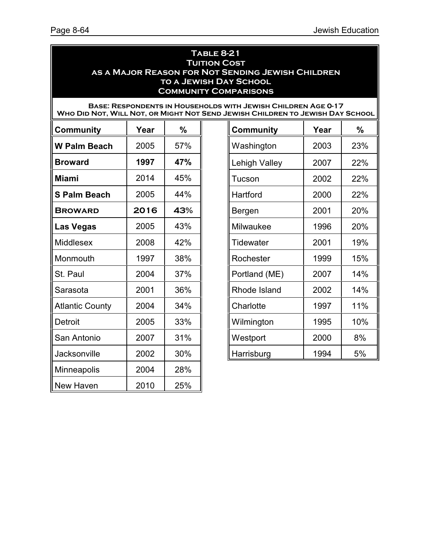#### **Table 8-21 TUITION COST as a Major Reason for Not Sending Jewish Children to a Jewish Day School Community Comparisons**

#### **Base: Respondents in Households with Jewish Children Age 0-17 WHO DID NOT, WILL NOT, OR MIGHT NOT SEND JE**

| <b>Community</b>       | Year | %   | <b>Community</b>     | Year | %               |
|------------------------|------|-----|----------------------|------|-----------------|
| <b>W Palm Beach</b>    | 2005 | 57% | Washington           | 2003 | 23 <sup>°</sup> |
| <b>Broward</b>         | 1997 | 47% | <b>Lehigh Valley</b> | 2007 | $22^\circ$      |
| <b>Miami</b>           | 2014 | 45% | Tucson               | 2002 | $22^\circ$      |
| <b>S Palm Beach</b>    | 2005 | 44% | Hartford             | 2000 | $22^\circ$      |
| <b>BROWARD</b>         | 2016 | 43% | Bergen               | 2001 | 20 <sup>o</sup> |
| <b>Las Vegas</b>       | 2005 | 43% | Milwaukee            | 1996 | 20 <sup>o</sup> |
| Middlesex              | 2008 | 42% | <b>Tidewater</b>     | 2001 | 19 <sup>°</sup> |
| Monmouth               | 1997 | 38% | Rochester            | 1999 | 15 <sup>°</sup> |
| St. Paul               | 2004 | 37% | Portland (ME)        | 2007 | 14 <sup>°</sup> |
| Sarasota               | 2001 | 36% | Rhode Island         | 2002 | 14 <sup>°</sup> |
| <b>Atlantic County</b> | 2004 | 34% | Charlotte            | 1997 | 11 <sup>°</sup> |
| Detroit                | 2005 | 33% | Wilmington           | 1995 | 10 <sup>°</sup> |
| San Antonio            | 2007 | 31% | Westport             | 2000 | 8%              |
| <b>Jacksonville</b>    | 2002 | 30% | Harrisburg           | 1994 | 5%              |
| <b>Minneapolis</b>     | 2004 | 28% |                      |      |                 |
| New Haven              | 2010 | 25% |                      |      |                 |

| EWISH CHILDREN TO JEWISH DAY SCHOOL |      |     |  |  |  |
|-------------------------------------|------|-----|--|--|--|
| <b>Community</b>                    | Year | %   |  |  |  |
| Washington                          | 2003 | 23% |  |  |  |
| <b>Lehigh Valley</b>                | 2007 | 22% |  |  |  |
| Tucson                              | 2002 | 22% |  |  |  |
| Hartford                            | 2000 | 22% |  |  |  |
| Bergen                              | 2001 | 20% |  |  |  |
| Milwaukee                           | 1996 | 20% |  |  |  |
| Tidewater                           | 2001 | 19% |  |  |  |
| Rochester                           | 1999 | 15% |  |  |  |
| Portland (ME)                       | 2007 | 14% |  |  |  |
| Rhode Island                        | 2002 | 14% |  |  |  |
| Charlotte                           | 1997 | 11% |  |  |  |
| Wilmington                          | 1995 | 10% |  |  |  |
| Westport                            | 2000 | 8%  |  |  |  |
| Harrisburg                          | 1994 | 5%  |  |  |  |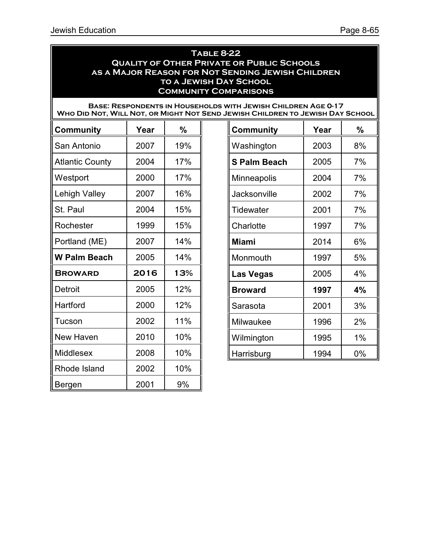Bergen 2001 9%

|                        |      |               | <u>IU A JEWISH DAT SCHUUL</u><br><b>COMMUNITY COMPARISONS</b>                                                                                         |      |               |
|------------------------|------|---------------|-------------------------------------------------------------------------------------------------------------------------------------------------------|------|---------------|
|                        |      |               | <b>BASE: RESPONDENTS IN HOUSEHOLDS WITH JEWISH CHILDREN AGE 0-17</b><br>WHO DID NOT, WILL NOT, OR MIGHT NOT SEND JEWISH CHILDREN TO JEWISH DAY SCHOOL |      |               |
| <b>Community</b>       | Year | $\frac{0}{0}$ | <b>Community</b>                                                                                                                                      | Year | $\frac{0}{0}$ |
| San Antonio            | 2007 | 19%           | Washington                                                                                                                                            | 2003 | 8%            |
| <b>Atlantic County</b> | 2004 | 17%           | <b>S Palm Beach</b>                                                                                                                                   | 2005 | 7%            |
| Westport               | 2000 | 17%           | <b>Minneapolis</b>                                                                                                                                    | 2004 | 7%            |
| Lehigh Valley          | 2007 | 16%           | <b>Jacksonville</b>                                                                                                                                   | 2002 | 7%            |
| St. Paul               | 2004 | 15%           | Tidewater                                                                                                                                             | 2001 | 7%            |
| Rochester              | 1999 | 15%           | Charlotte                                                                                                                                             | 1997 | 7%            |
| Portland (ME)          | 2007 | 14%           | <b>Miami</b>                                                                                                                                          | 2014 | 6%            |
| <b>W Palm Beach</b>    | 2005 | 14%           | Monmouth                                                                                                                                              | 1997 | 5%            |
| <b>BROWARD</b>         | 2016 | 13%           | Las Vegas                                                                                                                                             | 2005 | 4%            |
| Detroit                | 2005 | 12%           | <b>Broward</b>                                                                                                                                        | 1997 | 4%            |
| Hartford               | 2000 | 12%           | Sarasota                                                                                                                                              | 2001 | 3%            |
| Tucson                 | 2002 | 11%           | Milwaukee                                                                                                                                             | 1996 | 2%            |
| New Haven              | 2010 | 10%           | Wilmington                                                                                                                                            | 1995 | 1%            |
| <b>Middlesex</b>       | 2008 | 10%           | Harrisburg                                                                                                                                            | 1994 | $0\%$         |
| Rhode Island           | 2002 | 10%           |                                                                                                                                                       |      |               |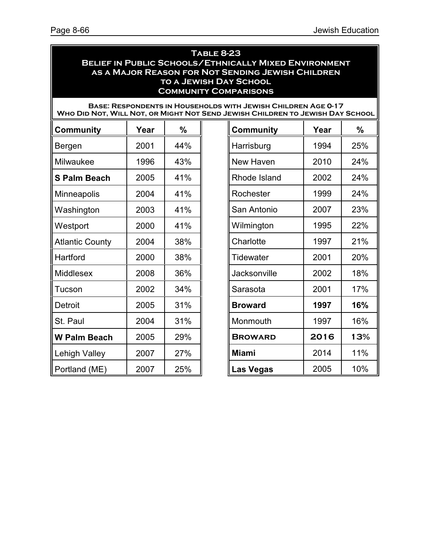#### **Table 8-23 Belief in Public Schools/Ethnically Mixed Environment as a Major Reason for Not Sending Jewish Children to a Jewish Day School Community Comparisons**

| <b>BASE: RESPONDENTS IN HOUSEHOLDS WITH JEWISH CHILDREN AGE 0-17</b>          |
|-------------------------------------------------------------------------------|
| WHO DID NOT, WILL NOT, OR MIGHT NOT SEND JEWISH CHILDREN TO JEWISH DAY SCHOOL |

| <b>Community</b>       | Year | %   | <b>Community</b> | Year | %               |
|------------------------|------|-----|------------------|------|-----------------|
| Bergen                 | 2001 | 44% | Harrisburg       | 1994 | $25^\circ$      |
| Milwaukee              | 1996 | 43% | New Haven        | 2010 | $24^\circ$      |
| <b>S Palm Beach</b>    | 2005 | 41% | Rhode Island     | 2002 | $24^\circ$      |
| Minneapolis            | 2004 | 41% | Rochester        | 1999 | $24^\circ$      |
| Washington             | 2003 | 41% | San Antonio      | 2007 | 23 <sup>°</sup> |
| Westport               | 2000 | 41% | Wilmington       | 1995 | $22^\circ$      |
| <b>Atlantic County</b> | 2004 | 38% | Charlotte        | 1997 | 21 <sup>°</sup> |
| Hartford               | 2000 | 38% | Tidewater        | 2001 | 20 <sup>o</sup> |
| <b>Middlesex</b>       | 2008 | 36% | Jacksonville     | 2002 | 18 <sup>°</sup> |
| Tucson                 | 2002 | 34% | Sarasota         | 2001 | 17 <sup>°</sup> |
| Detroit                | 2005 | 31% | <b>Broward</b>   | 1997 | 16 <sup>°</sup> |
| St. Paul               | 2004 | 31% | Monmouth         | 1997 | 16 <sup>°</sup> |
| <b>W Palm Beach</b>    | 2005 | 29% | <b>BROWARD</b>   | 2016 | 13 <sup>°</sup> |
| Lehigh Valley          | 2007 | 27% | <b>Miami</b>     | 2014 | 11 <sup>°</sup> |
| Portland (ME)          | 2007 | 25% | <b>Las Vegas</b> | 2005 | 10 <sup>o</sup> |

| <b>Community</b> | Year | %   |
|------------------|------|-----|
| Harrisburg       | 1994 | 25% |
| New Haven        | 2010 | 24% |
| Rhode Island     | 2002 | 24% |
| Rochester        | 1999 | 24% |
| San Antonio      | 2007 | 23% |
| Wilmington       | 1995 | 22% |
| Charlotte        | 1997 | 21% |
| <b>Tidewater</b> | 2001 | 20% |
| Jacksonville     | 2002 | 18% |
| Sarasota         | 2001 | 17% |
| <b>Broward</b>   | 1997 | 16% |
| Monmouth         | 1997 | 16% |
| <b>BROWARD</b>   | 2016 | 13% |
| <b>Miami</b>     | 2014 | 11% |
| <b>Las Vegas</b> | 2005 | 10% |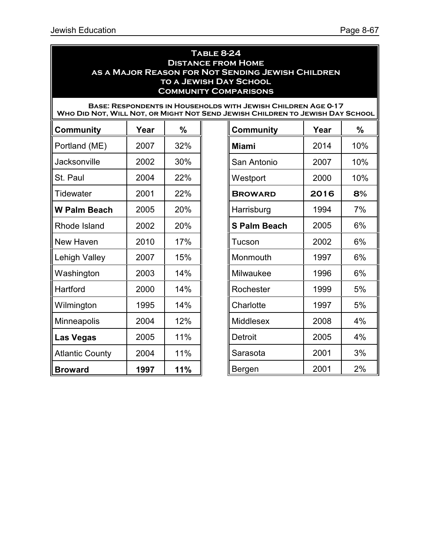#### **Table 8-24 Distance from Home as a Major Reason for Not Sending Jewish Children to a Jewish Day School Community Comparisons**

#### **Base: Respondents in Households with Jewish Children Age 0-17 Who Did Not, Will Not, or Might Not Send Jewish Children to Jewish Day School**

| <b>Community</b>       | Year | %   | <b>Community</b>    | Year | %               |
|------------------------|------|-----|---------------------|------|-----------------|
| Portland (ME)          | 2007 | 32% | <b>Miami</b>        | 2014 | 10 <sup>o</sup> |
| <b>Jacksonville</b>    | 2002 | 30% | San Antonio         | 2007 | 10 <sup>°</sup> |
| St. Paul               | 2004 | 22% | Westport            | 2000 | 10 <sup>°</sup> |
| Tidewater              | 2001 | 22% | <b>BROWARD</b>      | 2016 | 8%              |
| <b>W Palm Beach</b>    | 2005 | 20% | Harrisburg          | 1994 | 7%              |
| Rhode Island           | 2002 | 20% | <b>S Palm Beach</b> | 2005 | 6%              |
| New Haven              | 2010 | 17% | Tucson              | 2002 | 6%              |
| Lehigh Valley          | 2007 | 15% | Monmouth            | 1997 | 6%              |
| Washington             | 2003 | 14% | Milwaukee           | 1996 | 6%              |
| Hartford               | 2000 | 14% | Rochester           | 1999 | 5%              |
| Wilmington             | 1995 | 14% | Charlotte           | 1997 | 5%              |
| Minneapolis            | 2004 | 12% | Middlesex           | 2008 | 4%              |
| <b>Las Vegas</b>       | 2005 | 11% | <b>Detroit</b>      | 2005 | 4%              |
| <b>Atlantic County</b> | 2004 | 11% | Sarasota            | 2001 | 3%              |
| <b>Broward</b>         | 1997 | 11% | Bergen              | 2001 | 2%              |

| UREN IU JEWISH DAI<br><b>SUNUUL</b> |      |     |  |  |
|-------------------------------------|------|-----|--|--|
| <b>Community</b>                    | Year | %   |  |  |
| <b>Miami</b>                        | 2014 | 10% |  |  |
| San Antonio                         | 2007 | 10% |  |  |
| Westport                            | 2000 | 10% |  |  |
| <b>BROWARD</b>                      | 2016 | 8%  |  |  |
| Harrisburg                          | 1994 | 7%  |  |  |
| <b>S Palm Beach</b>                 | 2005 | 6%  |  |  |
| Tucson                              | 2002 | 6%  |  |  |
| Monmouth                            | 1997 | 6%  |  |  |
| Milwaukee                           | 1996 | 6%  |  |  |
| Rochester                           | 1999 | 5%  |  |  |
| Charlotte                           | 1997 | 5%  |  |  |
| <b>Middlesex</b>                    | 2008 | 4%  |  |  |
| Detroit                             | 2005 | 4%  |  |  |
| Sarasota                            | 2001 | 3%  |  |  |
| Bergen                              | 2001 | 2%  |  |  |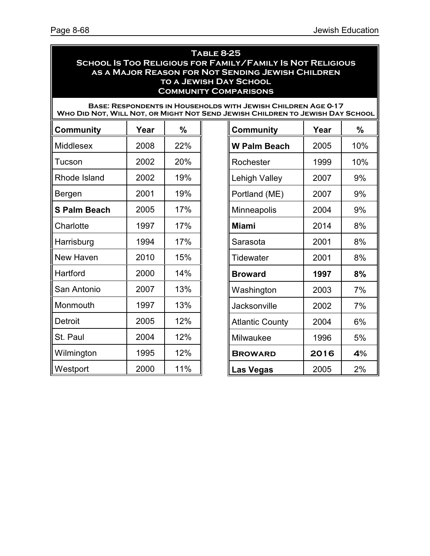#### **Table 8-25 School Is Too Religious for Family/Family Is Not Religious as a Major Reason for Not Sending Jewish Children to a Jewish Day School Community Comparisons**

**Base: Respondents in Households with Jewish Children Age 0-17 Who Did Not, Will Not, or Might Not Send Jewish Children to Jewish Day School**

| <b>Community</b>    | Year | %   | <b>Community</b>       | Year | $\frac{0}{0}$   |
|---------------------|------|-----|------------------------|------|-----------------|
| <b>Middlesex</b>    | 2008 | 22% | <b>W Palm Beach</b>    | 2005 | 10 <sup>°</sup> |
| Tucson              | 2002 | 20% | Rochester              | 1999 | 10 <sup>°</sup> |
| Rhode Island        | 2002 | 19% | Lehigh Valley          | 2007 | 9%              |
| Bergen              | 2001 | 19% | Portland (ME)          | 2007 | 9%              |
| <b>S Palm Beach</b> | 2005 | 17% | Minneapolis            | 2004 | 9%              |
| Charlotte           | 1997 | 17% | <b>Miami</b>           | 2014 | 8%              |
| Harrisburg          | 1994 | 17% | Sarasota               | 2001 | 8%              |
| New Haven           | 2010 | 15% | Tidewater              | 2001 | 8%              |
| Hartford            | 2000 | 14% | <b>Broward</b>         | 1997 | 8%              |
| San Antonio         | 2007 | 13% | Washington             | 2003 | 7%              |
| Monmouth            | 1997 | 13% | Jacksonville           | 2002 | 7%              |
| Detroit             | 2005 | 12% | <b>Atlantic County</b> | 2004 | 6%              |
| St. Paul            | 2004 | 12% | Milwaukee              | 1996 | 5%              |
| Wilmington          | 1995 | 12% | <b>BROWARD</b>         | 2016 | 4%              |
| Westport            | 2000 | 11% | <b>Las Vegas</b>       | 2005 | 2%              |

| <b>Community</b>       | Year | %   |
|------------------------|------|-----|
| W Palm Beach           | 2005 | 10% |
| Rochester              | 1999 | 10% |
| <b>Lehigh Valley</b>   | 2007 | 9%  |
| Portland (ME)          | 2007 | 9%  |
| Minneapolis            | 2004 | 9%  |
| <b>Miami</b>           | 2014 | 8%  |
| Sarasota               | 2001 | 8%  |
| Tidewater              | 2001 | 8%  |
| <b>Broward</b>         | 1997 | 8%  |
| Washington             | 2003 | 7%  |
| Jacksonville           | 2002 | 7%  |
| <b>Atlantic County</b> | 2004 | 6%  |
| Milwaukee              | 1996 | 5%  |
| <b>BROWARD</b>         | 2016 | 4%  |
| Las Vegas              | 2005 | 2%  |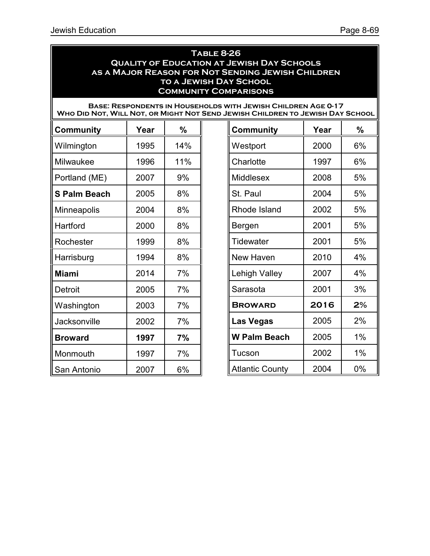### **Table 8-26 Quality of Education at Jewish Day Schools as a Major Reason for Not Sending Jewish Children to a Jewish Day School Community Comparisons**

| <b>BASE: RESPONDENTS IN HOUSEHOLDS WITH JEWISH CHILDREN AGE 0-17</b>          |
|-------------------------------------------------------------------------------|
| WHO DID NOT, WILL NOT, OR MIGHT NOT SEND JEWISH CHILDREN TO JEWISH DAY SCHOOL |

| <b>Community</b>    | Year | $\frac{9}{6}$ | <b>Community</b>       | Year | %              |
|---------------------|------|---------------|------------------------|------|----------------|
| Wilmington          | 1995 | 14%           | Westport               | 2000 | 6%             |
| Milwaukee           | 1996 | 11%           | Charlotte              | 1997 | 6%             |
| Portland (ME)       | 2007 | 9%            | Middlesex              | 2008 | 5%             |
| <b>S Palm Beach</b> | 2005 | 8%            | St. Paul               | 2004 | 5%             |
| Minneapolis         | 2004 | 8%            | Rhode Island           | 2002 | 5%             |
| Hartford            | 2000 | 8%            | Bergen                 | 2001 | 5%             |
| Rochester           | 1999 | 8%            | <b>Tidewater</b>       | 2001 | 5%             |
| Harrisburg          | 1994 | 8%            | New Haven              | 2010 | 4%             |
| <b>Miami</b>        | 2014 | 7%            | Lehigh Valley          | 2007 | 4%             |
| Detroit             | 2005 | 7%            | Sarasota               | 2001 | 3%             |
| Washington          | 2003 | 7%            | <b>BROWARD</b>         | 2016 | 2 <sup>o</sup> |
| Jacksonville        | 2002 | 7%            | <b>Las Vegas</b>       | 2005 | 2%             |
| <b>Broward</b>      | 1997 | 7%            | <b>W Palm Beach</b>    | 2005 | 1%             |
| Monmouth            | 1997 | 7%            | Tucson                 | 2002 | 1%             |
| San Antonio         | 2007 | 6%            | <b>Atlantic County</b> | 2004 | 0%             |

| <b>Community</b>       | Year | %  |
|------------------------|------|----|
| Westport               | 2000 | 6% |
| Charlotte              | 1997 | 6% |
| <b>Middlesex</b>       | 2008 | 5% |
| St. Paul               | 2004 | 5% |
| Rhode Island           | 2002 | 5% |
| Bergen                 | 2001 | 5% |
| Tidewater              | 2001 | 5% |
| New Haven              | 2010 | 4% |
| <b>Lehigh Valley</b>   | 2007 | 4% |
| Sarasota               | 2001 | 3% |
| <b>BROWARD</b>         | 2016 | 2% |
| <b>Las Vegas</b>       | 2005 | 2% |
| W Palm Beach           | 2005 | 1% |
| Tucson                 | 2002 | 1% |
| <b>Atlantic County</b> | 2004 | 0% |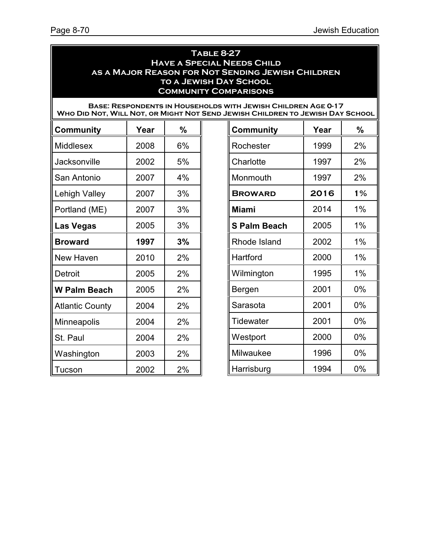#### **Table 8-27 Have a Special Needs Child as a Major Reason for Not Sending Jewish Children to a Jewish Day School Community Comparisons**

#### **Base: Respondents in Households with Jewish Children Age 0-17 Who Did Not, Will Not, or Might Not Send Jewish Children to Jewish Day School**

| <b>Community</b>       | Year | %  | <b>Community</b>    | Year | %  |
|------------------------|------|----|---------------------|------|----|
| <b>Middlesex</b>       | 2008 | 6% | Rochester           | 1999 | 2% |
| Jacksonville           | 2002 | 5% | Charlotte           | 1997 | 2% |
| San Antonio            | 2007 | 4% | Monmouth            | 1997 | 2% |
| Lehigh Valley          | 2007 | 3% | <b>BROWARD</b>      | 2016 | 1% |
| Portland (ME)          | 2007 | 3% | <b>Miami</b>        | 2014 | 1% |
| <b>Las Vegas</b>       | 2005 | 3% | <b>S Palm Beach</b> | 2005 | 1% |
| <b>Broward</b>         | 1997 | 3% | Rhode Island        | 2002 | 1% |
| New Haven              | 2010 | 2% | Hartford            | 2000 | 1% |
| Detroit                | 2005 | 2% | Wilmington          | 1995 | 1% |
| <b>W Palm Beach</b>    | 2005 | 2% | Bergen              | 2001 | 0% |
| <b>Atlantic County</b> | 2004 | 2% | Sarasota            | 2001 | 0% |
| Minneapolis            | 2004 | 2% | <b>Tidewater</b>    | 2001 | 0% |
| St. Paul               | 2004 | 2% | Westport            | 2000 | 0% |
| Washington             | 2003 | 2% | Milwaukee           | 1996 | 0% |
| Tucson                 | 2002 | 2% | Harrisburg          | 1994 | 0% |

| <b>Community</b>    | Year | %  |  |  |  |  |
|---------------------|------|----|--|--|--|--|
| Rochester           | 1999 | 2% |  |  |  |  |
| Charlotte           | 1997 | 2% |  |  |  |  |
| Monmouth            | 1997 | 2% |  |  |  |  |
| <b>BROWARD</b>      | 2016 | 1% |  |  |  |  |
| <b>Miami</b>        | 2014 | 1% |  |  |  |  |
| <b>S Palm Beach</b> | 2005 | 1% |  |  |  |  |
| Rhode Island        | 2002 | 1% |  |  |  |  |
| Hartford            | 2000 | 1% |  |  |  |  |
| Wilmington          | 1995 | 1% |  |  |  |  |
| Bergen              | 2001 | 0% |  |  |  |  |
| Sarasota            | 2001 | 0% |  |  |  |  |
| Tidewater           | 2001 | 0% |  |  |  |  |
| Westport            | 2000 | 0% |  |  |  |  |
| Milwaukee           | 1996 | 0% |  |  |  |  |
| Harrisburg          | 1994 | 0% |  |  |  |  |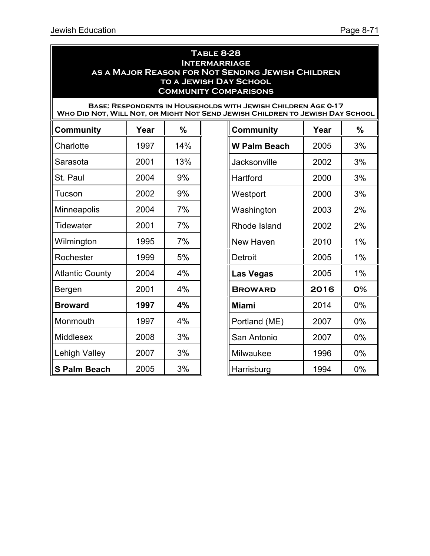#### **Table 8-28 Intermarriage as a Major Reason for Not Sending Jewish Children to a Jewish Day School Community Comparisons**

|                        |      |     | <b>BASE: RESPONDENTS IN HOUSEHOLDS WITH JEWISH CHILDREN AGE 0-17</b><br>WHO DID NOT, WILL NOT, OR MIGHT NOT SEND JEWISH CHILDREN TO JEWISH DAY SCHOOL |      |       |
|------------------------|------|-----|-------------------------------------------------------------------------------------------------------------------------------------------------------|------|-------|
| <b>Community</b>       | Year | %   | <b>Community</b>                                                                                                                                      | Year | %     |
| Charlotte              | 1997 | 14% | <b>W Palm Beach</b>                                                                                                                                   | 2005 | 3%    |
| Sarasota               | 2001 | 13% | Jacksonville                                                                                                                                          | 2002 | 3%    |
| St. Paul               | 2004 | 9%  | Hartford                                                                                                                                              | 2000 | 3%    |
| Tucson                 | 2002 | 9%  | Westport                                                                                                                                              | 2000 | 3%    |
| <b>Minneapolis</b>     | 2004 | 7%  | Washington                                                                                                                                            | 2003 | 2%    |
| <b>Tidewater</b>       | 2001 | 7%  | Rhode Island                                                                                                                                          | 2002 | 2%    |
| Wilmington             | 1995 | 7%  | New Haven                                                                                                                                             | 2010 | 1%    |
| Rochester              | 1999 | 5%  | <b>Detroit</b>                                                                                                                                        | 2005 | 1%    |
| <b>Atlantic County</b> | 2004 | 4%  | Las Vegas                                                                                                                                             | 2005 | 1%    |
| Bergen                 | 2001 | 4%  | <b>BROWARD</b>                                                                                                                                        | 2016 | 0%    |
| <b>Broward</b>         | 1997 | 4%  | <b>Miami</b>                                                                                                                                          | 2014 | $0\%$ |
| Monmouth               | 1997 | 4%  | Portland (ME)                                                                                                                                         | 2007 | 0%    |
| Middlesex              | 2008 | 3%  | San Antonio                                                                                                                                           | 2007 | $0\%$ |
| Lehigh Valley          | 2007 | 3%  | Milwaukee                                                                                                                                             | 1996 | 0%    |
| <b>S Palm Beach</b>    | 2005 | 3%  | Harrisburg                                                                                                                                            | 1994 | $0\%$ |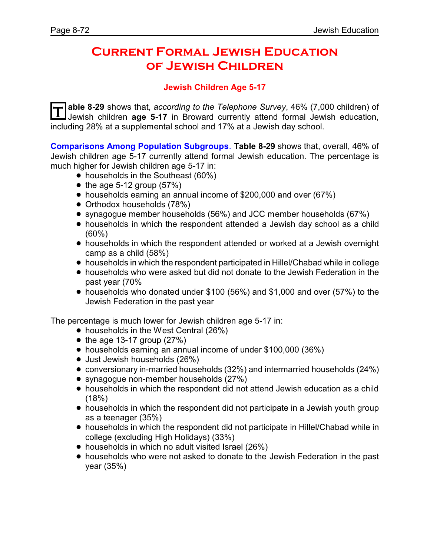## **Current Formal Jewish Education of Jewish Children**

### **Jewish Children Age 5-17**

**T** able 8-29 shows that, *according to the Telephone Survey*, 46% (7,000 children) of Jewish children **age 5-17** in Broward currently attend formal Jewish education, including 28% at a supplemental school and 17% at a Jewish day school.

**Comparisons Among Population Subgroups**. **Table 8-29** shows that, overall, 46% of Jewish children age 5-17 currently attend formal Jewish education. The percentage is much higher for Jewish children age 5-17 in:

- households in the Southeast (60%)
- $\bullet$  the age 5-12 group (57%)
- households earning an annual income of \$200,000 and over (67%)
- Orthodox households (78%)
- synagogue member households (56%) and JCC member households (67%)
- households in which the respondent attended a Jewish day school as a child (60%)
- households in which the respondent attended or worked at a Jewish overnight camp as a child (58%)
- ! households in which the respondent participated in Hillel/Chabad while in college
- ! households who were asked but did not donate to the Jewish Federation in the past year (70%
- ! households who donated under \$100 (56%) and \$1,000 and over (57%) to the Jewish Federation in the past year

The percentage is much lower for Jewish children age 5-17 in:

- households in the West Central (26%)
- $\bullet$  the age 13-17 group (27%)
- ! households earning an annual income of under \$100,000 (36%)
- Just Jewish households (26%)
- ! conversionary in-married households (32%) and intermarried households (24%)
- synagogue non-member households (27%)
- ! households in which the respondent did not attend Jewish education as a child  $(18%)$
- households in which the respondent did not participate in a Jewish youth group as a teenager (35%)
- ! households in which the respondent did not participate in Hillel/Chabad while in college (excluding High Holidays) (33%)
- households in which no adult visited Israel (26%)
- ! households who were not asked to donate to the Jewish Federation in the past year (35%)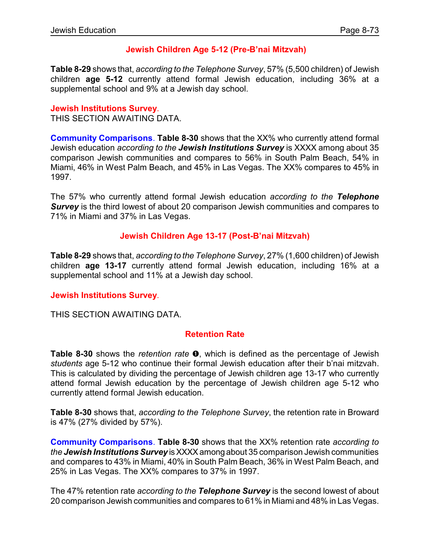## **Jewish Children Age 5-12 (Pre-B'nai Mitzvah)**

**Table 8-29** shows that, *according to the Telephone Survey*, 57% (5,500 children) of Jewish children **age 5-12** currently attend formal Jewish education, including 36% at a supplemental school and 9% at a Jewish day school.

#### **Jewish Institutions Survey**.

THIS SECTION AWAITING DATA.

**Community Comparisons**. **Table 8-30** shows that the XX% who currently attend formal Jewish education *according to the Jewish Institutions Survey* is XXXX among about 35 comparison Jewish communities and compares to 56% in South Palm Beach, 54% in Miami, 46% in West Palm Beach, and 45% in Las Vegas. The XX% compares to 45% in 1997.

The 57% who currently attend formal Jewish education *according to the Telephone* **Survey** is the third lowest of about 20 comparison Jewish communities and compares to 71% in Miami and 37% in Las Vegas.

### **Jewish Children Age 13-17 (Post-B'nai Mitzvah)**

**Table 8-29** shows that, *according to the Telephone Survey*, 27% (1,600 children) of Jewish children **age 13-17** currently attend formal Jewish education, including 16% at a supplemental school and 11% at a Jewish day school.

#### **Jewish Institutions Survey**.

THIS SECTION AWAITING DATA.

#### **Retention Rate**

**Table 8-30** shows the *retention rate*  $\bullet$ , which is defined as the percentage of Jewish *students* age 5-12 who continue their formal Jewish education after their b'nai mitzvah. This is calculated by dividing the percentage of Jewish children age 13-17 who currently attend formal Jewish education by the percentage of Jewish children age 5-12 who currently attend formal Jewish education.

**Table 8-30** shows that, *according to the Telephone Survey*, the retention rate in Broward is 47% (27% divided by 57%).

**Community Comparisons**. **Table 8-30** shows that the XX% retention rate *according to the Jewish Institutions Survey* isXXXXamong about 35 comparison Jewish communities and compares to 43% in Miami, 40% in South Palm Beach, 36% in West Palm Beach, and 25% in Las Vegas. The XX% compares to 37% in 1997.

The 47% retention rate *according to the Telephone Survey* is the second lowest of about 20 comparison Jewish communities and compares to 61% in Miami and 48% in Las Vegas.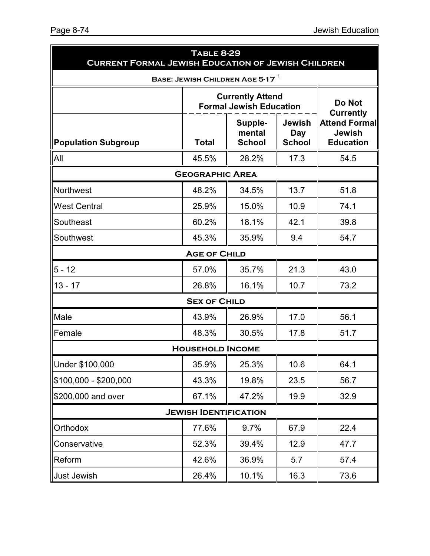| <b>TABLE 8-29</b><br><b>CURRENT FORMAL JEWISH EDUCATION OF JEWISH CHILDREN</b> |                                                    |                                                           |                                |                                                           |  |
|--------------------------------------------------------------------------------|----------------------------------------------------|-----------------------------------------------------------|--------------------------------|-----------------------------------------------------------|--|
|                                                                                |                                                    | BASE: JEWISH CHILDREN AGE 5-17                            |                                |                                                           |  |
|                                                                                |                                                    | <b>Currently Attend</b><br><b>Formal Jewish Education</b> |                                | Do Not<br><b>Currently</b>                                |  |
| <b>Population Subgroup</b>                                                     | Supple-<br>mental<br><b>School</b><br><b>Total</b> |                                                           | Jewish<br>Day<br><b>School</b> | <b>Attend Formal</b><br><b>Jewish</b><br><b>Education</b> |  |
| All                                                                            | 45.5%                                              | 28.2%                                                     | 17.3                           | 54.5                                                      |  |
|                                                                                | <b>GEOGRAPHIC AREA</b>                             |                                                           |                                |                                                           |  |
| <b>Northwest</b>                                                               | 48.2%                                              | 34.5%                                                     | 13.7                           | 51.8                                                      |  |
| <b>West Central</b>                                                            | 25.9%                                              | 15.0%                                                     | 10.9                           | 74.1                                                      |  |
| Southeast                                                                      | 60.2%                                              | 18.1%                                                     | 42.1                           | 39.8                                                      |  |
| Southwest                                                                      | 45.3%                                              | 35.9%                                                     | 9.4                            | 54.7                                                      |  |
|                                                                                | <b>AGE OF CHILD</b>                                |                                                           |                                |                                                           |  |
| $5 - 12$                                                                       | 57.0%                                              | 35.7%                                                     | 21.3                           | 43.0                                                      |  |
| $13 - 17$                                                                      | 26.8%                                              | 16.1%                                                     | 10.7                           | 73.2                                                      |  |
|                                                                                | <b>SEX OF CHILD</b>                                |                                                           |                                |                                                           |  |
| Male                                                                           | 43.9%                                              | 26.9%                                                     | 17.0                           | 56.1                                                      |  |
| Female                                                                         | 48.3%                                              | 30.5%                                                     | 17.8                           | 51.7                                                      |  |
|                                                                                | <b>HOUSEHOLD INCOME</b>                            |                                                           |                                |                                                           |  |
| Under \$100,000                                                                | 35.9%                                              | 25.3%                                                     | 10.6                           | 64.1                                                      |  |
| $$100,000 - $200,000$                                                          | 43.3%                                              | 19.8%                                                     | 23.5                           | 56.7                                                      |  |
| \$200,000 and over                                                             | 67.1%                                              | 47.2%                                                     | 19.9                           | 32.9                                                      |  |
|                                                                                | <b>JEWISH IDENTIFICATION</b>                       |                                                           |                                |                                                           |  |
| Orthodox                                                                       | 77.6%                                              | 9.7%                                                      | 67.9                           | 22.4                                                      |  |
| Conservative                                                                   | 52.3%                                              | 39.4%                                                     | 12.9                           | 47.7                                                      |  |
| Reform                                                                         | 42.6%                                              | 36.9%                                                     | 5.7                            | 57.4                                                      |  |
| Just Jewish                                                                    | 26.4%                                              | 10.1%                                                     | 16.3                           | 73.6                                                      |  |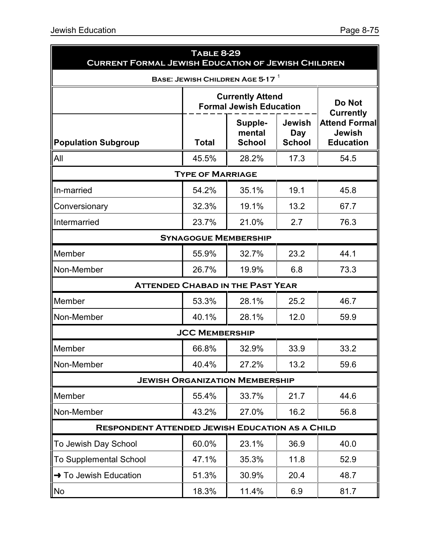| <b>CURRENT FORMAL JEWISH EDUCATION OF JEWISH CHILDREN</b> | <b>TABLE 8-29</b>                                         |                                         |                                       |                                                                               |  |
|-----------------------------------------------------------|-----------------------------------------------------------|-----------------------------------------|---------------------------------------|-------------------------------------------------------------------------------|--|
|                                                           |                                                           | BASE: JEWISH CHILDREN AGE 5-17          |                                       |                                                                               |  |
|                                                           | <b>Currently Attend</b><br><b>Formal Jewish Education</b> |                                         |                                       |                                                                               |  |
| <b>Population Subgroup</b>                                | <b>Total</b>                                              | Supple-<br>mental<br><b>School</b>      | <b>Jewish</b><br>Day<br><b>School</b> | <b>Currently</b><br><b>Attend Formal</b><br><b>Jewish</b><br><b>Education</b> |  |
| <b>All</b>                                                | 45.5%                                                     | 28.2%                                   | 17.3                                  | 54.5                                                                          |  |
|                                                           | <b>TYPE OF MARRIAGE</b>                                   |                                         |                                       |                                                                               |  |
| In-married                                                | 54.2%                                                     | 35.1%                                   | 19.1                                  | 45.8                                                                          |  |
| Conversionary                                             | 32.3%                                                     | 19.1%                                   | 13.2                                  | 67.7                                                                          |  |
| Intermarried                                              | 23.7%                                                     | 21.0%                                   | 2.7                                   | 76.3                                                                          |  |
|                                                           | <b>SYNAGOGUE MEMBERSHIP</b>                               |                                         |                                       |                                                                               |  |
| Member                                                    | 55.9%                                                     | 32.7%                                   | 23.2                                  | 44.1                                                                          |  |
| Non-Member                                                | 26.7%                                                     | 19.9%                                   | 6.8                                   | 73.3                                                                          |  |
|                                                           |                                                           | <b>ATTENDED CHABAD IN THE PAST YEAR</b> |                                       |                                                                               |  |
| Member                                                    | 53.3%                                                     | 28.1%                                   | 25.2                                  | 46.7                                                                          |  |
| Non-Member                                                | 40.1%                                                     | 28.1%                                   | 12.0                                  | 59.9                                                                          |  |
|                                                           | <b>JCC MEMBERSHIP</b>                                     |                                         |                                       |                                                                               |  |
| Member                                                    | 66.8%                                                     | 32.9%                                   | 33.9                                  | 33.2                                                                          |  |
| Non-Member                                                | 40.4%                                                     | 27.2%                                   | 13.2                                  | 59.6                                                                          |  |
|                                                           |                                                           | <b>JEWISH ORGANIZATION MEMBERSHIP</b>   |                                       |                                                                               |  |
| Member                                                    | 55.4%                                                     | 33.7%                                   | 21.7                                  | 44.6                                                                          |  |
| Non-Member                                                | 43.2%                                                     | 27.0%                                   | 16.2                                  | 56.8                                                                          |  |
| <b>RESPONDENT ATTENDED JEWISH EDUCATION AS A CHILD</b>    |                                                           |                                         |                                       |                                                                               |  |
| To Jewish Day School                                      | 60.0%                                                     | 23.1%                                   | 36.9                                  | 40.0                                                                          |  |
| To Supplemental School                                    | 47.1%                                                     | 35.3%                                   | 11.8                                  | 52.9                                                                          |  |
| $\rightarrow$ To Jewish Education                         | 51.3%                                                     | 30.9%                                   | 20.4                                  | 48.7                                                                          |  |
| No                                                        | 18.3%                                                     | 11.4%                                   | 6.9                                   | 81.7                                                                          |  |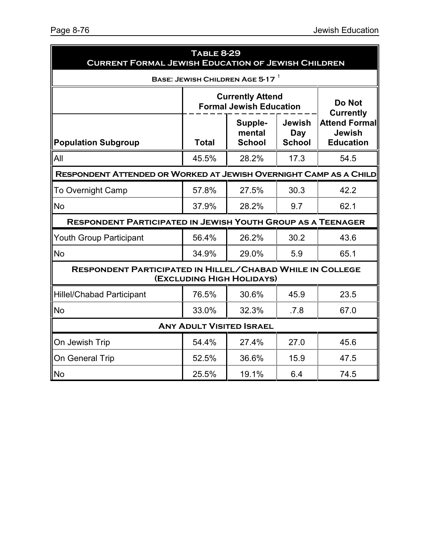| <b>TABLE 8-29</b><br><b>CURRENT FORMAL JEWISH EDUCATION OF JEWISH CHILDREN</b> |                                                                                                    |                                                           |                                                                               |      |  |
|--------------------------------------------------------------------------------|----------------------------------------------------------------------------------------------------|-----------------------------------------------------------|-------------------------------------------------------------------------------|------|--|
|                                                                                |                                                                                                    | BASE: JEWISH CHILDREN AGE 5-17                            |                                                                               |      |  |
|                                                                                |                                                                                                    | <b>Currently Attend</b><br><b>Formal Jewish Education</b> |                                                                               |      |  |
| <b>Population Subgroup</b>                                                     | <b>Jewish</b><br>Supple-<br>mental<br><b>Day</b><br><b>School</b><br><b>School</b><br><b>Total</b> |                                                           | <b>Currently</b><br><b>Attend Formal</b><br><b>Jewish</b><br><b>Education</b> |      |  |
| All                                                                            | 45.5%                                                                                              | 28.2%                                                     | 17.3                                                                          | 54.5 |  |
| RESPONDENT ATTENDED OR WORKED AT JEWISH OVERNIGHT CAMP AS A CHILD              |                                                                                                    |                                                           |                                                                               |      |  |
| <b>To Overnight Camp</b>                                                       | 57.8%                                                                                              | 27.5%                                                     | 30.3                                                                          | 42.2 |  |
| <b>No</b>                                                                      | 37.9%                                                                                              | 28.2%                                                     | 9.7                                                                           | 62.1 |  |
| <b>RESPONDENT PARTICIPATED IN JEWISH YOUTH GROUP AS A TEENAGER</b>             |                                                                                                    |                                                           |                                                                               |      |  |
| <b>Youth Group Participant</b>                                                 | 56.4%                                                                                              | 26.2%<br>30.2                                             |                                                                               | 43.6 |  |
| <b>No</b>                                                                      | 34.9%                                                                                              | 29.0%                                                     | 5.9                                                                           | 65.1 |  |
| <b>RESPONDENT PARTICIPATED IN HILLEL/CHABAD WHILE IN COLLEGE</b>               |                                                                                                    | (EXCLUDING HIGH HOLIDAYS)                                 |                                                                               |      |  |
| <b>Hillel/Chabad Participant</b>                                               | 76.5%                                                                                              | 30.6%                                                     | 45.9                                                                          | 23.5 |  |
| <b>No</b>                                                                      | 33.0%                                                                                              | 32.3%                                                     | .7.8                                                                          | 67.0 |  |
|                                                                                |                                                                                                    | <b>ANY ADULT VISITED ISRAEL</b>                           |                                                                               |      |  |
| On Jewish Trip                                                                 | 54.4%                                                                                              | 27.4%                                                     | 27.0                                                                          | 45.6 |  |
| On General Trip                                                                | 52.5%                                                                                              | 36.6%                                                     | 15.9                                                                          | 47.5 |  |
| No                                                                             | 25.5%                                                                                              | 19.1%                                                     | 6.4                                                                           | 74.5 |  |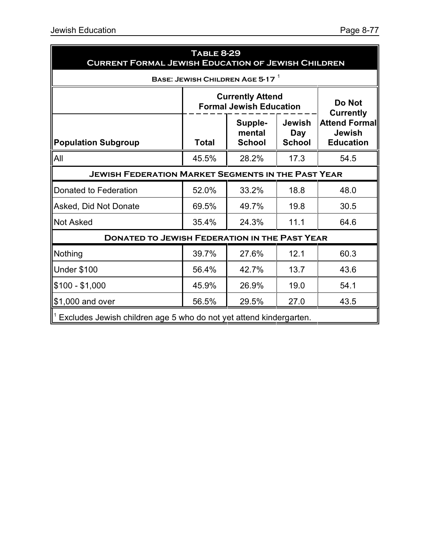| <b>TABLE 8-29</b><br><b>CURRENT FORMAL JEWISH EDUCATION OF JEWISH CHILDREN</b> |                                                                     |                                    |                                       |                                                                               |  |  |
|--------------------------------------------------------------------------------|---------------------------------------------------------------------|------------------------------------|---------------------------------------|-------------------------------------------------------------------------------|--|--|
| BASE: JEWISH CHILDREN AGE 5-17 $^1$                                            |                                                                     |                                    |                                       |                                                                               |  |  |
|                                                                                | <b>Currently Attend</b><br>Do Not<br><b>Formal Jewish Education</b> |                                    |                                       |                                                                               |  |  |
| <b>Population Subgroup</b>                                                     | <b>Total</b>                                                        | Supple-<br>mental<br><b>School</b> | Jewish<br><b>Day</b><br><b>School</b> | <b>Currently</b><br><b>Attend Formal</b><br><b>Jewish</b><br><b>Education</b> |  |  |
| All                                                                            | 45.5%                                                               | 28.2%                              | 17.3                                  | 54.5                                                                          |  |  |
| <b>JEWISH FEDERATION MARKET SEGMENTS IN THE PAST YEAR</b>                      |                                                                     |                                    |                                       |                                                                               |  |  |
| Donated to Federation                                                          | 52.0%                                                               | 33.2%                              | 18.8                                  | 48.0                                                                          |  |  |
| Asked, Did Not Donate                                                          | 69.5%                                                               | 49.7%                              | 19.8                                  | 30.5                                                                          |  |  |
| <b>Not Asked</b>                                                               | 35.4%                                                               | 24.3%                              | 11.1                                  | 64.6                                                                          |  |  |
| <b>DONATED TO JEWISH FEDERATION IN THE PAST YEAR</b>                           |                                                                     |                                    |                                       |                                                                               |  |  |
| Nothing                                                                        | 39.7%                                                               | 27.6%                              | 12.1                                  | 60.3                                                                          |  |  |
| <b>Under \$100</b>                                                             | 56.4%                                                               | 42.7%                              | 13.7                                  | 43.6                                                                          |  |  |
| $$100 - $1,000$                                                                | 45.9%                                                               | 26.9%                              | 19.0                                  | 54.1                                                                          |  |  |
| \$1,000 and over                                                               | 56.5%                                                               | 29.5%                              | 27.0                                  | 43.5                                                                          |  |  |
| $1$ Excludes Jewish children age 5 who do not yet attend kindergarten.         |                                                                     |                                    |                                       |                                                                               |  |  |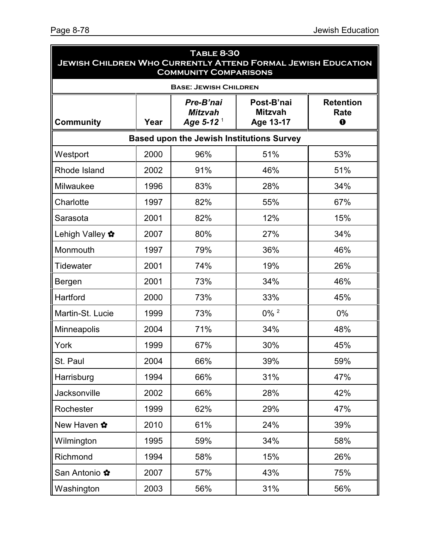| <b>TABLE 8-30</b><br><b>JEWISH CHILDREN WHO CURRENTLY ATTEND FORMAL JEWISH EDUCATION</b><br><b>COMMUNITY COMPARISONS</b> |      |                                                 |                                           |                                      |  |  |  |
|--------------------------------------------------------------------------------------------------------------------------|------|-------------------------------------------------|-------------------------------------------|--------------------------------------|--|--|--|
|                                                                                                                          |      | <b>BASE: JEWISH CHILDREN</b>                    |                                           |                                      |  |  |  |
| <b>Community</b>                                                                                                         | Year | Pre-B'nai<br><b>Mitzvah</b><br>Age 5-12 $^{-1}$ | Post-B'nai<br><b>Mitzvah</b><br>Age 13-17 | <b>Retention</b><br>Rate<br>$\bf{0}$ |  |  |  |
| <b>Based upon the Jewish Institutions Survey</b>                                                                         |      |                                                 |                                           |                                      |  |  |  |
| Westport                                                                                                                 | 2000 | 96%                                             | 51%                                       | 53%                                  |  |  |  |
| Rhode Island                                                                                                             | 2002 | 91%                                             | 46%                                       | 51%                                  |  |  |  |
| Milwaukee                                                                                                                | 1996 | 83%                                             | 28%                                       | 34%                                  |  |  |  |
| Charlotte                                                                                                                | 1997 | 82%                                             | 55%                                       | 67%                                  |  |  |  |
| Sarasota                                                                                                                 | 2001 | 82%                                             | 12%                                       | 15%                                  |  |  |  |
| Lehigh Valley ✿                                                                                                          | 2007 | 80%                                             | 27%                                       | 34%                                  |  |  |  |
| Monmouth                                                                                                                 | 1997 | 79%                                             | 36%                                       | 46%                                  |  |  |  |
| Tidewater                                                                                                                | 2001 | 74%                                             | 19%                                       | 26%                                  |  |  |  |
| Bergen                                                                                                                   | 2001 | 73%                                             | 34%                                       | 46%                                  |  |  |  |
| Hartford                                                                                                                 | 2000 | 73%                                             | 33%                                       | 45%                                  |  |  |  |
| Martin-St. Lucie                                                                                                         | 1999 | 73%                                             | $0\%$ <sup>2</sup>                        | $0\%$                                |  |  |  |
| <b>Minneapolis</b>                                                                                                       | 2004 | 71%                                             | 34%                                       | 48%                                  |  |  |  |
| York                                                                                                                     | 1999 | 67%                                             | 30%                                       | 45%                                  |  |  |  |
| St. Paul                                                                                                                 | 2004 | 66%                                             | 39%                                       | 59%                                  |  |  |  |
| Harrisburg                                                                                                               | 1994 | 66%                                             | 31%                                       | 47%                                  |  |  |  |
| Jacksonville                                                                                                             | 2002 | 66%                                             | 28%                                       | 42%                                  |  |  |  |
| Rochester                                                                                                                | 1999 | 62%                                             | 29%                                       | 47%                                  |  |  |  |
| New Haven ✿                                                                                                              | 2010 | 61%                                             | 24%                                       | 39%                                  |  |  |  |
| Wilmington                                                                                                               | 1995 | 59%                                             | 34%                                       | 58%                                  |  |  |  |
| Richmond                                                                                                                 | 1994 | 58%                                             | 15%                                       | 26%                                  |  |  |  |
| San Antonio ✿                                                                                                            | 2007 | 57%                                             | 43%                                       | 75%                                  |  |  |  |
| Washington                                                                                                               | 2003 | 56%                                             | 31%                                       | 56%                                  |  |  |  |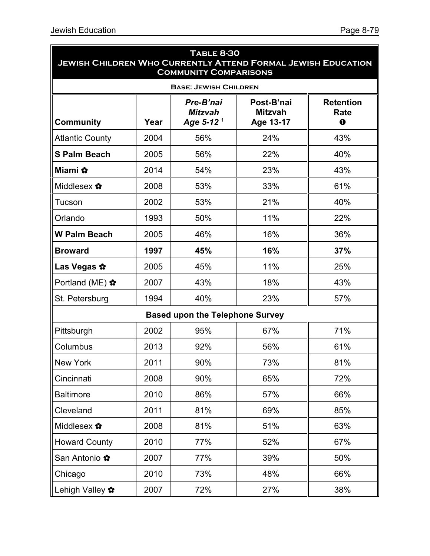| <b>TABLE 8-30</b><br><b>JEWISH CHILDREN WHO CURRENTLY ATTEND FORMAL JEWISH EDUCATION</b><br><b>COMMUNITY COMPARISONS</b> |      |                                                 |                                           |                                      |  |
|--------------------------------------------------------------------------------------------------------------------------|------|-------------------------------------------------|-------------------------------------------|--------------------------------------|--|
|                                                                                                                          |      | <b>BASE: JEWISH CHILDREN</b>                    |                                           |                                      |  |
| <b>Community</b>                                                                                                         | Year | Pre-B'nai<br><b>Mitzvah</b><br>Age 5-12 $^{-1}$ | Post-B'nai<br><b>Mitzvah</b><br>Age 13-17 | <b>Retention</b><br>Rate<br>$\bf{0}$ |  |
| <b>Atlantic County</b>                                                                                                   | 2004 | 56%                                             | 24%                                       | 43%                                  |  |
| <b>S Palm Beach</b>                                                                                                      | 2005 | 56%                                             | 22%                                       | 40%                                  |  |
| Miami ✿                                                                                                                  | 2014 | 54%                                             | 23%                                       | 43%                                  |  |
| Middlesex ✿                                                                                                              | 2008 | 53%                                             | 33%                                       | 61%                                  |  |
| Tucson                                                                                                                   | 2002 | 53%                                             | 21%                                       | 40%                                  |  |
| Orlando                                                                                                                  | 1993 | 50%                                             | 11%                                       | 22%                                  |  |
| <b>W Palm Beach</b>                                                                                                      | 2005 | 46%                                             | 16%                                       | 36%                                  |  |
| <b>Broward</b>                                                                                                           | 1997 | 45%                                             | 16%                                       | 37%                                  |  |
| Las Vegas ☆                                                                                                              | 2005 | 45%                                             | 11%                                       | 25%                                  |  |
| Portland (ME) ✿                                                                                                          | 2007 | 43%                                             | 18%                                       | 43%                                  |  |
| St. Petersburg                                                                                                           | 1994 | 40%                                             | 23%                                       | 57%                                  |  |
|                                                                                                                          |      | <b>Based upon the Telephone Survey</b>          |                                           |                                      |  |
| Pittsburgh                                                                                                               | 2002 | 95%                                             | 67%                                       | 71%                                  |  |
| Columbus                                                                                                                 | 2013 | 92%                                             | 56%                                       | 61%                                  |  |
| New York                                                                                                                 | 2011 | 90%                                             | 73%                                       | 81%                                  |  |
| Cincinnati                                                                                                               | 2008 | 90%                                             | 65%                                       | 72%                                  |  |
| <b>Baltimore</b>                                                                                                         | 2010 | 86%                                             | 57%                                       | 66%                                  |  |
| Cleveland                                                                                                                | 2011 | 81%                                             | 69%                                       | 85%                                  |  |
| Middlesex ✿                                                                                                              | 2008 | 81%                                             | 51%                                       | 63%                                  |  |
| <b>Howard County</b>                                                                                                     | 2010 | 77%                                             | 52%                                       | 67%                                  |  |
| San Antonio ✿                                                                                                            | 2007 | 77%                                             | 39%                                       | 50%                                  |  |
| Chicago                                                                                                                  | 2010 | 73%                                             | 48%                                       | 66%                                  |  |
| Lehigh Valley ✿                                                                                                          | 2007 | 72%                                             | 27%                                       | 38%                                  |  |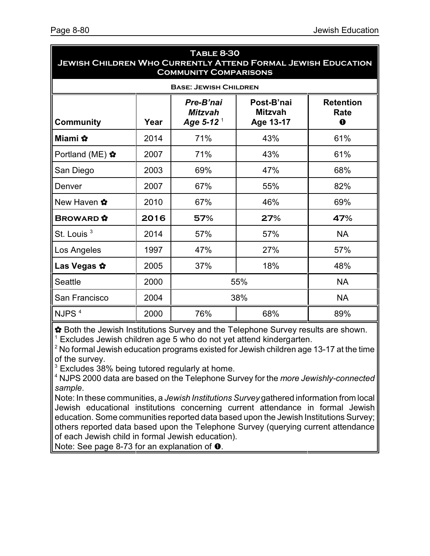| I ABLE 8-30<br><b>JEWISH CHILDREN WHO CURRENTLY ATTEND FORMAL JEWISH EDUCATION</b><br><b>COMMUNITY COMPARISONS</b> |                                                                                                                                              |     |           |           |  |  |  |  |
|--------------------------------------------------------------------------------------------------------------------|----------------------------------------------------------------------------------------------------------------------------------------------|-----|-----------|-----------|--|--|--|--|
|                                                                                                                    | <b>BASE: JEWISH CHILDREN</b>                                                                                                                 |     |           |           |  |  |  |  |
| <b>Community</b>                                                                                                   | Post-B'nai<br>Pre-B'nai<br><b>Retention</b><br><b>Mitzvah</b><br><b>Mitzvah</b><br>Rate<br>Age 5-12 $^{-1}$<br>Age 13-17<br>Year<br>$\bf{o}$ |     |           |           |  |  |  |  |
| Miami ✿                                                                                                            | 2014                                                                                                                                         | 71% | 43%       | 61%       |  |  |  |  |
| Portland (ME) ✿                                                                                                    | 2007                                                                                                                                         | 71% | 43%       | 61%       |  |  |  |  |
| San Diego                                                                                                          | 2003                                                                                                                                         | 69% | 47%       | 68%       |  |  |  |  |
| Denver                                                                                                             | 2007                                                                                                                                         | 67% | 55%       | 82%       |  |  |  |  |
| New Haven ✿                                                                                                        | 2010                                                                                                                                         | 67% | 46%       | 69%       |  |  |  |  |
| <b>BROWARD</b>                                                                                                     | 2016                                                                                                                                         | 57% | 27%       | 47%       |  |  |  |  |
| St. Louis <sup>3</sup>                                                                                             | 2014                                                                                                                                         | 57% | 57%       | <b>NA</b> |  |  |  |  |
| Los Angeles                                                                                                        | 1997                                                                                                                                         | 47% | 27%       | 57%       |  |  |  |  |
| Las Vegas ☆                                                                                                        | 2005                                                                                                                                         | 37% | 18%       | 48%       |  |  |  |  |
| <b>Seattle</b>                                                                                                     | 2000                                                                                                                                         | 55% | <b>NA</b> |           |  |  |  |  |
| San Francisco                                                                                                      | 2004                                                                                                                                         |     | 38%       | <b>NA</b> |  |  |  |  |
| NJPS <sup>4</sup>                                                                                                  | 2000                                                                                                                                         | 76% | 68%       | 89%       |  |  |  |  |

# **Table 8-30**

 $\hat{P}$  Both the Jewish Institutions Survey and the Telephone Survey results are shown.  $1$  Excludes Jewish children age 5 who do not yet attend kindergarten.

 $2$  No formal Jewish education programs existed for Jewish children age 13-17 at the time of the survey.

 $3$  Excludes 38% being tutored regularly at home.

<sup>4</sup> NJPS 2000 data are based on the Telephone Survey for the *more Jewishly-connected sample*.

Note: In these communities, a *Jewish Institutions Survey* gathered information from local Jewish educational institutions concerning current attendance in formal Jewish education. Some communities reported data based upon the Jewish Institutions Survey; others reported data based upon the Telephone Survey (querying current attendance of each Jewish child in formal Jewish education).

Note: See page 8-73 for an explanation of  $\bullet$ .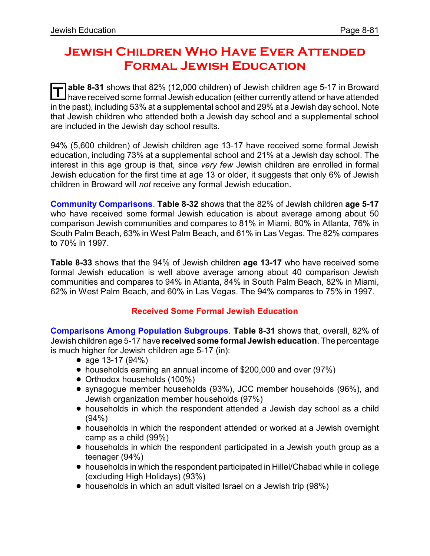# **Jewish Children Who Have Ever Attended Formal Jewish Education**

**T** able 8-31 shows that 82% (12,000 children) of Jewish children age 5-17 in Broward<br>have received some formal lowish education (either currently attended thave attended have received some formal Jewish education (either currently attend or have attended in the past), including 53% at a supplemental school and 29% at a Jewish day school. Note that Jewish children who attended both a Jewish day school and a supplemental school are included in the Jewish day school results.

94% (5,600 children) of Jewish children age 13-17 have received some formal Jewish education, including 73% at a supplemental school and 21% at a Jewish day school. The interest in this age group is that, since *very few* Jewish children are enrolled in formal Jewish education for the first time at age 13 or older, it suggests that only 6% of Jewish children in Broward will *not* receive any formal Jewish education.

**Community Comparisons**. **Table 8-32** shows that the 82% of Jewish children **age 5-17** who have received some formal Jewish education is about average among about 50 comparison Jewish communities and compares to 81% in Miami, 80% in Atlanta, 76% in South Palm Beach, 63% in West Palm Beach, and 61% in Las Vegas. The 82% compares to 70% in 1997.

**Table 8-33** shows that the 94% of Jewish children **age 13-17** who have received some formal Jewish education is well above average among about 40 comparison Jewish communities and compares to 94% in Atlanta, 84% in South Palm Beach, 82% in Miami, 62% in West Palm Beach, and 60% in Las Vegas. The 94% compares to 75% in 1997.

## **Received Some Formal Jewish Education**

**Comparisons Among Population Subgroups**. **Table 8-31** shows that, overall, 82% of Jewish children age 5-17 have **received some formal Jewish education**. The percentage is much higher for Jewish children age 5-17 (in):

- age 13-17 (94%)
- households earning an annual income of \$200,000 and over (97%)
- Orthodox households (100%)
- ! synagogue member households (93%), JCC member households (96%), and Jewish organization member households (97%)
- households in which the respondent attended a Jewish day school as a child (94%)
- ! households in which the respondent attended or worked at a Jewish overnight camp as a child (99%)
- ! households in which the respondent participated in a Jewish youth group as a teenager (94%)
- ! households in which the respondent participated in Hillel/Chabad while in college (excluding High Holidays) (93%)
- ! households in which an adult visited Israel on a Jewish trip (98%)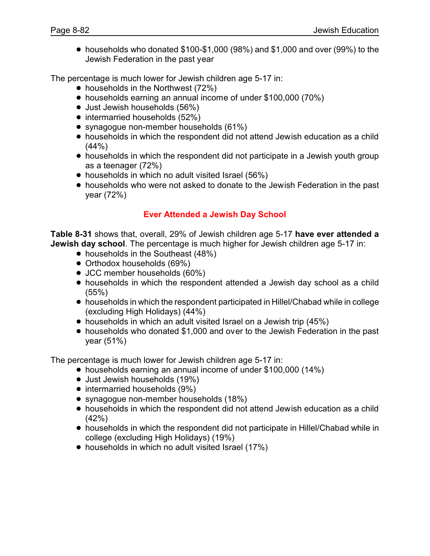! households who donated \$100-\$1,000 (98%) and \$1,000 and over (99%) to the Jewish Federation in the past year

The percentage is much lower for Jewish children age 5-17 in:

- $\bullet$  households in the Northwest (72%)
- households earning an annual income of under \$100,000 (70%)
- Just Jewish households (56%)
- $\bullet$  intermarried households (52%)
- synagogue non-member households (61%)
- ! households in which the respondent did not attend Jewish education as a child  $(44% )$
- households in which the respondent did not participate in a Jewish youth group as a teenager (72%)
- households in which no adult visited Israel (56%)
- ! households who were not asked to donate to the Jewish Federation in the past year (72%)

## **Ever Attended a Jewish Day School**

**Table 8-31** shows that, overall, 29% of Jewish children age 5-17 **have ever attended a Jewish day school**. The percentage is much higher for Jewish children age 5-17 in:

- households in the Southeast (48%)
- Orthodox households (69%)
- JCC member households (60%)
- households in which the respondent attended a Jewish day school as a child (55%)
- ! households in which the respondent participated in Hillel/Chabad while in college (excluding High Holidays) (44%)
- households in which an adult visited Israel on a Jewish trip (45%)
- ! households who donated \$1,000 and over to the Jewish Federation in the past year (51%)

The percentage is much lower for Jewish children age 5-17 in:

- households earning an annual income of under \$100,000 (14%)
- Just Jewish households (19%)
- intermarried households (9%)
- synagogue non-member households (18%)
- ! households in which the respondent did not attend Jewish education as a child (42%)
- ! households in which the respondent did not participate in Hillel/Chabad while in college (excluding High Holidays) (19%)
- households in which no adult visited Israel (17%)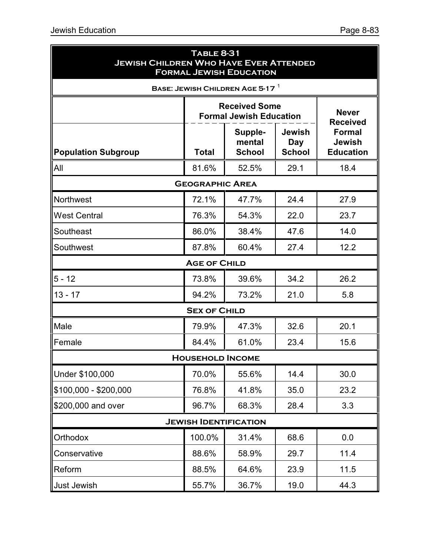| <b>TABLE 8-31</b><br><b>JEWISH CHILDREN WHO HAVE EVER ATTENDED</b><br><b>FORMAL JEWISH EDUCATION</b> |                                 |                                    |                                                    |      |  |  |
|------------------------------------------------------------------------------------------------------|---------------------------------|------------------------------------|----------------------------------------------------|------|--|--|
|                                                                                                      |                                 | BASE: JEWISH CHILDREN AGE 5-17     |                                                    |      |  |  |
|                                                                                                      | <b>Never</b><br><b>Received</b> |                                    |                                                    |      |  |  |
| <b>Population Subgroup</b>                                                                           | <b>Total</b>                    | Supple-<br>mental<br><b>School</b> | <b>Formal</b><br><b>Jewish</b><br><b>Education</b> |      |  |  |
| All                                                                                                  | 81.6%                           | 52.5%                              | 29.1                                               | 18.4 |  |  |
|                                                                                                      | <b>GEOGRAPHIC AREA</b>          |                                    |                                                    |      |  |  |
| <b>Northwest</b>                                                                                     | 72.1%                           | 47.7%                              | 24.4                                               | 27.9 |  |  |
| <b>West Central</b>                                                                                  | 76.3%                           | 54.3%                              | 22.0                                               | 23.7 |  |  |
| Southeast                                                                                            | 86.0%                           | 38.4%                              | 47.6                                               | 14.0 |  |  |
| Southwest                                                                                            | 87.8%                           | 60.4%                              | 27.4                                               | 12.2 |  |  |
|                                                                                                      | <b>AGE OF CHILD</b>             |                                    |                                                    |      |  |  |
| $5 - 12$                                                                                             | 73.8%                           | 39.6%                              | 34.2                                               | 26.2 |  |  |
| $13 - 17$                                                                                            | 94.2%                           | 73.2%                              | 21.0                                               | 5.8  |  |  |
|                                                                                                      | <b>SEX OF CHILD</b>             |                                    |                                                    |      |  |  |
| Male                                                                                                 | 79.9%                           | 47.3%                              | 32.6                                               | 20.1 |  |  |
| Female                                                                                               | 84.4%                           | 61.0%                              | 23.4                                               | 15.6 |  |  |
|                                                                                                      | <b>HOUSEHOLD INCOME</b>         |                                    |                                                    |      |  |  |
| Under \$100,000                                                                                      | 70.0%                           | 55.6%                              | 14.4                                               | 30.0 |  |  |
| $$100,000 - $200,000$                                                                                | 76.8%                           | 41.8%                              | 35.0                                               | 23.2 |  |  |
| \$200,000 and over                                                                                   | 96.7%                           | 68.3%                              | 28.4                                               | 3.3  |  |  |
|                                                                                                      |                                 | <b>JEWISH IDENTIFICATION</b>       |                                                    |      |  |  |
| Orthodox                                                                                             | 100.0%                          | 31.4%                              | 68.6                                               | 0.0  |  |  |
| Conservative                                                                                         | 88.6%                           | 58.9%                              | 29.7                                               | 11.4 |  |  |
| Reform                                                                                               | 88.5%                           | 64.6%                              | 23.9                                               | 11.5 |  |  |
| Just Jewish                                                                                          | 55.7%                           | 36.7%                              | 19.0                                               | 44.3 |  |  |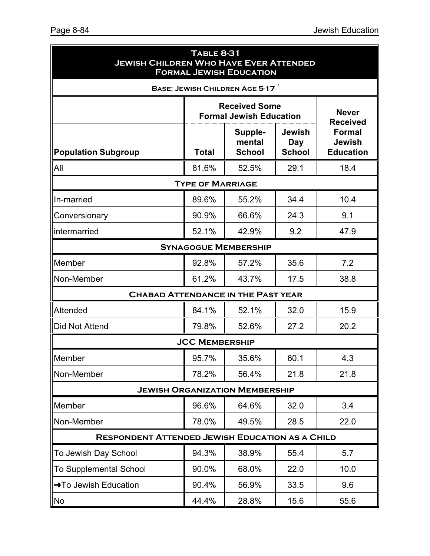| <b>TABLE 8-31</b><br><b>JEWISH CHILDREN WHO HAVE EVER ATTENDED</b><br><b>FORMAL JEWISH EDUCATION</b> |                         |                                                        |                                       |                                                    |  |
|------------------------------------------------------------------------------------------------------|-------------------------|--------------------------------------------------------|---------------------------------------|----------------------------------------------------|--|
|                                                                                                      |                         | BASE: JEWISH CHILDREN AGE 5-17                         |                                       |                                                    |  |
|                                                                                                      |                         | <b>Received Some</b><br><b>Formal Jewish Education</b> | <b>Never</b><br><b>Received</b>       |                                                    |  |
| <b>Population Subgroup</b>                                                                           | <b>Total</b>            | Supple-<br>mental<br><b>School</b>                     | <b>Jewish</b><br>Day<br><b>School</b> | <b>Formal</b><br><b>Jewish</b><br><b>Education</b> |  |
| All                                                                                                  | 81.6%                   | 52.5%                                                  | 29.1                                  | 18.4                                               |  |
|                                                                                                      | <b>TYPE OF MARRIAGE</b> |                                                        |                                       |                                                    |  |
| In-married                                                                                           | 89.6%                   | 55.2%                                                  | 34.4                                  | 10.4                                               |  |
| Conversionary                                                                                        | 90.9%                   | 66.6%                                                  | 24.3                                  | 9.1                                                |  |
| intermarried                                                                                         | 52.1%                   | 42.9%                                                  | 9.2                                   | 47.9                                               |  |
|                                                                                                      |                         | <b>SYNAGOGUE MEMBERSHIP</b>                            |                                       |                                                    |  |
| Member                                                                                               | 92.8%                   | 57.2%                                                  | 35.6                                  | 7.2                                                |  |
| Non-Member                                                                                           | 61.2%                   | 43.7%                                                  | 17.5                                  | 38.8                                               |  |
| <b>CHABAD ATTENDANCE IN THE PAST YEAR</b>                                                            |                         |                                                        |                                       |                                                    |  |
| Attended                                                                                             | 84.1%                   | 52.1%                                                  | 32.0                                  | 15.9                                               |  |
| Did Not Attend                                                                                       | 79.8%                   | 52.6%                                                  | 27.2                                  | 20.2                                               |  |
|                                                                                                      | <b>JCC MEMBERSHIP</b>   |                                                        |                                       |                                                    |  |
| Member                                                                                               | 95.7%                   | 35.6%                                                  | 60.1                                  | 4.3                                                |  |
| Non-Member                                                                                           | 78.2%                   | 56.4%                                                  | 21.8                                  | 21.8                                               |  |
|                                                                                                      |                         | <b>JEWISH ORGANIZATION MEMBERSHIP</b>                  |                                       |                                                    |  |
| Member                                                                                               | 96.6%                   | 64.6%                                                  | 32.0                                  | 3.4                                                |  |
| Non-Member                                                                                           | 78.0%                   | 49.5%                                                  | 28.5                                  | 22.0                                               |  |
| <b>RESPONDENT ATTENDED JEWISH EDUCATION AS A CHILD</b>                                               |                         |                                                        |                                       |                                                    |  |
| To Jewish Day School                                                                                 | 94.3%                   | 38.9%                                                  | 55.4                                  | 5.7                                                |  |
| <b>To Supplemental School</b>                                                                        | 90.0%                   | 68.0%                                                  | 22.0                                  | 10.0                                               |  |
| →To Jewish Education                                                                                 | 90.4%                   | 56.9%                                                  | 33.5                                  | 9.6                                                |  |
| <b>No</b>                                                                                            | 44.4%                   | 28.8%                                                  | 15.6                                  | 55.6                                               |  |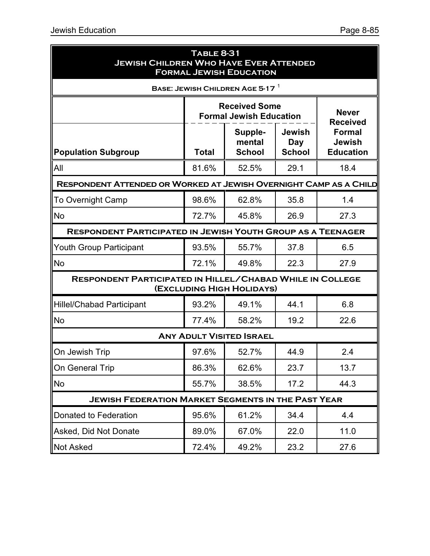| <b>TABLE 8-31</b><br><b>JEWISH CHILDREN WHO HAVE EVER ATTENDED</b><br><b>FORMAL JEWISH EDUCATION</b> |                                                                                             |                                                        |                                                    |      |  |  |  |  |
|------------------------------------------------------------------------------------------------------|---------------------------------------------------------------------------------------------|--------------------------------------------------------|----------------------------------------------------|------|--|--|--|--|
|                                                                                                      | BASE: JEWISH CHILDREN AGE 5-17                                                              |                                                        |                                                    |      |  |  |  |  |
|                                                                                                      |                                                                                             | <b>Received Some</b><br><b>Formal Jewish Education</b> | <b>Never</b><br><b>Received</b>                    |      |  |  |  |  |
| <b>Population Subgroup</b>                                                                           | <b>Jewish</b><br>Supple-<br>mental<br>Day<br><b>School</b><br><b>Total</b><br><b>School</b> |                                                        | <b>Formal</b><br><b>Jewish</b><br><b>Education</b> |      |  |  |  |  |
| All                                                                                                  | 81.6%                                                                                       | 52.5%                                                  | 29.1                                               | 18.4 |  |  |  |  |
| RESPONDENT ATTENDED OR WORKED AT JEWISH OVERNIGHT CAMP AS A CHILD                                    |                                                                                             |                                                        |                                                    |      |  |  |  |  |
| <b>To Overnight Camp</b>                                                                             | 98.6%                                                                                       | 62.8%                                                  | 35.8                                               | 1.4  |  |  |  |  |
| <b>No</b>                                                                                            | 72.7%                                                                                       | 45.8%                                                  | 26.9                                               | 27.3 |  |  |  |  |
|                                                                                                      | <b>RESPONDENT PARTICIPATED IN JEWISH YOUTH GROUP AS A TEENAGER</b>                          |                                                        |                                                    |      |  |  |  |  |
| <b>Youth Group Participant</b>                                                                       | 93.5%                                                                                       | 55.7%                                                  | 37.8                                               | 6.5  |  |  |  |  |
| <b>No</b>                                                                                            | 72.1%                                                                                       | 49.8%                                                  | 22.3                                               | 27.9 |  |  |  |  |
| RESPONDENT PARTICIPATED IN HILLEL/CHABAD WHILE IN COLLEGE                                            |                                                                                             | (EXCLUDING HIGH HOLIDAYS)                              |                                                    |      |  |  |  |  |
| <b>Hillel/Chabad Participant</b>                                                                     | 93.2%                                                                                       | 49.1%                                                  | 44.1                                               | 6.8  |  |  |  |  |
| <b>No</b>                                                                                            | 77.4%                                                                                       | 58.2%                                                  | 19.2                                               | 22.6 |  |  |  |  |
|                                                                                                      |                                                                                             | <b>ANY ADULT VISITED ISRAEL</b>                        |                                                    |      |  |  |  |  |
| On Jewish Trip                                                                                       | 97.6%                                                                                       | 52.7%                                                  | 44.9                                               | 2.4  |  |  |  |  |
| On General Trip                                                                                      | 86.3%                                                                                       | 62.6%                                                  | 23.7                                               | 13.7 |  |  |  |  |
| No                                                                                                   | 55.7%                                                                                       | 38.5%                                                  | 17.2                                               | 44.3 |  |  |  |  |
| <b>JEWISH FEDERATION MARKET SEGMENTS IN THE PAST YEAR</b>                                            |                                                                                             |                                                        |                                                    |      |  |  |  |  |
| Donated to Federation                                                                                | 95.6%                                                                                       | 61.2%                                                  | 34.4                                               | 4.4  |  |  |  |  |
| Asked, Did Not Donate                                                                                | 89.0%                                                                                       | 67.0%                                                  | 22.0                                               | 11.0 |  |  |  |  |
| <b>Not Asked</b>                                                                                     | 72.4%                                                                                       | 49.2%                                                  | 23.2                                               | 27.6 |  |  |  |  |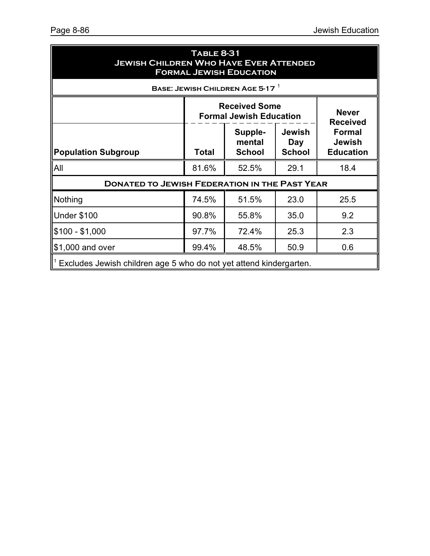| <b>TABLE 8-31</b><br><b>JEWISH CHILDREN WHO HAVE EVER ATTENDED</b><br><b>FORMAL JEWISH EDUCATION</b> |       |                                    |                                                    |                                 |  |  |
|------------------------------------------------------------------------------------------------------|-------|------------------------------------|----------------------------------------------------|---------------------------------|--|--|
| BASE: JEWISH CHILDREN AGE 5-17 $^{-1}$                                                               |       |                                    |                                                    |                                 |  |  |
| <b>Received Some</b><br><b>Formal Jewish Education</b>                                               |       |                                    |                                                    | <b>Never</b><br><b>Received</b> |  |  |
| <b>Population Subgroup</b>                                                                           | Total | Supple-<br>mental<br><b>School</b> | <b>Formal</b><br><b>Jewish</b><br><b>Education</b> |                                 |  |  |
| All                                                                                                  | 81.6% | 52.5%                              | 29.1                                               | 18.4                            |  |  |
| <b>DONATED TO JEWISH FEDERATION IN THE PAST YEAR</b>                                                 |       |                                    |                                                    |                                 |  |  |
| Nothing                                                                                              | 74.5% | 51.5%                              | 23.0                                               | 25.5                            |  |  |
| Under \$100                                                                                          | 90.8% | 55.8%                              | 35.0                                               | 9.2                             |  |  |
| $\$100 - \$1,000$                                                                                    | 97.7% | 72.4%                              | 25.3                                               | 2.3                             |  |  |
| 99.4%<br>48.5%<br>50.9<br>0.6<br>$\vert$ \$1,000 and over                                            |       |                                    |                                                    |                                 |  |  |
| Excludes Jewish children age 5 who do not yet attend kindergarten.                                   |       |                                    |                                                    |                                 |  |  |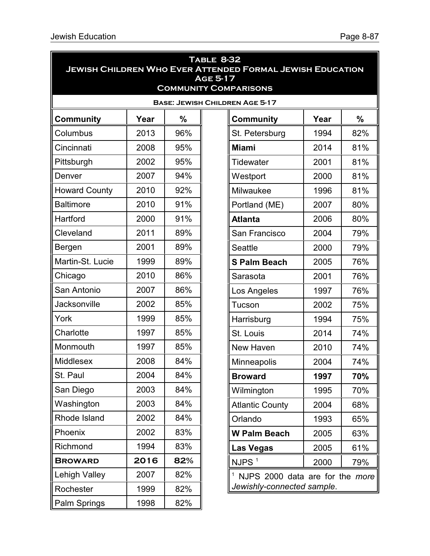| <b>TABLE 8-32</b><br><b>JEWISH CHILDREN WHO EVER ATTENDED FORMAL JEWISH EDUCATION</b><br>AGE 5-17<br><b>COMMUNITY COMPARISONS</b> |      |               |  |                                       |      |     |
|-----------------------------------------------------------------------------------------------------------------------------------|------|---------------|--|---------------------------------------|------|-----|
|                                                                                                                                   |      |               |  | <b>BASE: JEWISH CHILDREN AGE 5-17</b> |      |     |
| <b>Community</b>                                                                                                                  | Year | $\frac{0}{0}$ |  | <b>Community</b>                      | Year | %   |
| Columbus                                                                                                                          | 2013 | 96%           |  | St. Petersburg                        | 1994 | 82% |
| Cincinnati                                                                                                                        | 2008 | 95%           |  | <b>Miami</b>                          | 2014 | 81% |
| Pittsburgh                                                                                                                        | 2002 | 95%           |  | <b>Tidewater</b>                      | 2001 | 81% |
| Denver                                                                                                                            | 2007 | 94%           |  | Westport                              | 2000 | 81% |
| <b>Howard County</b>                                                                                                              | 2010 | 92%           |  | Milwaukee                             | 1996 | 81% |
| <b>Baltimore</b>                                                                                                                  | 2010 | 91%           |  | Portland (ME)                         | 2007 | 80% |
| Hartford                                                                                                                          | 2000 | 91%           |  | <b>Atlanta</b>                        | 2006 | 80% |
| Cleveland                                                                                                                         | 2011 | 89%           |  | San Francisco                         | 2004 | 79% |
| Bergen                                                                                                                            | 2001 | 89%           |  | <b>Seattle</b>                        | 2000 | 79% |
| Martin-St. Lucie                                                                                                                  | 1999 | 89%           |  | <b>S Palm Beach</b>                   | 2005 | 76% |
| Chicago                                                                                                                           | 2010 | 86%           |  | Sarasota                              | 2001 | 76% |
| San Antonio                                                                                                                       | 2007 | 86%           |  | Los Angeles                           | 1997 | 76% |
| Jacksonville                                                                                                                      | 2002 | 85%           |  | Tucson                                | 2002 | 75% |
| York                                                                                                                              | 1999 | 85%           |  | Harrisburg                            | 1994 | 75% |
| Charlotte                                                                                                                         | 1997 | 85%           |  | St. Louis                             | 2014 | 74% |
| Monmouth                                                                                                                          | 1997 | 85%           |  | New Haven                             | 2010 | 74% |
| Middlesex                                                                                                                         | 2008 | 84%           |  | Minneapolis                           | 2004 | 74% |
| St. Paul                                                                                                                          | 2004 | 84%           |  | <b>Broward</b>                        | 1997 | 70% |
| San Diego                                                                                                                         | 2003 | 84%           |  | Wilmington                            | 1995 | 70% |
| Washington                                                                                                                        | 2003 | 84%           |  | <b>Atlantic County</b>                | 2004 | 68% |
| Rhode Island                                                                                                                      | 2002 | 84%           |  | Orlando                               | 1993 | 65% |
| Phoenix                                                                                                                           | 2002 | 83%           |  | <b>W Palm Beach</b>                   | 2005 | 63% |
| Richmond                                                                                                                          | 1994 | 83%           |  | <b>Las Vegas</b>                      | 2005 | 61% |
| <b>BROWARD</b>                                                                                                                    | 2016 | 82%           |  | NJPS <sup>1</sup>                     | 2000 | 79% |
| Lehigh Valley                                                                                                                     | 2007 | 82%           |  | NJPS 2000 data are for the more       |      |     |
| Rochester                                                                                                                         | 1999 | 82%           |  | Jewishly-connected sample.            |      |     |
| Palm Springs                                                                                                                      | 1998 | 82%           |  |                                       |      |     |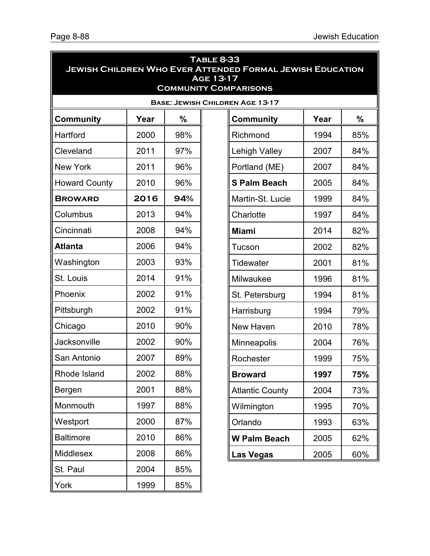| <b>TABLE 8-33</b><br><b>JEWISH CHILDREN WHO EVER ATTENDED FORMAL JEWISH EDUCATION</b><br><b>AGE 13-17</b><br><b>COMMUNITY COMPARISONS</b> |      |     |  |                                        |      |     |
|-------------------------------------------------------------------------------------------------------------------------------------------|------|-----|--|----------------------------------------|------|-----|
|                                                                                                                                           |      |     |  | <b>BASE: JEWISH CHILDREN AGE 13-17</b> |      |     |
| Community                                                                                                                                 | Year | %   |  | <b>Community</b>                       | Year | %   |
| Hartford                                                                                                                                  | 2000 | 98% |  | Richmond                               | 1994 | 85% |
| Cleveland                                                                                                                                 | 2011 | 97% |  | Lehigh Valley                          | 2007 | 84% |
| <b>New York</b>                                                                                                                           | 2011 | 96% |  | Portland (ME)                          | 2007 | 84% |
| <b>Howard County</b>                                                                                                                      | 2010 | 96% |  | <b>S Palm Beach</b>                    | 2005 | 84% |
| <b>BROWARD</b>                                                                                                                            | 2016 | 94% |  | Martin-St. Lucie                       | 1999 | 84% |
| Columbus                                                                                                                                  | 2013 | 94% |  | Charlotte                              | 1997 | 84% |
| Cincinnati                                                                                                                                | 2008 | 94% |  | <b>Miami</b>                           | 2014 | 82% |
| <b>Atlanta</b>                                                                                                                            | 2006 | 94% |  | Tucson                                 | 2002 | 82% |
| Washington                                                                                                                                | 2003 | 93% |  | Tidewater                              | 2001 | 81% |
| St. Louis                                                                                                                                 | 2014 | 91% |  | Milwaukee                              | 1996 | 81% |
| Phoenix                                                                                                                                   | 2002 | 91% |  | St. Petersburg                         | 1994 | 81% |
| Pittsburgh                                                                                                                                | 2002 | 91% |  | Harrisburg                             | 1994 | 79% |
| Chicago                                                                                                                                   | 2010 | 90% |  | New Haven                              | 2010 | 78% |
| Jacksonville                                                                                                                              | 2002 | 90% |  | Minneapolis                            | 2004 | 76% |
| San Antonio                                                                                                                               | 2007 | 89% |  | Rochester                              | 1999 | 75% |
| Rhode Island                                                                                                                              | 2002 | 88% |  | <b>Broward</b>                         | 1997 | 75% |
| Bergen                                                                                                                                    | 2001 | 88% |  | <b>Atlantic County</b>                 | 2004 | 73% |
| Monmouth                                                                                                                                  | 1997 | 88% |  | Wilmington                             | 1995 | 70% |
| Westport                                                                                                                                  | 2000 | 87% |  | Orlando                                | 1993 | 63% |
| <b>Baltimore</b>                                                                                                                          | 2010 | 86% |  | <b>W Palm Beach</b>                    | 2005 | 62% |
| <b>Middlesex</b>                                                                                                                          | 2008 | 86% |  | <b>Las Vegas</b>                       | 2005 | 60% |
| St. Paul                                                                                                                                  | 2004 | 85% |  |                                        |      |     |
| York                                                                                                                                      | 1999 | 85% |  |                                        |      |     |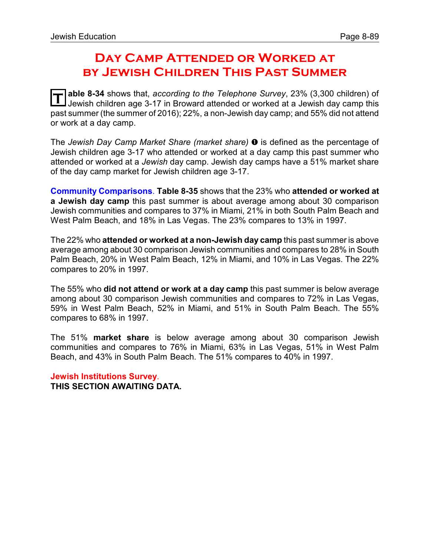# **Day Camp Attended or Worked at by Jewish Children This Past Summer**

**T** able 8-34 shows that, *according to the Telephone Survey*, 23% (3,300 children) of Jewish children age 3-17 in Broward attended or worked at a Jewish day camp this past summer (the summer of 2016); 22%, a non-Jewish day camp; and 55% did not attend or work at a day camp.

The *Jewish Day Camp Market Share (market share)*  $\bullet$  is defined as the percentage of Jewish children age 3-17 who attended or worked at a day camp this past summer who attended or worked at a *Jewish* day camp. Jewish day camps have a 51% market share of the day camp market for Jewish children age 3-17.

**Community Comparisons**. **Table 8-35** shows that the 23% who **attended or worked at a Jewish day camp** this past summer is about average among about 30 comparison Jewish communities and compares to 37% in Miami, 21% in both South Palm Beach and West Palm Beach, and 18% in Las Vegas. The 23% compares to 13% in 1997.

The 22% who **attended or worked at a non-Jewish day camp** this past summer is above average among about 30 comparison Jewish communities and compares to 28% in South Palm Beach, 20% in West Palm Beach, 12% in Miami, and 10% in Las Vegas. The 22% compares to 20% in 1997.

The 55% who **did not attend or work at a day camp** this past summer is below average among about 30 comparison Jewish communities and compares to 72% in Las Vegas, 59% in West Palm Beach, 52% in Miami, and 51% in South Palm Beach. The 55% compares to 68% in 1997.

The 51% **market share** is below average among about 30 comparison Jewish communities and compares to 76% in Miami, 63% in Las Vegas, 51% in West Palm Beach, and 43% in South Palm Beach. The 51% compares to 40% in 1997.

**Jewish Institutions Survey**. **THIS SECTION AWAITING DATA.**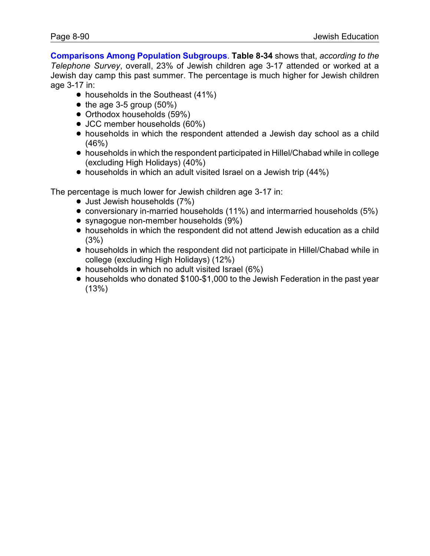**Comparisons Among Population Subgroups**. **Table 8-34** shows that, *according to the Telephone Survey*, overall, 23% of Jewish children age 3-17 attended or worked at a Jewish day camp this past summer. The percentage is much higher for Jewish children age 3-17 in:

- $\bullet$  households in the Southeast (41%)
- $\bullet$  the age 3-5 group (50%)
- Orthodox households (59%)
- JCC member households (60%)
- households in which the respondent attended a Jewish day school as a child (46%)
- ! households in which the respondent participated in Hillel/Chabad while in college (excluding High Holidays) (40%)
- households in which an adult visited Israel on a Jewish trip (44%)

The percentage is much lower for Jewish children age 3-17 in:

- Just Jewish households (7%)
- ! conversionary in-married households (11%) and intermarried households (5%)
- synagogue non-member households (9%)
- ! households in which the respondent did not attend Jewish education as a child (3%)
- ! households in which the respondent did not participate in Hillel/Chabad while in college (excluding High Holidays) (12%)
- households in which no adult visited Israel (6%)
- households who donated \$100-\$1,000 to the Jewish Federation in the past year (13%)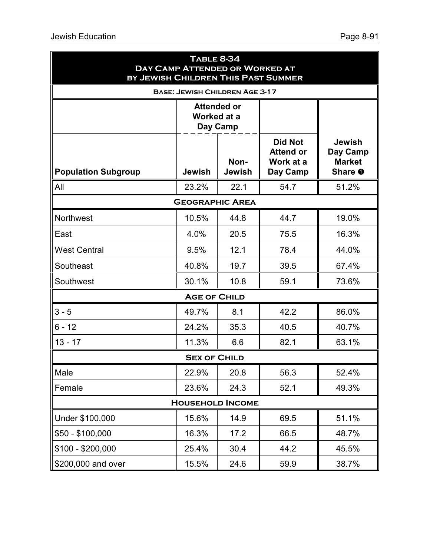| BY JEWISH CHILDREN THIS PAST SUMMER | <b>TABLE 8-34</b><br>DAY CAMP ATTENDED OR WORKED AT |                                               |                                                             |                                                       |
|-------------------------------------|-----------------------------------------------------|-----------------------------------------------|-------------------------------------------------------------|-------------------------------------------------------|
|                                     | <b>BASE: JEWISH CHILDREN AGE 3-17</b>               |                                               |                                                             |                                                       |
|                                     |                                                     | <b>Attended or</b><br>Worked at a<br>Day Camp |                                                             |                                                       |
| <b>Population Subgroup</b>          | <b>Jewish</b>                                       | Non-<br><b>Jewish</b>                         | <b>Did Not</b><br><b>Attend or</b><br>Work at a<br>Day Camp | <b>Jewish</b><br>Day Camp<br><b>Market</b><br>Share O |
| All                                 | 23.2%                                               | 22.1                                          | 54.7                                                        | 51.2%                                                 |
|                                     | <b>GEOGRAPHIC AREA</b>                              |                                               |                                                             |                                                       |
| <b>Northwest</b>                    | 10.5%                                               | 44.8                                          | 44.7                                                        | 19.0%                                                 |
| East                                | 4.0%                                                | 20.5                                          | 75.5                                                        | 16.3%                                                 |
| <b>West Central</b>                 | 9.5%                                                | 12.1                                          | 78.4                                                        | 44.0%                                                 |
| Southeast                           | 40.8%                                               | 19.7                                          | 39.5                                                        | 67.4%                                                 |
| Southwest                           | 30.1%                                               | 10.8                                          | 59.1                                                        | 73.6%                                                 |
|                                     | <b>AGE OF CHILD</b>                                 |                                               |                                                             |                                                       |
| $3 - 5$                             | 49.7%                                               | 8.1                                           | 42.2                                                        | 86.0%                                                 |
| $6 - 12$                            | 24.2%                                               | 35.3                                          | 40.5                                                        | 40.7%                                                 |
| $13 - 17$                           | 11.3%                                               | 6.6                                           | 82.1                                                        | 63.1%                                                 |
|                                     | <b>SEX OF CHILD</b>                                 |                                               |                                                             |                                                       |
| Male                                | 22.9%                                               | 20.8                                          | 56.3                                                        | 52.4%                                                 |
| Female                              | 23.6%                                               | 24.3                                          | 52.1                                                        | 49.3%                                                 |
|                                     | <b>HOUSEHOLD INCOME</b>                             |                                               |                                                             |                                                       |
| Under \$100,000                     | 15.6%                                               | 14.9                                          | 69.5                                                        | 51.1%                                                 |
| $$50 - $100,000$                    | 16.3%                                               | 17.2                                          | 66.5                                                        | 48.7%                                                 |
| $$100 - $200,000$                   | 25.4%                                               | 30.4                                          | 44.2                                                        | 45.5%                                                 |
| \$200,000 and over                  | 15.5%                                               | 24.6                                          | 59.9                                                        | 38.7%                                                 |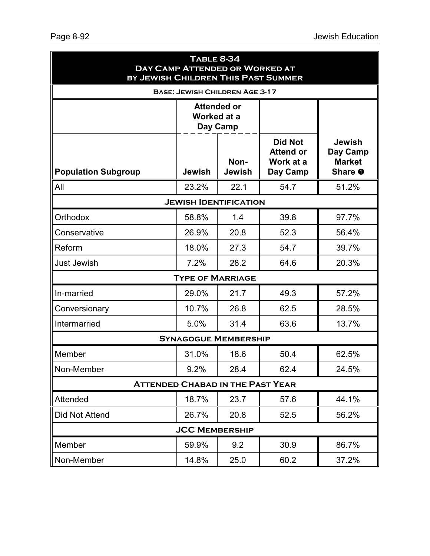| <b>TABLE 8-34</b><br>DAY CAMP ATTENDED OR WORKED AT<br>BY JEWISH CHILDREN THIS PAST SUMMER |                         |                                       |                                                             |                                                       |  |  |
|--------------------------------------------------------------------------------------------|-------------------------|---------------------------------------|-------------------------------------------------------------|-------------------------------------------------------|--|--|
|                                                                                            |                         | <b>BASE: JEWISH CHILDREN AGE 3-17</b> |                                                             |                                                       |  |  |
|                                                                                            | Worked at a             | <b>Attended or</b><br>Day Camp        |                                                             |                                                       |  |  |
| <b>Population Subgroup</b>                                                                 | <b>Jewish</b>           | Non-<br><b>Jewish</b>                 | <b>Did Not</b><br><b>Attend or</b><br>Work at a<br>Day Camp | <b>Jewish</b><br>Day Camp<br><b>Market</b><br>Share O |  |  |
| All                                                                                        | 23.2%                   | 22.1                                  | 54.7                                                        | 51.2%                                                 |  |  |
|                                                                                            |                         | <b>JEWISH IDENTIFICATION</b>          |                                                             |                                                       |  |  |
| Orthodox                                                                                   | 58.8%                   | 1.4                                   | 39.8                                                        | 97.7%                                                 |  |  |
| Conservative                                                                               | 26.9%                   | 20.8                                  | 52.3                                                        | 56.4%                                                 |  |  |
| Reform                                                                                     | 18.0%                   | 27.3                                  | 54.7                                                        | 39.7%                                                 |  |  |
| <b>Just Jewish</b>                                                                         | 7.2%                    | 28.2                                  | 64.6                                                        | 20.3%                                                 |  |  |
|                                                                                            | <b>TYPE OF MARRIAGE</b> |                                       |                                                             |                                                       |  |  |
| In-married                                                                                 | 29.0%                   | 21.7                                  | 49.3                                                        | 57.2%                                                 |  |  |
| Conversionary                                                                              | 10.7%                   | 26.8                                  | 62.5                                                        | 28.5%                                                 |  |  |
| Intermarried                                                                               | 5.0%                    | 31.4                                  | 63.6                                                        | 13.7%                                                 |  |  |
|                                                                                            |                         | <b>SYNAGOGUE MEMBERSHIP</b>           |                                                             |                                                       |  |  |
| Member                                                                                     | 31.0%                   | 18.6                                  | 50.4                                                        | 62.5%                                                 |  |  |
| Non-Member                                                                                 | 9.2%                    | 28.4                                  | 62.4                                                        | 24.5%                                                 |  |  |
| <b>ATTENDED CHABAD IN THE PAST YEAR</b>                                                    |                         |                                       |                                                             |                                                       |  |  |
| Attended                                                                                   | 18.7%                   | 23.7                                  | 57.6                                                        | 44.1%                                                 |  |  |
| Did Not Attend                                                                             | 26.7%                   | 20.8                                  | 52.5                                                        | 56.2%                                                 |  |  |
|                                                                                            | <b>JCC MEMBERSHIP</b>   |                                       |                                                             |                                                       |  |  |
| Member                                                                                     | 59.9%                   | 9.2                                   | 30.9                                                        | 86.7%                                                 |  |  |
| Non-Member                                                                                 | 14.8%                   | 25.0                                  | 60.2                                                        | 37.2%                                                 |  |  |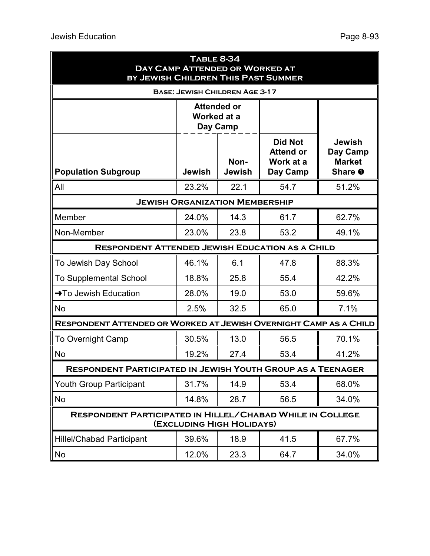| <b>TABLE 8-34</b><br>DAY CAMP ATTENDED OR WORKED AT<br>BY JEWISH CHILDREN THIS PAST SUMMER |               |                                       |                                                             |                                                       |  |  |
|--------------------------------------------------------------------------------------------|---------------|---------------------------------------|-------------------------------------------------------------|-------------------------------------------------------|--|--|
|                                                                                            |               | <b>BASE: JEWISH CHILDREN AGE 3-17</b> |                                                             |                                                       |  |  |
|                                                                                            | Worked at a   | <b>Attended or</b><br>Day Camp        |                                                             |                                                       |  |  |
| <b>Population Subgroup</b>                                                                 | <b>Jewish</b> | Non-<br><b>Jewish</b>                 | <b>Did Not</b><br><b>Attend or</b><br>Work at a<br>Day Camp | <b>Jewish</b><br>Day Camp<br><b>Market</b><br>Share O |  |  |
| All                                                                                        | 23.2%         | 22.1                                  | 54.7                                                        | 51.2%                                                 |  |  |
|                                                                                            |               | <b>JEWISH ORGANIZATION MEMBERSHIP</b> |                                                             |                                                       |  |  |
| Member                                                                                     | 24.0%         | 14.3                                  | 61.7                                                        | 62.7%                                                 |  |  |
| Non-Member                                                                                 | 23.0%         | 23.8                                  | 53.2                                                        | 49.1%                                                 |  |  |
| <b>RESPONDENT ATTENDED JEWISH EDUCATION AS A CHILD</b>                                     |               |                                       |                                                             |                                                       |  |  |
| To Jewish Day School                                                                       | 46.1%         | 6.1                                   | 47.8                                                        | 88.3%                                                 |  |  |
| <b>To Supplemental School</b>                                                              | 18.8%         | 25.8                                  | 55.4                                                        | 42.2%                                                 |  |  |
| $\rightarrow$ To Jewish Education                                                          | 28.0%         | 19.0                                  | 53.0                                                        | 59.6%                                                 |  |  |
| <b>No</b>                                                                                  | 2.5%          | 32.5                                  | 65.0                                                        | 7.1%                                                  |  |  |
| RESPONDENT ATTENDED OR WORKED AT JEWISH OVERNIGHT CAMP AS A CHILD                          |               |                                       |                                                             |                                                       |  |  |
| <b>To Overnight Camp</b>                                                                   | 30.5%         | 13.0                                  | 56.5                                                        | 70.1%                                                 |  |  |
| No                                                                                         | 19.2%         | 27.4                                  | 53.4                                                        | 41.2%                                                 |  |  |
| <b>RESPONDENT PARTICIPATED IN JEWISH YOUTH GROUP AS A TEENAGER</b>                         |               |                                       |                                                             |                                                       |  |  |
| <b>Youth Group Participant</b>                                                             | 31.7%         | 14.9                                  | 53.4                                                        | 68.0%                                                 |  |  |
| No                                                                                         | 14.8%         | 28.7                                  | 56.5                                                        | 34.0%                                                 |  |  |
| <b>RESPONDENT PARTICIPATED IN HILLEL/CHABAD WHILE IN COLLEGE</b>                           |               | (EXCLUDING HIGH HOLIDAYS)             |                                                             |                                                       |  |  |
| <b>Hillel/Chabad Participant</b>                                                           | 39.6%         | 18.9                                  | 41.5                                                        | 67.7%                                                 |  |  |
| No                                                                                         | 12.0%         | 23.3                                  | 64.7                                                        | 34.0%                                                 |  |  |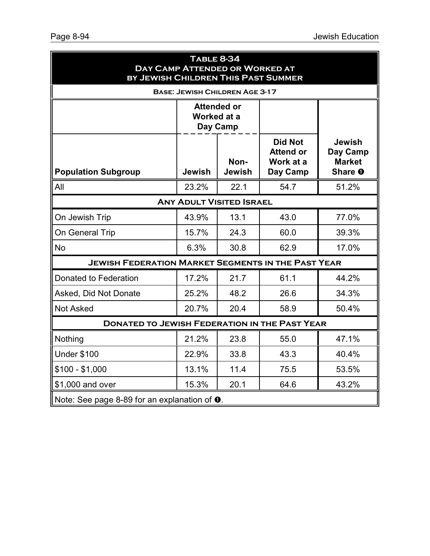| <b>TABLE 8-34</b><br><b>DAY CAMP ATTENDED OR WORKED AT</b><br>BY JEWISH CHILDREN THIS PAST SUMMER |                                               |                                       |                                                             |                                                       |  |  |
|---------------------------------------------------------------------------------------------------|-----------------------------------------------|---------------------------------------|-------------------------------------------------------------|-------------------------------------------------------|--|--|
|                                                                                                   |                                               | <b>BASE: JEWISH CHILDREN AGE 3-17</b> |                                                             |                                                       |  |  |
|                                                                                                   | <b>Attended or</b><br>Worked at a<br>Day Camp |                                       |                                                             |                                                       |  |  |
| <b>Population Subgroup</b>                                                                        | Jewish                                        | Non-<br><b>Jewish</b>                 | <b>Did Not</b><br><b>Attend or</b><br>Work at a<br>Day Camp | <b>Jewish</b><br>Day Camp<br><b>Market</b><br>Share O |  |  |
| All                                                                                               | 23.2%                                         | 22.1                                  | 54.7                                                        | 51.2%                                                 |  |  |
|                                                                                                   |                                               | <b>ANY ADULT VISITED ISRAEL</b>       |                                                             |                                                       |  |  |
| On Jewish Trip                                                                                    | 43.9%                                         | 13.1                                  | 43.0                                                        | 77.0%                                                 |  |  |
| On General Trip                                                                                   | 15.7%                                         | 24.3                                  | 60.0                                                        | 39.3%                                                 |  |  |
| <b>No</b>                                                                                         | 6.3%                                          | 30.8                                  | 62.9                                                        | 17.0%                                                 |  |  |
| <b>JEWISH FEDERATION MARKET SEGMENTS IN THE PAST YEAR</b>                                         |                                               |                                       |                                                             |                                                       |  |  |
| Donated to Federation                                                                             | 17.2%                                         | 21.7                                  | 61.1                                                        | 44.2%                                                 |  |  |
| Asked, Did Not Donate                                                                             | 25.2%                                         | 48.2                                  | 26.6                                                        | 34.3%                                                 |  |  |
| <b>Not Asked</b>                                                                                  | 20.7%                                         | 20.4                                  | 58.9                                                        | 50.4%                                                 |  |  |
| <b>DONATED TO JEWISH FEDERATION IN THE PAST YEAR</b>                                              |                                               |                                       |                                                             |                                                       |  |  |
| Nothing                                                                                           | 21.2%                                         | 23.8                                  | 55.0                                                        | 47.1%                                                 |  |  |
| <b>Under \$100</b>                                                                                | 22.9%                                         | 33.8                                  | 43.3                                                        | 40.4%                                                 |  |  |
| $$100 - $1,000$                                                                                   | 13.1%                                         | 11.4                                  | 75.5                                                        | 53.5%                                                 |  |  |
| \$1,000 and over                                                                                  | 15.3%                                         | 20.1                                  | 64.6                                                        | 43.2%                                                 |  |  |
| Note: See page 8-89 for an explanation of $\bullet$ .                                             |                                               |                                       |                                                             |                                                       |  |  |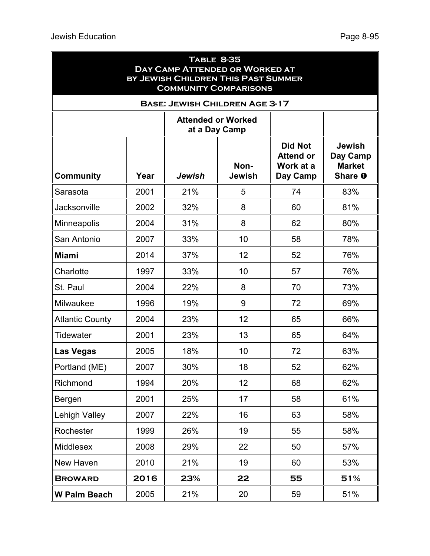| <b>TABLE 8-35</b><br>DAY CAMP ATTENDED OR WORKED AT<br>BY JEWISH CHILDREN THIS PAST SUMMER<br><b>COMMUNITY COMPARISONS</b> |      |                                       |                |                                                             |                                                       |  |  |
|----------------------------------------------------------------------------------------------------------------------------|------|---------------------------------------|----------------|-------------------------------------------------------------|-------------------------------------------------------|--|--|
|                                                                                                                            |      | <b>BASE: JEWISH CHILDREN AGE 3-17</b> |                |                                                             |                                                       |  |  |
| <b>Attended or Worked</b><br>at a Day Camp                                                                                 |      |                                       |                |                                                             |                                                       |  |  |
| <b>Community</b>                                                                                                           | Year | Jewish                                | Non-<br>Jewish | <b>Did Not</b><br><b>Attend or</b><br>Work at a<br>Day Camp | <b>Jewish</b><br>Day Camp<br><b>Market</b><br>Share O |  |  |
| Sarasota                                                                                                                   | 2001 | 21%                                   | 5              | 74                                                          | 83%                                                   |  |  |
| Jacksonville                                                                                                               | 2002 | 32%                                   | 8              | 60                                                          | 81%                                                   |  |  |
| <b>Minneapolis</b>                                                                                                         | 2004 | 31%                                   | 8              | 62                                                          | 80%                                                   |  |  |
| San Antonio                                                                                                                | 2007 | 33%                                   | 10             | 58                                                          | 78%                                                   |  |  |
| <b>Miami</b>                                                                                                               | 2014 | 37%                                   | 12             | 52                                                          | 76%                                                   |  |  |
| Charlotte                                                                                                                  | 1997 | 33%                                   | 10             | 57                                                          | 76%                                                   |  |  |
| St. Paul                                                                                                                   | 2004 | 22%                                   | 8              | 70                                                          | 73%                                                   |  |  |
| Milwaukee                                                                                                                  | 1996 | 19%                                   | 9              | 72                                                          | 69%                                                   |  |  |
| <b>Atlantic County</b>                                                                                                     | 2004 | 23%                                   | 12             | 65                                                          | 66%                                                   |  |  |
| <b>Tidewater</b>                                                                                                           | 2001 | 23%                                   | 13             | 65                                                          | 64%                                                   |  |  |
| Las Vegas                                                                                                                  | 2005 | 18%                                   | 10             | 72                                                          | 63%                                                   |  |  |
| Portland (ME)                                                                                                              | 2007 | 30%                                   | 18             | 52                                                          | 62%                                                   |  |  |
| Richmond                                                                                                                   | 1994 | 20%                                   | 12             | 68                                                          | 62%                                                   |  |  |
| Bergen                                                                                                                     | 2001 | 25%                                   | 17             | 58                                                          | 61%                                                   |  |  |
| <b>Lehigh Valley</b>                                                                                                       | 2007 | 22%                                   | 16             | 63                                                          | 58%                                                   |  |  |
| Rochester                                                                                                                  | 1999 | 26%                                   | 19             | 55                                                          | 58%                                                   |  |  |
| Middlesex                                                                                                                  | 2008 | 29%                                   | 22             | 50                                                          | 57%                                                   |  |  |
| New Haven                                                                                                                  | 2010 | 21%                                   | 19             | 60                                                          | 53%                                                   |  |  |
| <b>BROWARD</b>                                                                                                             | 2016 | 23%                                   | 22             | 55                                                          | 51%                                                   |  |  |
| <b>W Palm Beach</b>                                                                                                        | 2005 | 21%                                   | 20             | 59                                                          | 51%                                                   |  |  |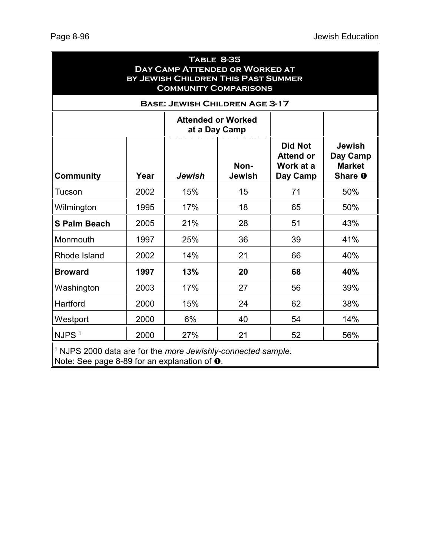| <b>TABLE 8-35</b><br><b>DAY CAMP ATTENDED OR WORKED AT</b><br>BY JEWISH CHILDREN THIS PAST SUMMER<br><b>COMMUNITY COMPARISONS</b> |      |     |                                       |    |                                                       |  |  |
|-----------------------------------------------------------------------------------------------------------------------------------|------|-----|---------------------------------------|----|-------------------------------------------------------|--|--|
|                                                                                                                                   |      |     | <b>BASE: JEWISH CHILDREN AGE 3-17</b> |    |                                                       |  |  |
| <b>Attended or Worked</b><br>at a Day Camp                                                                                        |      |     |                                       |    |                                                       |  |  |
| <b>Did Not</b><br><b>Attend or</b><br>Non-<br>Work at a<br><b>Community</b><br>Year<br>Jewish<br><b>Jewish</b><br>Day Camp        |      |     |                                       |    | <b>Jewish</b><br>Day Camp<br><b>Market</b><br>Share O |  |  |
| Tucson                                                                                                                            | 2002 | 15% | 15                                    | 71 | 50%                                                   |  |  |
| Wilmington                                                                                                                        | 1995 | 17% | 18                                    | 65 | 50%                                                   |  |  |
| <b>S Palm Beach</b>                                                                                                               | 2005 | 21% | 28                                    | 51 | 43%                                                   |  |  |
| Monmouth                                                                                                                          | 1997 | 25% | 36                                    | 39 | 41%                                                   |  |  |
| Rhode Island                                                                                                                      | 2002 | 14% | 21                                    | 66 | 40%                                                   |  |  |
| <b>Broward</b>                                                                                                                    | 1997 | 13% | 20                                    | 68 | 40%                                                   |  |  |
| Washington                                                                                                                        | 2003 | 17% | 27                                    | 56 | 39%                                                   |  |  |
| Hartford                                                                                                                          | 2000 | 15% | 24                                    | 62 | 38%                                                   |  |  |
| Westport                                                                                                                          | 2000 | 6%  | 40                                    | 54 | 14%                                                   |  |  |
| NJPS <sup>1</sup>                                                                                                                 | 2000 | 27% | 21                                    | 52 | 56%                                                   |  |  |
| <sup>1</sup> NJPS 2000 data are for the more Jewishly-connected sample.<br>Note: See page 8-89 for an explanation of $\bullet$ .  |      |     |                                       |    |                                                       |  |  |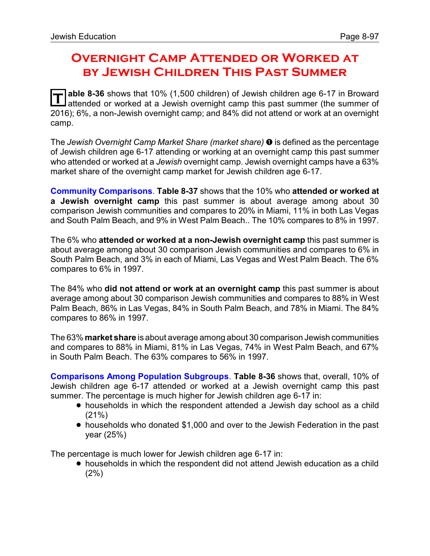# **Overnight Camp Attended or Worked at by Jewish Children This Past Summer**

**T** able 8-36 shows that 10% (1,500 children) of Jewish children age 6-17 in Broward attended or worked at a Jewish overnight camp this past summer (the summer of 2016); 6%, a non-Jewish overnight camp; and 84% did not attend or work at an overnight camp.

The *Jewish Overnight Camp Market Share (market share)* ì is defined as the percentage of Jewish children age 6-17 attending or working at an overnight camp this past summer who attended or worked at a *Jewish* overnight camp. Jewish overnight camps have a 63% market share of the overnight camp market for Jewish children age 6-17.

**Community Comparisons**. **Table 8-37** shows that the 10% who **attended or worked at a Jewish overnight camp** this past summer is about average among about 30 comparison Jewish communities and compares to 20% in Miami, 11% in both Las Vegas and South Palm Beach, and 9% in West Palm Beach.. The 10% compares to 8% in 1997.

The 6% who **attended or worked at a non-Jewish overnight camp** this past summer is about average among about 30 comparison Jewish communities and compares to 6% in South Palm Beach, and 3% in each of Miami, Las Vegas and West Palm Beach. The 6% compares to 6% in 1997.

The 84% who **did not attend or work at an overnight camp** this past summer is about average among about 30 comparison Jewish communities and compares to 88% in West Palm Beach, 86% in Las Vegas, 84% in South Palm Beach, and 78% in Miami. The 84% compares to 86% in 1997.

The 63% **market share** is about average among about 30 comparison Jewish communities and compares to 88% in Miami, 81% in Las Vegas, 74% in West Palm Beach, and 67% in South Palm Beach. The 63% compares to 56% in 1997.

**Comparisons Among Population Subgroups**. **Table 8-36** shows that, overall, 10% of Jewish children age 6-17 attended or worked at a Jewish overnight camp this past summer. The percentage is much higher for Jewish children age 6-17 in:

- ! households in which the respondent attended a Jewish day school as a child (21%)
- ! households who donated \$1,000 and over to the Jewish Federation in the past year (25%)

The percentage is much lower for Jewish children age 6-17 in:

! households in which the respondent did not attend Jewish education as a child (2%)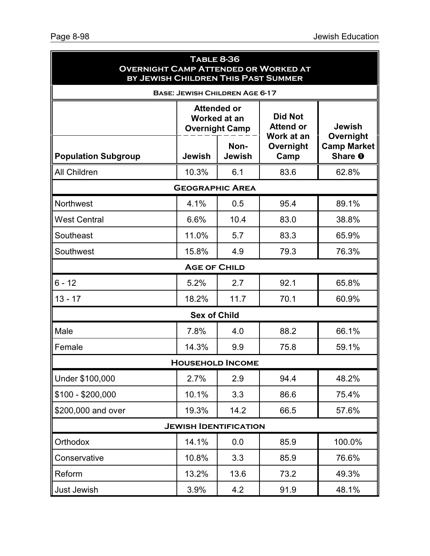| <b>TABLE 8-36</b><br><b>OVERNIGHT CAMP ATTENDED OR WORKED AT</b><br>BY JEWISH CHILDREN THIS PAST SUMMER |                                                             |                                       |                                                  |                                            |  |  |
|---------------------------------------------------------------------------------------------------------|-------------------------------------------------------------|---------------------------------------|--------------------------------------------------|--------------------------------------------|--|--|
|                                                                                                         |                                                             | <b>BASE: JEWISH CHILDREN AGE 6-17</b> |                                                  |                                            |  |  |
|                                                                                                         | <b>Attended or</b><br>Worked at an<br><b>Overnight Camp</b> |                                       | <b>Did Not</b><br><b>Attend or</b><br>Work at an | <b>Jewish</b>                              |  |  |
| <b>Population Subgroup</b>                                                                              | Jewish                                                      | Non-<br><b>Jewish</b>                 | Overnight<br>Camp                                | Overnight<br><b>Camp Market</b><br>Share O |  |  |
| <b>All Children</b>                                                                                     | 10.3%                                                       | 6.1                                   | 83.6                                             | 62.8%                                      |  |  |
|                                                                                                         | <b>GEOGRAPHIC AREA</b>                                      |                                       |                                                  |                                            |  |  |
| <b>Northwest</b>                                                                                        | 4.1%                                                        | 0.5                                   | 95.4                                             | 89.1%                                      |  |  |
| <b>West Central</b>                                                                                     | 6.6%                                                        | 10.4                                  | 83.0                                             | 38.8%                                      |  |  |
| Southeast                                                                                               | 11.0%                                                       | 5.7                                   | 83.3                                             | 65.9%                                      |  |  |
| Southwest                                                                                               | 15.8%                                                       | 4.9                                   | 79.3                                             | 76.3%                                      |  |  |
|                                                                                                         | <b>AGE OF CHILD</b>                                         |                                       |                                                  |                                            |  |  |
| $6 - 12$                                                                                                | 5.2%                                                        | 2.7                                   | 92.1                                             | 65.8%                                      |  |  |
| $13 - 17$                                                                                               | 18.2%                                                       | 11.7                                  | 70.1                                             | 60.9%                                      |  |  |
|                                                                                                         | <b>Sex of Child</b>                                         |                                       |                                                  |                                            |  |  |
| Male                                                                                                    | 7.8%                                                        | 4.0                                   | 88.2                                             | 66.1%                                      |  |  |
| Female                                                                                                  | 14.3%                                                       | 9.9                                   | 75.8                                             | 59.1%                                      |  |  |
|                                                                                                         |                                                             | <b>HOUSEHOLD INCOME</b>               |                                                  |                                            |  |  |
| Under \$100,000                                                                                         | 2.7%                                                        | 2.9                                   | 94.4                                             | 48.2%                                      |  |  |
| $$100 - $200,000$                                                                                       | 10.1%                                                       | 3.3                                   | 86.6                                             | 75.4%                                      |  |  |
| \$200,000 and over                                                                                      | 19.3%                                                       | 14.2                                  | 66.5                                             | 57.6%                                      |  |  |
| <b>JEWISH IDENTIFICATION</b>                                                                            |                                                             |                                       |                                                  |                                            |  |  |
| Orthodox                                                                                                | 14.1%                                                       | 0.0                                   | 85.9                                             | 100.0%                                     |  |  |
| Conservative                                                                                            | 10.8%                                                       | 3.3                                   | 85.9                                             | 76.6%                                      |  |  |
| Reform                                                                                                  | 13.2%                                                       | 13.6                                  | 73.2                                             | 49.3%                                      |  |  |
| Just Jewish                                                                                             | 3.9%                                                        | 4.2                                   | 91.9                                             | 48.1%                                      |  |  |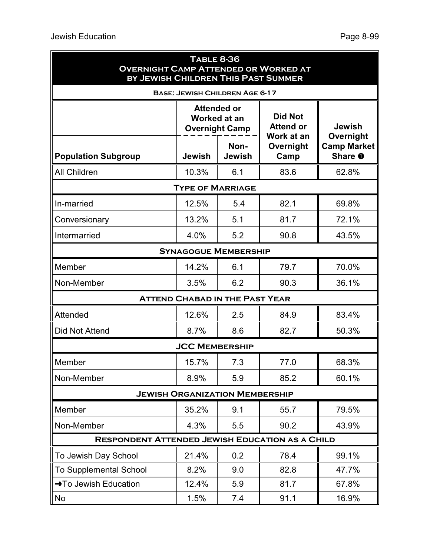| <b>TABLE 8-36</b><br><b>OVERNIGHT CAMP ATTENDED OR WORKED AT</b><br>BY JEWISH CHILDREN THIS PAST SUMMER |                                                                    |                       |                                                  |                                            |  |  |
|---------------------------------------------------------------------------------------------------------|--------------------------------------------------------------------|-----------------------|--------------------------------------------------|--------------------------------------------|--|--|
|                                                                                                         | <b>BASE: JEWISH CHILDREN AGE 6-17</b>                              |                       |                                                  |                                            |  |  |
|                                                                                                         | <b>Attended or</b><br><b>Worked at an</b><br><b>Overnight Camp</b> |                       | <b>Did Not</b><br><b>Attend or</b><br>Work at an | <b>Jewish</b>                              |  |  |
| <b>Population Subgroup</b>                                                                              | Jewish                                                             | Non-<br><b>Jewish</b> | Overnight<br>Camp                                | Overnight<br><b>Camp Market</b><br>Share O |  |  |
| All Children                                                                                            | 10.3%                                                              | 6.1                   | 83.6                                             | 62.8%                                      |  |  |
|                                                                                                         | <b>TYPE OF MARRIAGE</b>                                            |                       |                                                  |                                            |  |  |
| In-married                                                                                              | 12.5%                                                              | 5.4                   | 82.1                                             | 69.8%                                      |  |  |
| Conversionary                                                                                           | 13.2%                                                              | 5.1                   | 81.7                                             | 72.1%                                      |  |  |
| Intermarried                                                                                            | 4.0%                                                               | 5.2                   | 90.8                                             | 43.5%                                      |  |  |
|                                                                                                         | <b>SYNAGOGUE MEMBERSHIP</b>                                        |                       |                                                  |                                            |  |  |
| Member                                                                                                  | 14.2%                                                              | 6.1                   | 79.7                                             | 70.0%                                      |  |  |
| Non-Member                                                                                              | 3.5%                                                               | 6.2                   | 90.3                                             | 36.1%                                      |  |  |
|                                                                                                         | <b>ATTEND CHABAD IN THE PAST YEAR</b>                              |                       |                                                  |                                            |  |  |
| Attended                                                                                                | 12.6%                                                              | 2.5                   | 84.9                                             | 83.4%                                      |  |  |
| <b>Did Not Attend</b>                                                                                   | 8.7%                                                               | 8.6                   | 82.7                                             | 50.3%                                      |  |  |
|                                                                                                         | <b>JCC MEMBERSHIP</b>                                              |                       |                                                  |                                            |  |  |
| Member                                                                                                  | 15.7%                                                              | 7.3                   | 77.0                                             | 68.3%                                      |  |  |
| Non-Member                                                                                              | 8.9%                                                               | 5.9                   | 85.2                                             | 60.1%                                      |  |  |
| <b>JEWISH ORGANIZATION MEMBERSHIP</b>                                                                   |                                                                    |                       |                                                  |                                            |  |  |
| Member                                                                                                  | 35.2%                                                              | 9.1                   | 55.7                                             | 79.5%                                      |  |  |
| Non-Member                                                                                              | 4.3%                                                               | 5.5                   | 90.2                                             | 43.9%                                      |  |  |
| <b>RESPONDENT ATTENDED JEWISH EDUCATION AS A CHILD</b>                                                  |                                                                    |                       |                                                  |                                            |  |  |
| To Jewish Day School                                                                                    | 21.4%                                                              | 0.2                   | 78.4                                             | 99.1%                                      |  |  |
| <b>To Supplemental School</b>                                                                           | 8.2%                                                               | 9.0                   | 82.8                                             | 47.7%                                      |  |  |
| → To Jewish Education                                                                                   | 12.4%                                                              | 5.9                   | 81.7                                             | 67.8%                                      |  |  |
| No                                                                                                      | 1.5%                                                               | 7.4                   | 91.1                                             | 16.9%                                      |  |  |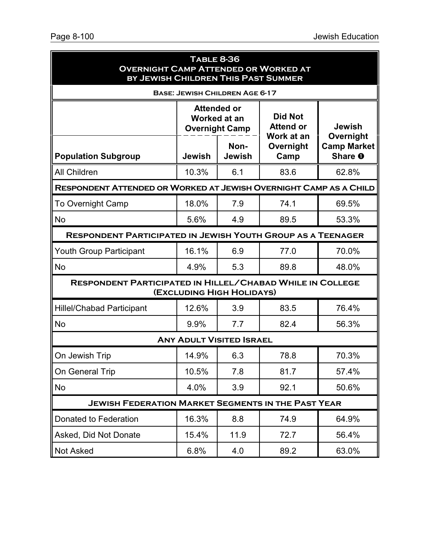| <b>TABLE 8-36</b><br><b>OVERNIGHT CAMP ATTENDED OR WORKED AT</b><br>BY JEWISH CHILDREN THIS PAST SUMMER |                                                             |                                       |                                                  |                               |  |  |
|---------------------------------------------------------------------------------------------------------|-------------------------------------------------------------|---------------------------------------|--------------------------------------------------|-------------------------------|--|--|
|                                                                                                         |                                                             | <b>BASE: JEWISH CHILDREN AGE 6-17</b> |                                                  |                               |  |  |
|                                                                                                         | <b>Attended or</b><br>Worked at an<br><b>Overnight Camp</b> |                                       | <b>Did Not</b><br><b>Attend or</b><br>Work at an | <b>Jewish</b><br>Overnight    |  |  |
| <b>Population Subgroup</b>                                                                              | <b>Jewish</b>                                               | Non-<br><b>Jewish</b>                 | Overnight<br>Camp                                | <b>Camp Market</b><br>Share O |  |  |
| <b>All Children</b>                                                                                     | 10.3%                                                       | 6.1                                   | 83.6                                             | 62.8%                         |  |  |
| RESPONDENT ATTENDED OR WORKED AT JEWISH OVERNIGHT CAMP AS A CHILD                                       |                                                             |                                       |                                                  |                               |  |  |
| <b>To Overnight Camp</b>                                                                                | 18.0%                                                       | 7.9                                   | 74.1                                             | 69.5%                         |  |  |
| <b>No</b>                                                                                               | 5.6%                                                        | 4.9                                   | 89.5                                             | 53.3%                         |  |  |
| <b>RESPONDENT PARTICIPATED IN JEWISH YOUTH GROUP AS A TEENAGER</b>                                      |                                                             |                                       |                                                  |                               |  |  |
| <b>Youth Group Participant</b>                                                                          | 16.1%                                                       | 6.9                                   | 77.0                                             | 70.0%                         |  |  |
| <b>No</b>                                                                                               | 4.9%                                                        | 5.3                                   | 89.8                                             | 48.0%                         |  |  |
| <b>RESPONDENT PARTICIPATED IN HILLEL/CHABAD WHILE IN COLLEGE</b>                                        |                                                             | (EXCLUDING HIGH HOLIDAYS)             |                                                  |                               |  |  |
| <b>Hillel/Chabad Participant</b>                                                                        | 12.6%                                                       | 3.9                                   | 83.5                                             | 76.4%                         |  |  |
| <b>No</b>                                                                                               | 9.9%                                                        | 7.7                                   | 82.4                                             | 56.3%                         |  |  |
|                                                                                                         |                                                             | <b>ANY ADULT VISITED ISRAEL</b>       |                                                  |                               |  |  |
| On Jewish Trip                                                                                          | 14.9%                                                       | 6.3                                   | 78.8                                             | 70.3%                         |  |  |
| On General Trip                                                                                         | 10.5%                                                       | 7.8                                   | 81.7                                             | 57.4%                         |  |  |
| No                                                                                                      | 4.0%                                                        | 3.9                                   | 92.1                                             | 50.6%                         |  |  |
| <b>JEWISH FEDERATION MARKET SEGMENTS IN THE PAST YEAR</b>                                               |                                                             |                                       |                                                  |                               |  |  |
| Donated to Federation                                                                                   | 16.3%                                                       | 8.8                                   | 74.9                                             | 64.9%                         |  |  |
| Asked, Did Not Donate                                                                                   | 15.4%                                                       | 11.9                                  | 72.7                                             | 56.4%                         |  |  |
| <b>Not Asked</b>                                                                                        | 6.8%                                                        | 4.0                                   | 89.2                                             | 63.0%                         |  |  |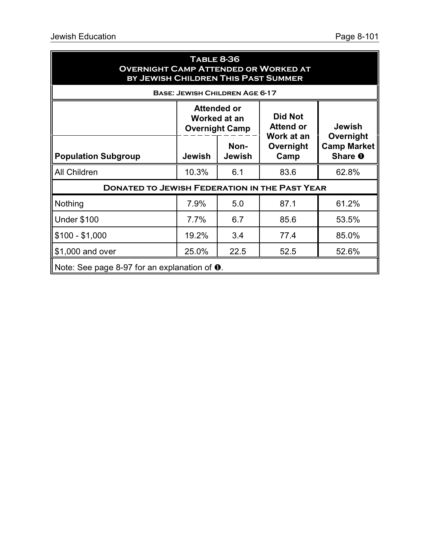| <b>TABLE 8-36</b><br><b>OVERNIGHT CAMP ATTENDED OR WORKED AT</b><br>BY JEWISH CHILDREN THIS PAST SUMMER |               |                                                             |                                    |                                                             |  |  |
|---------------------------------------------------------------------------------------------------------|---------------|-------------------------------------------------------------|------------------------------------|-------------------------------------------------------------|--|--|
|                                                                                                         |               | <b>BASE: JEWISH CHILDREN AGE 6-17</b>                       |                                    |                                                             |  |  |
|                                                                                                         |               | <b>Attended or</b><br>Worked at an<br><b>Overnight Camp</b> | <b>Did Not</b><br><b>Attend or</b> | <b>Jewish</b><br>Overnight<br><b>Camp Market</b><br>Share O |  |  |
| <b>Population Subgroup</b>                                                                              | <b>Jewish</b> | Non-<br><b>Jewish</b>                                       | Work at an<br>Overnight<br>Camp    |                                                             |  |  |
| <b>All Children</b>                                                                                     | 10.3%         | 6.1                                                         | 83.6                               | 62.8%                                                       |  |  |
| <b>DONATED TO JEWISH FEDERATION IN THE PAST YEAR</b>                                                    |               |                                                             |                                    |                                                             |  |  |
| Nothing                                                                                                 | 7.9%          | 5.0                                                         | 87.1                               | 61.2%                                                       |  |  |
| <b>Under \$100</b>                                                                                      | 7.7%          | 6.7                                                         | 85.6                               | 53.5%                                                       |  |  |
| $$100 - $1,000$                                                                                         | 19.2%         | 3.4                                                         | 77.4                               | 85.0%                                                       |  |  |
| \$1,000 and over                                                                                        | 25.0%         | 22.5                                                        | 52.5                               | 52.6%                                                       |  |  |
| Note: See page 8-97 for an explanation of $\bullet$ .                                                   |               |                                                             |                                    |                                                             |  |  |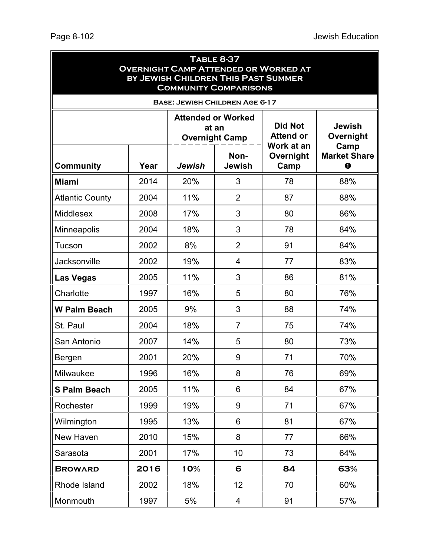| <b>TABLE 8-37</b><br><b>OVERNIGHT CAMP ATTENDED OR WORKED AT</b><br>BY JEWISH CHILDREN THIS PAST SUMMER<br><b>COMMUNITY COMPARISONS</b> |      |                                       |                       |                                                  |                                    |  |  |
|-----------------------------------------------------------------------------------------------------------------------------------------|------|---------------------------------------|-----------------------|--------------------------------------------------|------------------------------------|--|--|
|                                                                                                                                         |      | <b>BASE: JEWISH CHILDREN AGE 6-17</b> |                       |                                                  |                                    |  |  |
|                                                                                                                                         |      | <b>Attended or Worked</b><br>at an    | <b>Overnight Camp</b> | <b>Did Not</b><br><b>Attend or</b><br>Work at an | <b>Jewish</b><br>Overnight<br>Camp |  |  |
| <b>Community</b>                                                                                                                        | Year | Jewish                                | Non-<br><b>Jewish</b> | Overnight<br>Camp                                | <b>Market Share</b><br>⋒           |  |  |
| <b>Miami</b>                                                                                                                            | 2014 | 20%                                   | 3                     | 78                                               | 88%                                |  |  |
| <b>Atlantic County</b>                                                                                                                  | 2004 | 11%                                   | $\overline{2}$        | 87                                               | 88%                                |  |  |
| <b>Middlesex</b>                                                                                                                        | 2008 | 17%                                   | 3                     | 80                                               | 86%                                |  |  |
| Minneapolis                                                                                                                             | 2004 | 18%                                   | 3                     | 78                                               | 84%                                |  |  |
| Tucson                                                                                                                                  | 2002 | 8%                                    | $\overline{2}$        | 91                                               | 84%                                |  |  |
| Jacksonville                                                                                                                            | 2002 | 19%                                   | 4                     | 77                                               | 83%                                |  |  |
| <b>Las Vegas</b>                                                                                                                        | 2005 | 11%                                   | 3                     | 86                                               | 81%                                |  |  |
| Charlotte                                                                                                                               | 1997 | 16%                                   | 5                     | 80                                               | 76%                                |  |  |
| <b>W Palm Beach</b>                                                                                                                     | 2005 | 9%                                    | 3                     | 88                                               | 74%                                |  |  |
| St. Paul                                                                                                                                | 2004 | 18%                                   | $\overline{7}$        | 75                                               | 74%                                |  |  |
| San Antonio                                                                                                                             | 2007 | 14%                                   | 5                     | 80                                               | 73%                                |  |  |
| Bergen                                                                                                                                  | 2001 | 20%                                   | 9                     | 71                                               | 70%                                |  |  |
| Milwaukee                                                                                                                               | 1996 | 16%                                   | 8                     | 76                                               | 69%                                |  |  |
| <b>S Palm Beach</b>                                                                                                                     | 2005 | 11%                                   | 6                     | 84                                               | 67%                                |  |  |
| Rochester                                                                                                                               | 1999 | 19%                                   | 9                     | 71                                               | 67%                                |  |  |
| Wilmington                                                                                                                              | 1995 | 13%                                   | 6                     | 81                                               | 67%                                |  |  |
| New Haven                                                                                                                               | 2010 | 15%                                   | 8                     | 77                                               | 66%                                |  |  |
| Sarasota                                                                                                                                | 2001 | 17%                                   | 10                    | 73                                               | 64%                                |  |  |
| <b>BROWARD</b>                                                                                                                          | 2016 | 10%                                   | 6                     | 84                                               | 63%                                |  |  |
| Rhode Island                                                                                                                            | 2002 | 18%                                   | 12                    | 70                                               | 60%                                |  |  |
| Monmouth                                                                                                                                | 1997 | 5%                                    | 4                     | 91                                               | 57%                                |  |  |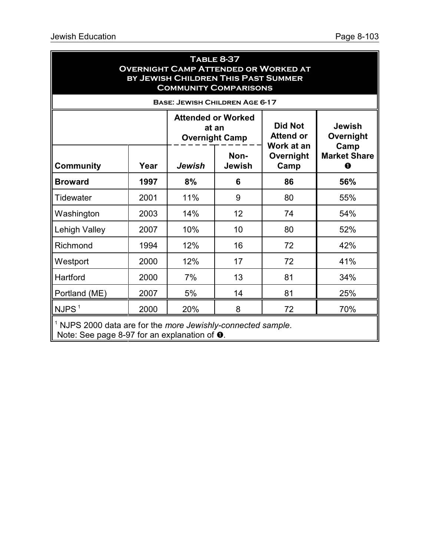| <b>TABLE 8-37</b><br><b>OVERNIGHT CAMP ATTENDED OR WORKED AT</b><br>BY JEWISH CHILDREN THIS PAST SUMMER<br><b>COMMUNITY COMPARISONS</b>    |      |                                                             |                       |                                                  |                                        |  |
|--------------------------------------------------------------------------------------------------------------------------------------------|------|-------------------------------------------------------------|-----------------------|--------------------------------------------------|----------------------------------------|--|
| <b>BASE: JEWISH CHILDREN AGE 6-17</b>                                                                                                      |      |                                                             |                       |                                                  |                                        |  |
|                                                                                                                                            |      | <b>Attended or Worked</b><br>at an<br><b>Overnight Camp</b> |                       | <b>Did Not</b><br><b>Attend or</b><br>Work at an | <b>Jewish</b><br>Overnight             |  |
| <b>Community</b>                                                                                                                           | Year | Jewish                                                      | Non-<br><b>Jewish</b> | Overnight<br>Camp                                | Camp<br><b>Market Share</b><br>$\bf o$ |  |
| <b>Broward</b>                                                                                                                             | 1997 | 8%                                                          | 6                     | 86                                               | 56%                                    |  |
| Tidewater                                                                                                                                  | 2001 | 11%                                                         | 9                     | 80                                               | 55%                                    |  |
| Washington                                                                                                                                 | 2003 | 14%                                                         | 12                    | 74                                               | 54%                                    |  |
| Lehigh Valley                                                                                                                              | 2007 | 10%                                                         | 10                    | 80                                               | 52%                                    |  |
| Richmond                                                                                                                                   | 1994 | 12%                                                         | 16                    | 72                                               | 42%                                    |  |
| Westport                                                                                                                                   | 2000 | 12%                                                         | 17                    | 72                                               | 41%                                    |  |
| Hartford                                                                                                                                   | 2000 | 7%                                                          | 13                    | 81                                               | 34%                                    |  |
| Portland (ME)                                                                                                                              | 2007 | 5%                                                          | 14                    | 81                                               | 25%                                    |  |
| NJPS <sup>1</sup>                                                                                                                          | 2000 | 20%                                                         | 8                     | 72                                               | 70%                                    |  |
| <sup>1</sup> NJPS 2000 data are for the <i>more Jewishly-connected sample</i> .<br>Note: See page 8-97 for an explanation of $\mathbf 0$ . |      |                                                             |                       |                                                  |                                        |  |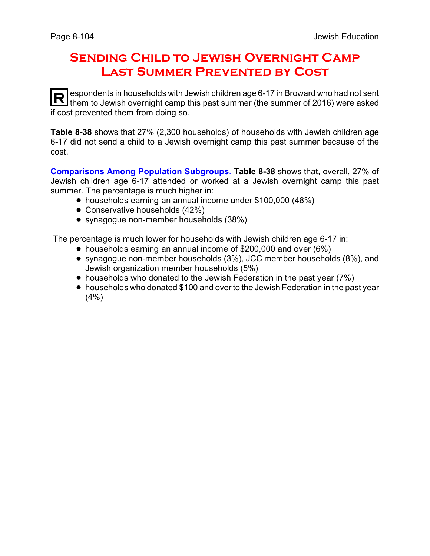# **Sending Child to Jewish Overnight Camp Last Summer Prevented by Cost**

**R** espondents in households with Jewish children age 6-17 in Broward who had not sent<br>them to Jewish exergiant camp this past summer (the summer of 2016) were asked them to Jewish overnight camp this past summer (the summer of 2016) were asked if cost prevented them from doing so.

**Table 8-38** shows that 27% (2,300 households) of households with Jewish children age 6-17 did not send a child to a Jewish overnight camp this past summer because of the cost.

**Comparisons Among Population Subgroups**. **Table 8-38** shows that, overall, 27% of Jewish children age 6-17 attended or worked at a Jewish overnight camp this past summer. The percentage is much higher in:

- households earning an annual income under \$100,000 (48%)
- Conservative households (42%)
- synagogue non-member households (38%)

The percentage is much lower for households with Jewish children age 6-17 in:

- ! households earning an annual income of \$200,000 and over (6%)
- ! synagogue non-member households (3%), JCC member households (8%), and Jewish organization member households (5%)
- households who donated to the Jewish Federation in the past year (7%)
- households who donated \$100 and over to the Jewish Federation in the past year (4%)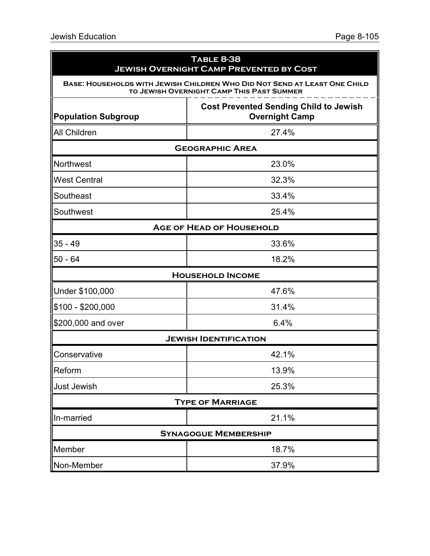| <b>TABLE 8-38</b><br><b>JEWISH OVERNIGHT CAMP PREVENTED BY COST</b><br>BASE: HOUSEHOLDS WITH JEWISH CHILDREN WHO DID NOT SEND AT LEAST ONE CHILD<br>TO JEWISH OVERNIGHT CAMP THIS PAST SUMMER |                                 |  |  |  |
|-----------------------------------------------------------------------------------------------------------------------------------------------------------------------------------------------|---------------------------------|--|--|--|
|                                                                                                                                                                                               |                                 |  |  |  |
| <b>All Children</b>                                                                                                                                                                           | 27.4%                           |  |  |  |
|                                                                                                                                                                                               | <b>GEOGRAPHIC AREA</b>          |  |  |  |
| Northwest                                                                                                                                                                                     | 23.0%                           |  |  |  |
| <b>West Central</b>                                                                                                                                                                           | 32.3%                           |  |  |  |
| Southeast                                                                                                                                                                                     | 33.4%                           |  |  |  |
| Southwest                                                                                                                                                                                     | 25.4%                           |  |  |  |
|                                                                                                                                                                                               | <b>AGE OF HEAD OF HOUSEHOLD</b> |  |  |  |
| $35 - 49$                                                                                                                                                                                     | 33.6%                           |  |  |  |
| $50 - 64$                                                                                                                                                                                     | 18.2%                           |  |  |  |
|                                                                                                                                                                                               | <b>HOUSEHOLD INCOME</b>         |  |  |  |
| Under \$100,000                                                                                                                                                                               | 47.6%                           |  |  |  |
| \$100 - \$200,000                                                                                                                                                                             | 31.4%                           |  |  |  |
| \$200,000 and over                                                                                                                                                                            | 6.4%                            |  |  |  |
|                                                                                                                                                                                               | <b>JEWISH IDENTIFICATION</b>    |  |  |  |
| Conservative                                                                                                                                                                                  | 42.1%                           |  |  |  |
| Reform                                                                                                                                                                                        | 13.9%                           |  |  |  |
| <b>Just Jewish</b>                                                                                                                                                                            | 25.3%                           |  |  |  |
|                                                                                                                                                                                               | <b>TYPE OF MARRIAGE</b>         |  |  |  |
| In-married                                                                                                                                                                                    | 21.1%                           |  |  |  |
|                                                                                                                                                                                               | <b>SYNAGOGUE MEMBERSHIP</b>     |  |  |  |
| Member                                                                                                                                                                                        | 18.7%                           |  |  |  |
| Non-Member                                                                                                                                                                                    | 37.9%                           |  |  |  |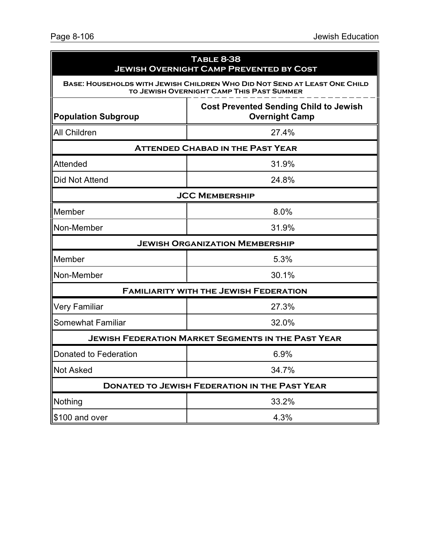| <b>TABLE 8-38</b><br><b>JEWISH OVERNIGHT CAMP PREVENTED BY COST</b>                                                    |                                                                        |  |  |  |  |
|------------------------------------------------------------------------------------------------------------------------|------------------------------------------------------------------------|--|--|--|--|
| BASE: HOUSEHOLDS WITH JEWISH CHILDREN WHO DID NOT SEND AT LEAST ONE CHILD<br>TO JEWISH OVERNIGHT CAMP THIS PAST SUMMER |                                                                        |  |  |  |  |
| <b>Population Subgroup</b>                                                                                             | <b>Cost Prevented Sending Child to Jewish</b><br><b>Overnight Camp</b> |  |  |  |  |
| <b>All Children</b>                                                                                                    | 27.4%                                                                  |  |  |  |  |
| <b>ATTENDED CHABAD IN THE PAST YEAR</b>                                                                                |                                                                        |  |  |  |  |
| Attended                                                                                                               | 31.9%                                                                  |  |  |  |  |
| <b>Did Not Attend</b>                                                                                                  | 24.8%                                                                  |  |  |  |  |
| <b>JCC MEMBERSHIP</b>                                                                                                  |                                                                        |  |  |  |  |
| Member                                                                                                                 | 8.0%                                                                   |  |  |  |  |
| Non-Member                                                                                                             | 31.9%                                                                  |  |  |  |  |
| <b>JEWISH ORGANIZATION MEMBERSHIP</b>                                                                                  |                                                                        |  |  |  |  |
| Member                                                                                                                 | 5.3%                                                                   |  |  |  |  |
| Non-Member                                                                                                             | 30.1%                                                                  |  |  |  |  |
| <b>FAMILIARITY WITH THE JEWISH FEDERATION</b>                                                                          |                                                                        |  |  |  |  |
| <b>Very Familiar</b>                                                                                                   | 27.3%                                                                  |  |  |  |  |
| <b>Somewhat Familiar</b>                                                                                               | 32.0%                                                                  |  |  |  |  |
| <b>JEWISH FEDERATION MARKET SEGMENTS IN THE PAST YEAR</b>                                                              |                                                                        |  |  |  |  |
| Donated to Federation                                                                                                  | 6.9%                                                                   |  |  |  |  |
| Not Asked                                                                                                              | 34.7%                                                                  |  |  |  |  |
| <b>DONATED TO JEWISH FEDERATION IN THE PAST YEAR</b>                                                                   |                                                                        |  |  |  |  |
| Nothing                                                                                                                | 33.2%                                                                  |  |  |  |  |
| \$100 and over                                                                                                         | 4.3%                                                                   |  |  |  |  |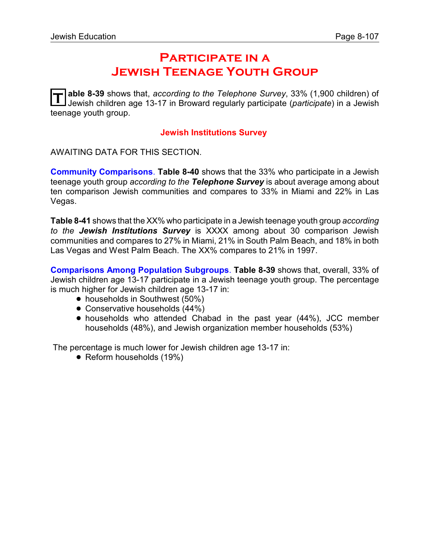## **Participate in a Jewish Teenage Youth Group**

**T** able 8-39 shows that, *according to the Telephone Survey*, 33% (1,900 children) of Jewish children age 13-17 in Broward regularly participate (*participate*) in a Jewish teenage youth group.

#### **Jewish Institutions Survey**

AWAITING DATA FOR THIS SECTION.

**Community Comparisons**. **Table 8-40** shows that the 33% who participate in a Jewish teenage youth group *according to the Telephone Survey* is about average among about ten comparison Jewish communities and compares to 33% in Miami and 22% in Las Vegas.

**Table 8-41** shows that the XX% who participate in a Jewish teenage youth group *according to the Jewish Institutions Survey* is XXXX among about 30 comparison Jewish communities and compares to 27% in Miami, 21% in South Palm Beach, and 18% in both Las Vegas and West Palm Beach. The XX% compares to 21% in 1997.

**Comparisons Among Population Subgroups**. **Table 8-39** shows that, overall, 33% of Jewish children age 13-17 participate in a Jewish teenage youth group. The percentage is much higher for Jewish children age 13-17 in:

- households in Southwest (50%)
- Conservative households (44%)
- ! households who attended Chabad in the past year (44%), JCC member households (48%), and Jewish organization member households (53%)

The percentage is much lower for Jewish children age 13-17 in:

• Reform households (19%)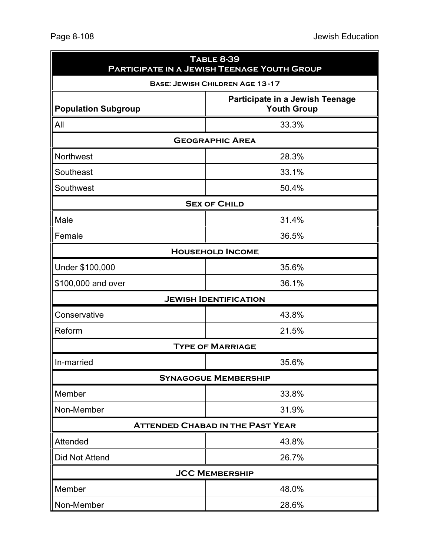| <b>TABLE 8-39</b><br>PARTICIPATE IN A JEWISH TEENAGE YOUTH GROUP<br><b>BASE: JEWISH CHILDREN AGE 13-17</b> |                                         |  |  |  |                            |
|------------------------------------------------------------------------------------------------------------|-----------------------------------------|--|--|--|----------------------------|
|                                                                                                            |                                         |  |  |  | <b>Population Subgroup</b> |
| All                                                                                                        | 33.3%                                   |  |  |  |                            |
| <b>GEOGRAPHIC AREA</b>                                                                                     |                                         |  |  |  |                            |
| Northwest                                                                                                  | 28.3%                                   |  |  |  |                            |
| Southeast                                                                                                  | 33.1%                                   |  |  |  |                            |
| Southwest                                                                                                  | 50.4%                                   |  |  |  |                            |
|                                                                                                            | <b>SEX OF CHILD</b>                     |  |  |  |                            |
| Male                                                                                                       | 31.4%                                   |  |  |  |                            |
| Female                                                                                                     | 36.5%                                   |  |  |  |                            |
|                                                                                                            | <b>HOUSEHOLD INCOME</b>                 |  |  |  |                            |
| Under \$100,000                                                                                            | 35.6%                                   |  |  |  |                            |
| \$100,000 and over                                                                                         | 36.1%                                   |  |  |  |                            |
|                                                                                                            | <b>JEWISH IDENTIFICATION</b>            |  |  |  |                            |
| Conservative                                                                                               | 43.8%                                   |  |  |  |                            |
| Reform                                                                                                     | 21.5%                                   |  |  |  |                            |
|                                                                                                            | <b>TYPE OF MARRIAGE</b>                 |  |  |  |                            |
| In-married                                                                                                 | 35.6%                                   |  |  |  |                            |
|                                                                                                            | <b>SYNAGOGUE MEMBERSHIP</b>             |  |  |  |                            |
| Member                                                                                                     | 33.8%                                   |  |  |  |                            |
| Non-Member                                                                                                 | 31.9%                                   |  |  |  |                            |
|                                                                                                            | <b>ATTENDED CHABAD IN THE PAST YEAR</b> |  |  |  |                            |
| Attended                                                                                                   | 43.8%                                   |  |  |  |                            |
| <b>Did Not Attend</b>                                                                                      | 26.7%                                   |  |  |  |                            |
|                                                                                                            | <b>JCC MEMBERSHIP</b>                   |  |  |  |                            |
| Member                                                                                                     | 48.0%                                   |  |  |  |                            |
| Non-Member                                                                                                 | 28.6%                                   |  |  |  |                            |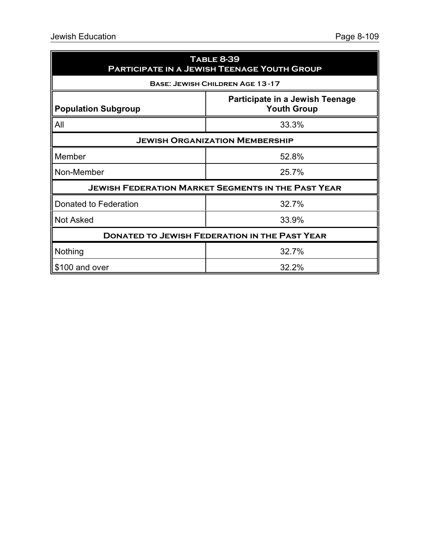| <b>TABLE 8-39</b><br>PARTICIPATE IN A JEWISH TEENAGE YOUTH GROUP |                                                           |  |
|------------------------------------------------------------------|-----------------------------------------------------------|--|
|                                                                  | <b>BASE: JEWISH CHILDREN AGE 13-17</b>                    |  |
| <b>Population Subgroup</b>                                       | Participate in a Jewish Teenage<br><b>Youth Group</b>     |  |
| All                                                              | 33.3%                                                     |  |
|                                                                  | <b>JEWISH ORGANIZATION MEMBERSHIP</b>                     |  |
| Member                                                           | 52.8%                                                     |  |
| Non-Member                                                       | 25.7%                                                     |  |
|                                                                  | <b>JEWISH FEDERATION MARKET SEGMENTS IN THE PAST YEAR</b> |  |
| Donated to Federation                                            | 32.7%                                                     |  |
| <b>Not Asked</b>                                                 | 33.9%                                                     |  |
|                                                                  | <b>DONATED TO JEWISH FEDERATION IN THE PAST YEAR</b>      |  |
| Nothing                                                          | 32.7%                                                     |  |
| \$100 and over                                                   | 32.2%                                                     |  |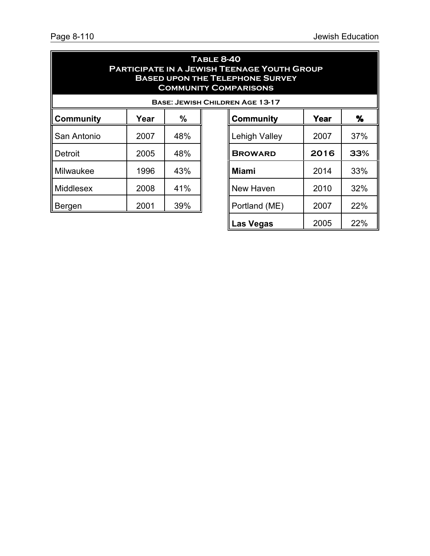**Las Vegas** 2005 22%

| <b>TABLE 8-40</b><br><b>PARTICIPATE IN A JEWISH TEENAGE YOUTH GROUP</b><br><b>BASED UPON THE TELEPHONE SURVEY</b><br><b>COMMUNITY COMPARISONS</b> |      |     |  |                                        |      |      |
|---------------------------------------------------------------------------------------------------------------------------------------------------|------|-----|--|----------------------------------------|------|------|
|                                                                                                                                                   |      |     |  | <b>BASE: JEWISH CHILDREN AGE 13-17</b> |      |      |
| <b>Community</b>                                                                                                                                  | Year | %   |  | <b>Community</b>                       | Year | $\%$ |
| San Antonio                                                                                                                                       | 2007 | 48% |  | <b>Lehigh Valley</b>                   | 2007 | 37%  |
| Detroit                                                                                                                                           | 2005 | 48% |  | <b>BROWARD</b>                         | 2016 | 33%  |
| Milwaukee                                                                                                                                         | 1996 | 43% |  | <b>Miami</b>                           | 2014 | 33%  |
| <b>Middlesex</b>                                                                                                                                  | 2008 | 41% |  | New Haven                              | 2010 | 32%  |
| Bergen                                                                                                                                            | 2001 | 39% |  | Portland (ME)                          | 2007 | 22%  |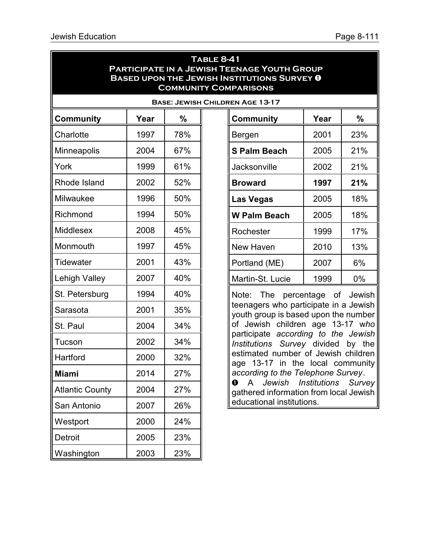## **Table 8-41 Participate in a Jewish Teenage Youth Group BASED UPON THE JEWISH INSTITUTIONS SURVEY 0 Community Comparisons**

|                        |      |      |  | <b>BASE: JEWISH CHILDREN AGE 13-17</b>                                                                 |              |                 |
|------------------------|------|------|--|--------------------------------------------------------------------------------------------------------|--------------|-----------------|
| <b>Community</b>       | Year | $\%$ |  | <b>Community</b>                                                                                       | Year         | $\%$            |
| Charlotte              | 1997 | 78%  |  | 2001<br>Bergen                                                                                         |              | 23%             |
| Minneapolis            | 2004 | 67%  |  | <b>S Palm Beach</b>                                                                                    | 2005         | 21 <sup>°</sup> |
| York                   | 1999 | 61%  |  | Jacksonville                                                                                           | 2002         | 21 <sup>°</sup> |
| Rhode Island           | 2002 | 52%  |  | <b>Broward</b>                                                                                         | 1997         | 21 <sup>°</sup> |
| Milwaukee              | 1996 | 50%  |  | <b>Las Vegas</b>                                                                                       | 2005         | 18 <sup>o</sup> |
| Richmond               | 1994 | 50%  |  | <b>W Palm Beach</b>                                                                                    | 2005         | 18 <sup>o</sup> |
| Middlesex              | 2008 | 45%  |  | Rochester                                                                                              | 1999         | <b>17%</b>      |
| Monmouth               | 1997 | 45%  |  | New Haven                                                                                              | 2010         | 13 <sup>°</sup> |
| Tidewater              | 2001 | 43%  |  | Portland (ME)                                                                                          | 2007         | 6%              |
| <b>Lehigh Valley</b>   | 2007 | 40%  |  | Martin-St. Lucie                                                                                       | 1999         | 0%              |
| St. Petersburg         | 1994 | 40%  |  | Note: The percentage of<br>teenagers who participate in a Jew<br>youth group is based upon the numl    |              | Jew             |
| Sarasota               | 2001 | 35%  |  |                                                                                                        |              |                 |
| St. Paul               | 2004 | 34%  |  | of Jewish children age 13-17 w<br>participate according to the Jew<br>Institutions Survey divided by   |              |                 |
| Tucson                 | 2002 | 34%  |  |                                                                                                        |              |                 |
| Hartford               | 2000 | 32%  |  | estimated number of Jewish child<br>age 13-17 in the local commur<br>according to the Telephone Survey |              |                 |
| <b>Miami</b>           | 2014 | 27%  |  |                                                                                                        |              |                 |
| <b>Atlantic County</b> | 2004 | 27%  |  | $\mathbf 0$<br>Jewish<br>$\mathsf{A}$<br>gathered information from local Jew                           | Institutions | Sun             |
| San Antonio            | 2007 | 26%  |  | educational institutions.                                                                              |              |                 |
| Westport               | 2000 | 24%  |  |                                                                                                        |              |                 |
| <b>Detroit</b>         | 2005 | 23%  |  |                                                                                                        |              |                 |
| Washington             | 2003 | 23%  |  |                                                                                                        |              |                 |

| REN AGE 13-17                                                                                                                                                                                                                                                                                               |            |     |
|-------------------------------------------------------------------------------------------------------------------------------------------------------------------------------------------------------------------------------------------------------------------------------------------------------------|------------|-----|
| Community                                                                                                                                                                                                                                                                                                   | Year       | %   |
| Bergen                                                                                                                                                                                                                                                                                                      | 2001       | 23% |
| <b>S Palm Beach</b>                                                                                                                                                                                                                                                                                         | 2005       | 21% |
| Jacksonville                                                                                                                                                                                                                                                                                                | 2002       | 21% |
| <b>Broward</b>                                                                                                                                                                                                                                                                                              | 1997       | 21% |
| <b>Las Vegas</b>                                                                                                                                                                                                                                                                                            | 2005       | 18% |
| <b>W Palm Beach</b>                                                                                                                                                                                                                                                                                         | 2005       | 18% |
| Rochester                                                                                                                                                                                                                                                                                                   | 1999       | 17% |
| <b>New Haven</b>                                                                                                                                                                                                                                                                                            | 2010       | 13% |
| Portland (ME)                                                                                                                                                                                                                                                                                               | 2007       | 6%  |
| Martin-St. Lucie                                                                                                                                                                                                                                                                                            | 1999<br>0% |     |
| Note: The percentage of Jewish<br>teenagers who participate in a Jewish<br>youth group is based upon the number<br>of Jewish children age 13-17 who<br>participate according to the Jewish<br>Institutions Survey divided by the<br>estimated number of Jewish children<br>age 13-17 in the local community |            |     |

*according to the Telephone Survey*.  $\bullet$  A *Jewish Institutions Survey* gathered information from local Jewish educational institutions.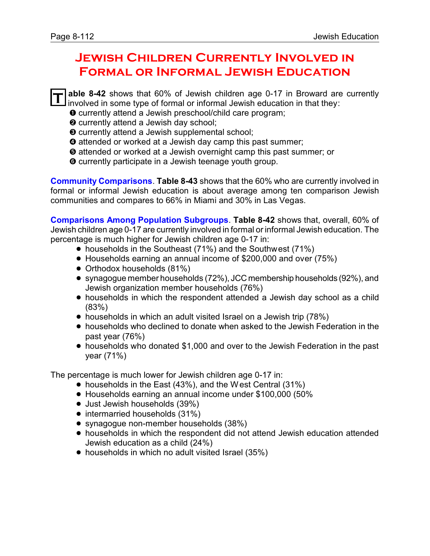## **Jewish Children Currently Involved in Formal or Informal Jewish Education**

**T able 8-42** shows that 60% of Jewish children age 0-17 in Broward are currently involved in some type of formal or informal Jewish education in that they:

- $\bullet$  currently attend a Jewish preschool/child care program;
- $\odot$  currently attend a Jewish day school;
- **<sup>O</sup>** currently attend a Jewish supplemental school;
- **O** attended or worked at a Jewish day camp this past summer;
- ð attended or worked at a Jewish overnight camp this past summer; or
- $\Theta$  currently participate in a Jewish teenage youth group.

**Community Comparisons**. **Table 8-43** shows that the 60% who are currently involved in formal or informal Jewish education is about average among ten comparison Jewish communities and compares to 66% in Miami and 30% in Las Vegas.

**Comparisons Among Population Subgroups**. **Table 8-42** shows that, overall, 60% of Jewish children age 0-17 are currently involved in formal or informal Jewish education. The percentage is much higher for Jewish children age 0-17 in:

- households in the Southeast (71%) and the Southwest (71%)
- ! Households earning an annual income of \$200,000 and over (75%)
- Orthodox households (81%)
- ! synagogue member households (72%), JCC membership households (92%), and Jewish organization member households (76%)
- households in which the respondent attended a Jewish day school as a child (83%)
- households in which an adult visited Israel on a Jewish trip (78%)
- ! households who declined to donate when asked to the Jewish Federation in the past year (76%)
- ! households who donated \$1,000 and over to the Jewish Federation in the past year (71%)

The percentage is much lower for Jewish children age 0-17 in:

- ! households in the East (43%), and the West Central (31%)
- ! Households earning an annual income under \$100,000 (50%
- Just Jewish households (39%)
- intermarried households (31%)
- synagogue non-member households (38%)
- ! households in which the respondent did not attend Jewish education attended Jewish education as a child (24%)
- households in which no adult visited Israel (35%)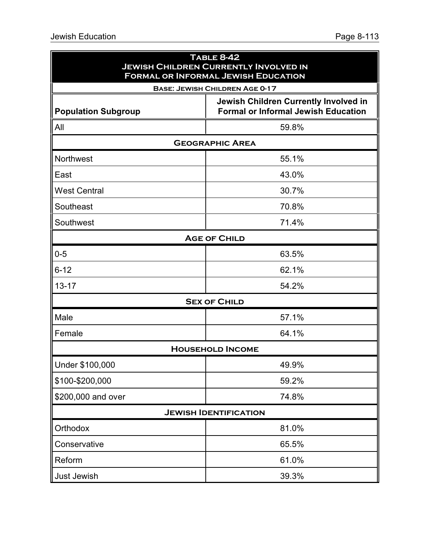| <b>TABLE 8-42</b><br><b>JEWISH CHILDREN CURRENTLY INVOLVED IN</b><br><b>FORMAL OR INFORMAL JEWISH EDUCATION</b> |                                                                                     |  |
|-----------------------------------------------------------------------------------------------------------------|-------------------------------------------------------------------------------------|--|
|                                                                                                                 | <b>BASE: JEWISH CHILDREN AGE 0-17</b>                                               |  |
| <b>Population Subgroup</b>                                                                                      | Jewish Children Currently Involved in<br><b>Formal or Informal Jewish Education</b> |  |
| All                                                                                                             | 59.8%                                                                               |  |
|                                                                                                                 | <b>GEOGRAPHIC AREA</b>                                                              |  |
| Northwest                                                                                                       | 55.1%                                                                               |  |
| East                                                                                                            | 43.0%                                                                               |  |
| <b>West Central</b>                                                                                             | 30.7%                                                                               |  |
| Southeast                                                                                                       | 70.8%                                                                               |  |
| Southwest                                                                                                       | 71.4%                                                                               |  |
|                                                                                                                 | <b>AGE OF CHILD</b>                                                                 |  |
| $0 - 5$                                                                                                         | 63.5%                                                                               |  |
| $6 - 12$                                                                                                        | 62.1%                                                                               |  |
| $13 - 17$                                                                                                       | 54.2%                                                                               |  |
|                                                                                                                 | <b>SEX OF CHILD</b>                                                                 |  |
| Male                                                                                                            | 57.1%                                                                               |  |
| Female                                                                                                          | 64.1%                                                                               |  |
|                                                                                                                 | <b>HOUSEHOLD INCOME</b>                                                             |  |
| Under \$100,000                                                                                                 | 49.9%                                                                               |  |
| \$100-\$200,000                                                                                                 | 59.2%                                                                               |  |
| \$200,000 and over                                                                                              | 74.8%                                                                               |  |
|                                                                                                                 | <b>JEWISH IDENTIFICATION</b>                                                        |  |
| Orthodox                                                                                                        | 81.0%                                                                               |  |
| Conservative                                                                                                    | 65.5%                                                                               |  |
| Reform                                                                                                          | 61.0%                                                                               |  |
| <b>Just Jewish</b>                                                                                              | 39.3%                                                                               |  |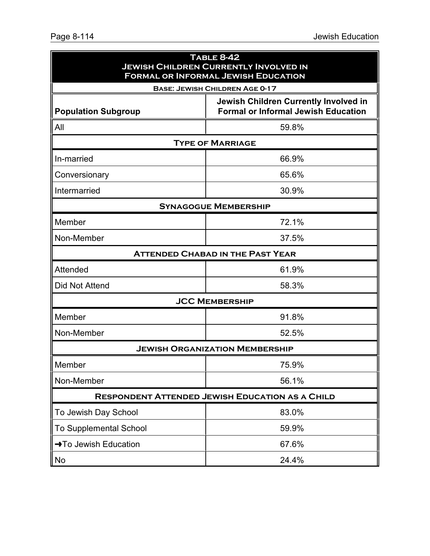| <b>TABLE 8-42</b><br><b>JEWISH CHILDREN CURRENTLY INVOLVED IN</b><br><b>FORMAL OR INFORMAL JEWISH EDUCATION</b> |                                                                                     |  |
|-----------------------------------------------------------------------------------------------------------------|-------------------------------------------------------------------------------------|--|
|                                                                                                                 | <b>BASE: JEWISH CHILDREN AGE 0-17</b>                                               |  |
| <b>Population Subgroup</b>                                                                                      | Jewish Children Currently Involved in<br><b>Formal or Informal Jewish Education</b> |  |
| All                                                                                                             | 59.8%                                                                               |  |
|                                                                                                                 | <b>TYPE OF MARRIAGE</b>                                                             |  |
| In-married                                                                                                      | 66.9%                                                                               |  |
| Conversionary                                                                                                   | 65.6%                                                                               |  |
| Intermarried                                                                                                    | 30.9%                                                                               |  |
|                                                                                                                 | <b>SYNAGOGUE MEMBERSHIP</b>                                                         |  |
| Member                                                                                                          | 72.1%                                                                               |  |
| Non-Member                                                                                                      | 37.5%                                                                               |  |
|                                                                                                                 | <b>ATTENDED CHABAD IN THE PAST YEAR</b>                                             |  |
| Attended                                                                                                        | 61.9%                                                                               |  |
| <b>Did Not Attend</b>                                                                                           | 58.3%                                                                               |  |
|                                                                                                                 | <b>JCC MEMBERSHIP</b>                                                               |  |
| Member                                                                                                          | 91.8%                                                                               |  |
| Non-Member                                                                                                      | 52.5%                                                                               |  |
|                                                                                                                 | <b>JEWISH ORGANIZATION MEMBERSHIP</b>                                               |  |
| Member                                                                                                          | 75.9%                                                                               |  |
| Non-Member                                                                                                      | 56.1%                                                                               |  |
|                                                                                                                 | <b>RESPONDENT ATTENDED JEWISH EDUCATION AS A CHILD</b>                              |  |
| To Jewish Day School                                                                                            | 83.0%                                                                               |  |
| <b>To Supplemental School</b>                                                                                   | 59.9%                                                                               |  |
| →To Jewish Education                                                                                            | 67.6%                                                                               |  |
| No                                                                                                              | 24.4%                                                                               |  |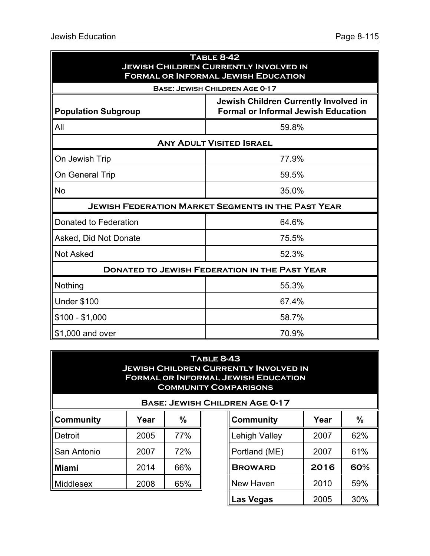| <b>TABLE 8-42</b><br><b>JEWISH CHILDREN CURRENTLY INVOLVED IN</b><br><b>FORMAL OR INFORMAL JEWISH EDUCATION</b> |                                                                                     |  |
|-----------------------------------------------------------------------------------------------------------------|-------------------------------------------------------------------------------------|--|
|                                                                                                                 | <b>BASE: JEWISH CHILDREN AGE 0-17</b>                                               |  |
| <b>Population Subgroup</b>                                                                                      | Jewish Children Currently Involved in<br><b>Formal or Informal Jewish Education</b> |  |
| All                                                                                                             | 59.8%                                                                               |  |
|                                                                                                                 | <b>ANY ADULT VISITED ISRAEL</b>                                                     |  |
| On Jewish Trip                                                                                                  | 77.9%                                                                               |  |
| On General Trip                                                                                                 | 59.5%                                                                               |  |
| <b>No</b>                                                                                                       | 35.0%                                                                               |  |
| <b>JEWISH FEDERATION MARKET SEGMENTS IN THE PAST YEAR</b>                                                       |                                                                                     |  |
| Donated to Federation                                                                                           | 64.6%                                                                               |  |
| Asked, Did Not Donate                                                                                           | 75.5%                                                                               |  |
| <b>Not Asked</b>                                                                                                | 52.3%                                                                               |  |
|                                                                                                                 | <b>DONATED TO JEWISH FEDERATION IN THE PAST YEAR</b>                                |  |
| Nothing                                                                                                         | 55.3%                                                                               |  |
| <b>Under \$100</b>                                                                                              | 67.4%                                                                               |  |
| $$100 - $1,000$                                                                                                 | 58.7%                                                                               |  |
| \$1,000 and over                                                                                                | 70.9%                                                                               |  |

## **Table 8-43 Jewish Children Currently Involved in Formal or Informal Jewish Education Community Comparisons**

|             |      | <b>BASE: JEWISH CI</b> |  |
|-------------|------|------------------------|--|
| Community   | Year | %                      |  |
| Detroit     | 2005 | 77%                    |  |
| San Antonio | 2007 | 72%                    |  |
| Miami       | 2014 | 66%                    |  |
| Middlesex   | 2008 | 65%                    |  |

| <b>HILDREN AGE 0-17</b> |      |     |  |  |  |
|-------------------------|------|-----|--|--|--|
| <b>Community</b>        | Year | %   |  |  |  |
| <b>Lehigh Valley</b>    | 2007 | 62% |  |  |  |
| Portland (ME)           | 2007 | 61% |  |  |  |
| <b>BROWARD</b>          | 2016 | 60% |  |  |  |
| <b>New Haven</b>        | 2010 | 59% |  |  |  |
| <b>Las Vegas</b>        | 2005 | 30% |  |  |  |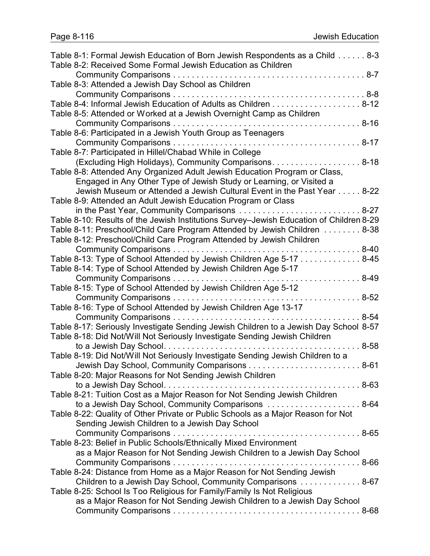| Table 8-1: Formal Jewish Education of Born Jewish Respondents as a Child 8-3            |           |
|-----------------------------------------------------------------------------------------|-----------|
| Table 8-2: Received Some Formal Jewish Education as Children                            |           |
|                                                                                         |           |
| Table 8-3: Attended a Jewish Day School as Children                                     |           |
|                                                                                         |           |
| Table 8-4: Informal Jewish Education of Adults as Children 8-12                         |           |
| Table 8-5: Attended or Worked at a Jewish Overnight Camp as Children                    |           |
|                                                                                         |           |
| Table 8-6: Participated in a Jewish Youth Group as Teenagers                            |           |
|                                                                                         |           |
| Table 8-7: Participated in Hillel/Chabad While in College                               |           |
| (Excluding High Holidays), Community Comparisons. 8-18                                  |           |
| Table 8-8: Attended Any Organized Adult Jewish Education Program or Class,              |           |
| Engaged in Any Other Type of Jewish Study or Learning, or Visited a                     |           |
| Jewish Museum or Attended a Jewish Cultural Event in the Past Year 8-22                 |           |
| Table 8-9: Attended an Adult Jewish Education Program or Class                          |           |
| in the Past Year, Community Comparisons  8-27                                           |           |
| Table 8-10: Results of the Jewish Institutions Survey-Jewish Education of Children 8-29 |           |
| Table 8-11: Preschool/Child Care Program Attended by Jewish Children 8-38               |           |
| Table 8-12: Preschool/Child Care Program Attended by Jewish Children                    |           |
|                                                                                         |           |
| Table 8-13: Type of School Attended by Jewish Children Age 5-17 8-45                    |           |
| Table 8-14: Type of School Attended by Jewish Children Age 5-17                         |           |
|                                                                                         |           |
| Table 8-15: Type of School Attended by Jewish Children Age 5-12                         |           |
|                                                                                         | $.8 - 52$ |
| Table 8-16: Type of School Attended by Jewish Children Age 13-17                        |           |
|                                                                                         | $8 - 54$  |
| Table 8-17: Seriously Investigate Sending Jewish Children to a Jewish Day School 8-57   |           |
| Table 8-18: Did Not/Will Not Seriously Investigate Sending Jewish Children              |           |
|                                                                                         | $8 - 58$  |
| Table 8-19: Did Not/Will Not Seriously Investigate Sending Jewish Children to a         |           |
| Jewish Day School, Community Comparisons<br>$\ldots$ . 8-61                             |           |
| Table 8-20: Major Reasons for Not Sending Jewish Children                               |           |
|                                                                                         |           |
| Table 8-21: Tuition Cost as a Major Reason for Not Sending Jewish Children              |           |
| to a Jewish Day School, Community Comparisons  8-64                                     |           |
| Table 8-22: Quality of Other Private or Public Schools as a Major Reason for Not        |           |
| Sending Jewish Children to a Jewish Day School                                          |           |
|                                                                                         |           |
| Table 8-23: Belief in Public Schools/Ethnically Mixed Environment                       |           |
| as a Major Reason for Not Sending Jewish Children to a Jewish Day School                |           |
|                                                                                         |           |
| Table 8-24: Distance from Home as a Major Reason for Not Sending Jewish                 |           |
| Children to a Jewish Day School, Community Comparisons 8-67                             |           |
| Table 8-25: School Is Too Religious for Family/Family Is Not Religious                  |           |
| as a Major Reason for Not Sending Jewish Children to a Jewish Day School                |           |
|                                                                                         |           |